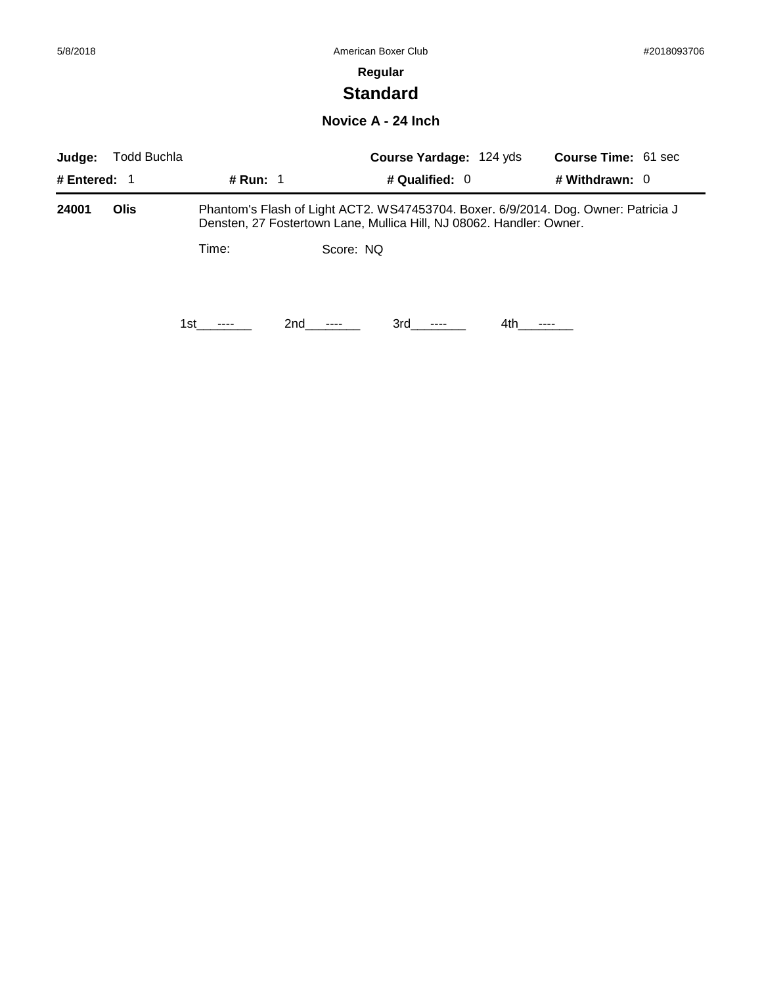# **Standard**

#### **Novice A - 24 Inch**

| Judge:         | Todd Buchla |            |           | <b>Course Yardage: 124 yds</b>                                                                                                                             |      | <b>Course Time: 61 sec</b> |  |
|----------------|-------------|------------|-----------|------------------------------------------------------------------------------------------------------------------------------------------------------------|------|----------------------------|--|
| # Entered: $1$ |             | # Run: $1$ |           | # Qualified: $0$                                                                                                                                           |      | # Withdrawn: $0$           |  |
| 24001          | <b>Olis</b> |            |           | Phantom's Flash of Light ACT2. WS47453704. Boxer. 6/9/2014. Dog. Owner: Patricia J<br>Densten, 27 Fostertown Lane, Mullica Hill, NJ 08062. Handler: Owner. |      |                            |  |
|                |             | Time:      | Score: NQ |                                                                                                                                                            |      |                            |  |
|                |             | 1st.       | 2nd       | 3rd                                                                                                                                                        | 4th. |                            |  |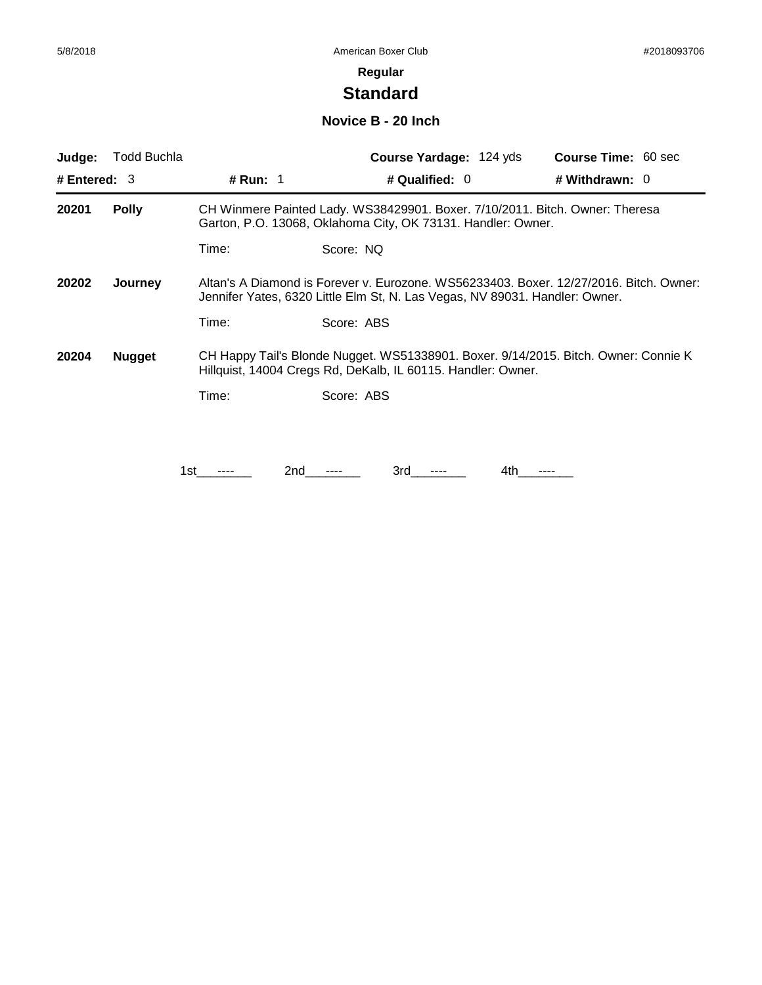# **Standard**

### **Novice B - 20 Inch**

| Judge:         | <b>Todd Buchla</b> |                                                                                                                                                                       | <b>Course Yardage: 124 yds</b>                                                                                                                      | <b>Course Time: 60 sec</b> |  |  |
|----------------|--------------------|-----------------------------------------------------------------------------------------------------------------------------------------------------------------------|-----------------------------------------------------------------------------------------------------------------------------------------------------|----------------------------|--|--|
| # Entered: $3$ |                    | <b># Run:</b> 1                                                                                                                                                       | # Qualified: $0$                                                                                                                                    | # Withdrawn: 0             |  |  |
| 20201          | <b>Polly</b>       |                                                                                                                                                                       | CH Winmere Painted Lady. WS38429901. Boxer. 7/10/2011. Bitch. Owner: Theresa<br>Garton, P.O. 13068, Oklahoma City, OK 73131. Handler: Owner.        |                            |  |  |
|                |                    | Time:                                                                                                                                                                 | Score: NQ                                                                                                                                           |                            |  |  |
| 20202          | Journey            | Altan's A Diamond is Forever v. Eurozone. WS56233403. Boxer. 12/27/2016. Bitch. Owner:<br>Jennifer Yates, 6320 Little Elm St, N. Las Vegas, NV 89031. Handler: Owner. |                                                                                                                                                     |                            |  |  |
|                |                    | Time:                                                                                                                                                                 | Score: ABS                                                                                                                                          |                            |  |  |
| 20204          | <b>Nugget</b>      |                                                                                                                                                                       | CH Happy Tail's Blonde Nugget. WS51338901. Boxer. 9/14/2015. Bitch. Owner: Connie K<br>Hillquist, 14004 Cregs Rd, DeKalb, IL 60115. Handler: Owner. |                            |  |  |
|                |                    | Time:                                                                                                                                                                 | Score: ABS                                                                                                                                          |                            |  |  |
|                |                    |                                                                                                                                                                       |                                                                                                                                                     |                            |  |  |
|                |                    | 1st                                                                                                                                                                   | 3rd<br>2nd<br>4th                                                                                                                                   | ----                       |  |  |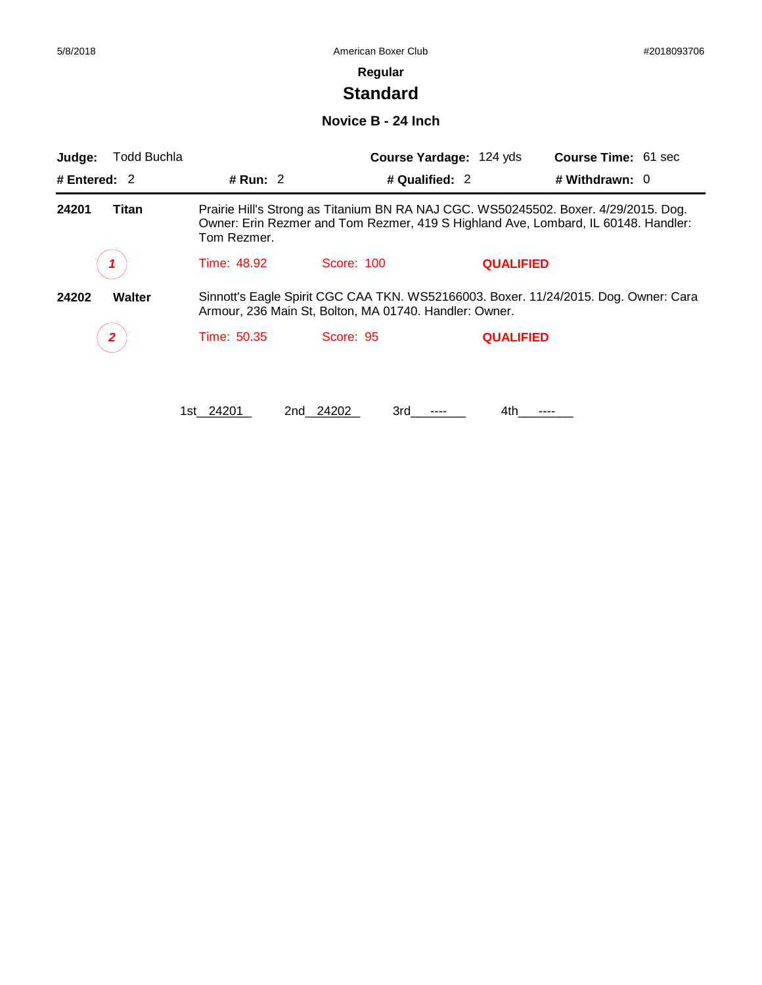# **Standard**

### **Novice B - 24 Inch**

| Judge:         | <b>Todd Buchla</b> |             | Course Yardage: 124 yds                                                                                                                                                   |                  | <b>Course Time: 61 sec</b> |
|----------------|--------------------|-------------|---------------------------------------------------------------------------------------------------------------------------------------------------------------------------|------------------|----------------------------|
| # Entered: $2$ |                    | # Run: $2$  | # Qualified: 2                                                                                                                                                            |                  | # Withdrawn: $0$           |
| 24201          | Titan              | Tom Rezmer. | Prairie Hill's Strong as Titanium BN RA NAJ CGC. WS50245502. Boxer. 4/29/2015. Dog.<br>Owner: Erin Rezmer and Tom Rezmer, 419 S Highland Ave, Lombard, IL 60148. Handler: |                  |                            |
|                |                    | Time: 48.92 | Score: 100                                                                                                                                                                | <b>QUALIFIED</b> |                            |
| 24202          | <b>Walter</b>      |             | Sinnott's Eagle Spirit CGC CAA TKN. WS52166003. Boxer. 11/24/2015. Dog. Owner: Cara<br>Armour, 236 Main St, Bolton, MA 01740. Handler: Owner.                             |                  |                            |
|                | 2                  | Time: 50.35 | Score: 95                                                                                                                                                                 | <b>QUALIFIED</b> |                            |
|                |                    | 1st 24201   | 2nd 24202<br>3rd                                                                                                                                                          | 4th              |                            |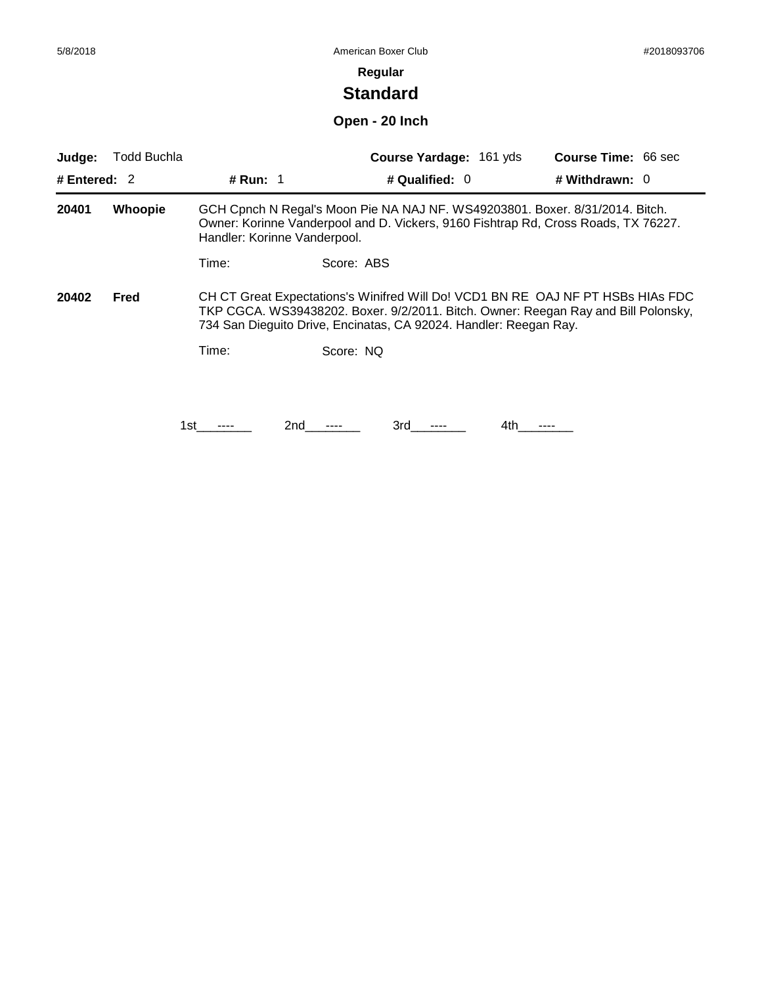# **Standard**

# **Open - 20 Inch**

| Judge:         | Todd Buchla                                                                                                                                                                                                                                        |                              |                                                                              | <b>Course Yardage: 161 yds</b> | <b>Course Time: 66 sec</b>                                                         |
|----------------|----------------------------------------------------------------------------------------------------------------------------------------------------------------------------------------------------------------------------------------------------|------------------------------|------------------------------------------------------------------------------|--------------------------------|------------------------------------------------------------------------------------|
| # Entered: $2$ |                                                                                                                                                                                                                                                    | <b># Run: 1</b>              |                                                                              | # Qualified: $0$               | # Withdrawn: $0$                                                                   |
| 20401          | Whoopie                                                                                                                                                                                                                                            | Handler: Korinne Vanderpool. | GCH Cpnch N Regal's Moon Pie NA NAJ NF. WS49203801. Boxer. 8/31/2014. Bitch. |                                | Owner: Korinne Vanderpool and D. Vickers, 9160 Fishtrap Rd, Cross Roads, TX 76227. |
|                |                                                                                                                                                                                                                                                    | Time:                        | Score: ABS                                                                   |                                |                                                                                    |
| 20402          | CH CT Great Expectations's Winifred Will Do! VCD1 BN RE OAJ NF PT HSBs HIAs FDC<br>Fred<br>TKP CGCA. WS39438202. Boxer. 9/2/2011. Bitch. Owner: Reegan Ray and Bill Polonsky,<br>734 San Dieguito Drive, Encinatas, CA 92024. Handler: Reegan Ray. |                              |                                                                              |                                |                                                                                    |
|                |                                                                                                                                                                                                                                                    | Time:                        | Score: NQ                                                                    |                                |                                                                                    |
|                |                                                                                                                                                                                                                                                    |                              |                                                                              |                                |                                                                                    |
|                |                                                                                                                                                                                                                                                    | 1st                          | 2nd<br>3rd                                                                   | 4th                            |                                                                                    |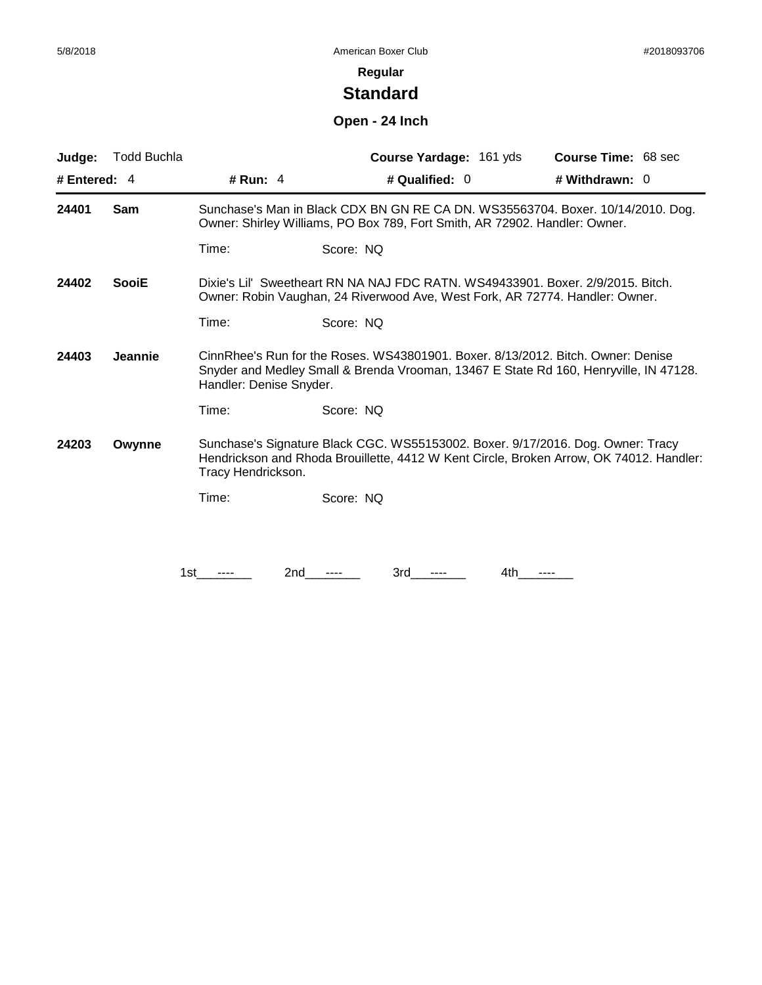# **Standard**

# **Open - 24 Inch**

| Judge:       | <b>Todd Buchla</b> |                                                                                                                                                                                                      | Course Yardage: 161 yds                                                                                                                                                    | <b>Course Time: 68 sec</b> |  |  |
|--------------|--------------------|------------------------------------------------------------------------------------------------------------------------------------------------------------------------------------------------------|----------------------------------------------------------------------------------------------------------------------------------------------------------------------------|----------------------------|--|--|
| # Entered: 4 |                    | # Run: 4                                                                                                                                                                                             | # Qualified: 0                                                                                                                                                             | # Withdrawn: 0             |  |  |
| 24401        | Sam                |                                                                                                                                                                                                      | Sunchase's Man in Black CDX BN GN RE CA DN. WS35563704. Boxer. 10/14/2010. Dog.<br>Owner: Shirley Williams, PO Box 789, Fort Smith, AR 72902. Handler: Owner.              |                            |  |  |
|              |                    | Time:                                                                                                                                                                                                | Score: NQ                                                                                                                                                                  |                            |  |  |
| 24402        | <b>SooiE</b>       | Dixie's Lil' Sweetheart RN NA NAJ FDC RATN, WS49433901, Boxer, 2/9/2015, Bitch.<br>Owner: Robin Vaughan, 24 Riverwood Ave, West Fork, AR 72774. Handler: Owner.                                      |                                                                                                                                                                            |                            |  |  |
|              |                    | Time:                                                                                                                                                                                                | Score: NQ                                                                                                                                                                  |                            |  |  |
| 24403        | Jeannie            | CinnRhee's Run for the Roses. WS43801901. Boxer. 8/13/2012. Bitch. Owner: Denise<br>Snyder and Medley Small & Brenda Vrooman, 13467 E State Rd 160, Henryville, IN 47128.<br>Handler: Denise Snyder. |                                                                                                                                                                            |                            |  |  |
|              |                    | Time:                                                                                                                                                                                                | Score: NQ                                                                                                                                                                  |                            |  |  |
| 24203        | Owynne             | Tracy Hendrickson.                                                                                                                                                                                   | Sunchase's Signature Black CGC. WS55153002. Boxer. 9/17/2016. Dog. Owner: Tracy<br>Hendrickson and Rhoda Brouillette, 4412 W Kent Circle, Broken Arrow, OK 74012. Handler: |                            |  |  |
|              |                    | Time:                                                                                                                                                                                                | Score: NQ                                                                                                                                                                  |                            |  |  |
|              |                    |                                                                                                                                                                                                      |                                                                                                                                                                            |                            |  |  |
|              |                    | 2nd<br>1st                                                                                                                                                                                           | 3rd<br>4th                                                                                                                                                                 | ----                       |  |  |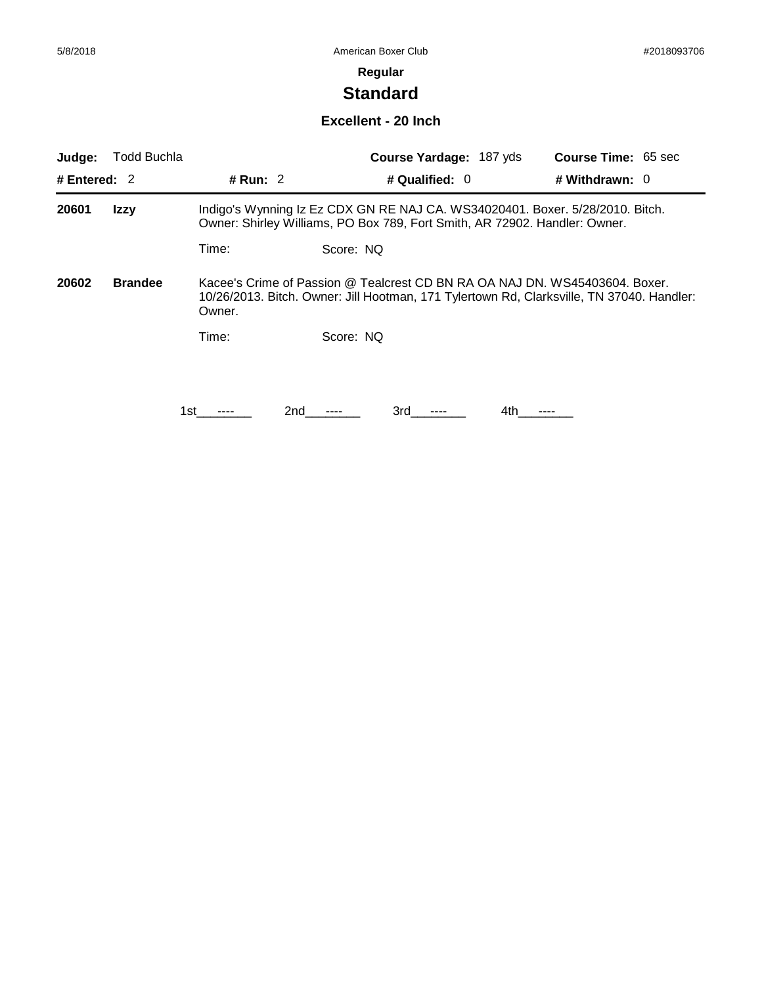# **Standard**

#### **Excellent - 20 Inch**

| Judge:         | Todd Buchla    |            | Course Yardage: 187 yds                                                                                                                                                  | <b>Course Time: 65 sec</b> |
|----------------|----------------|------------|--------------------------------------------------------------------------------------------------------------------------------------------------------------------------|----------------------------|
| # Entered: $2$ |                | # Run: $2$ | # Qualified: $0$                                                                                                                                                         | # Withdrawn: $0$           |
| 20601          | Izzy           |            | Indigo's Wynning Iz Ez CDX GN RE NAJ CA. WS34020401. Boxer. 5/28/2010. Bitch.<br>Owner: Shirley Williams, PO Box 789, Fort Smith, AR 72902. Handler: Owner.              |                            |
|                |                | Time:      | Score: NQ                                                                                                                                                                |                            |
| 20602          | <b>Brandee</b> | Owner.     | Kacee's Crime of Passion @ Tealcrest CD BN RA OA NAJ DN. WS45403604. Boxer.<br>10/26/2013. Bitch. Owner: Jill Hootman, 171 Tylertown Rd, Clarksville, TN 37040. Handler: |                            |
|                |                | Time:      | Score: NO                                                                                                                                                                |                            |
|                |                |            |                                                                                                                                                                          |                            |
|                |                | 2nd<br>1st | 3rd<br>4th.                                                                                                                                                              |                            |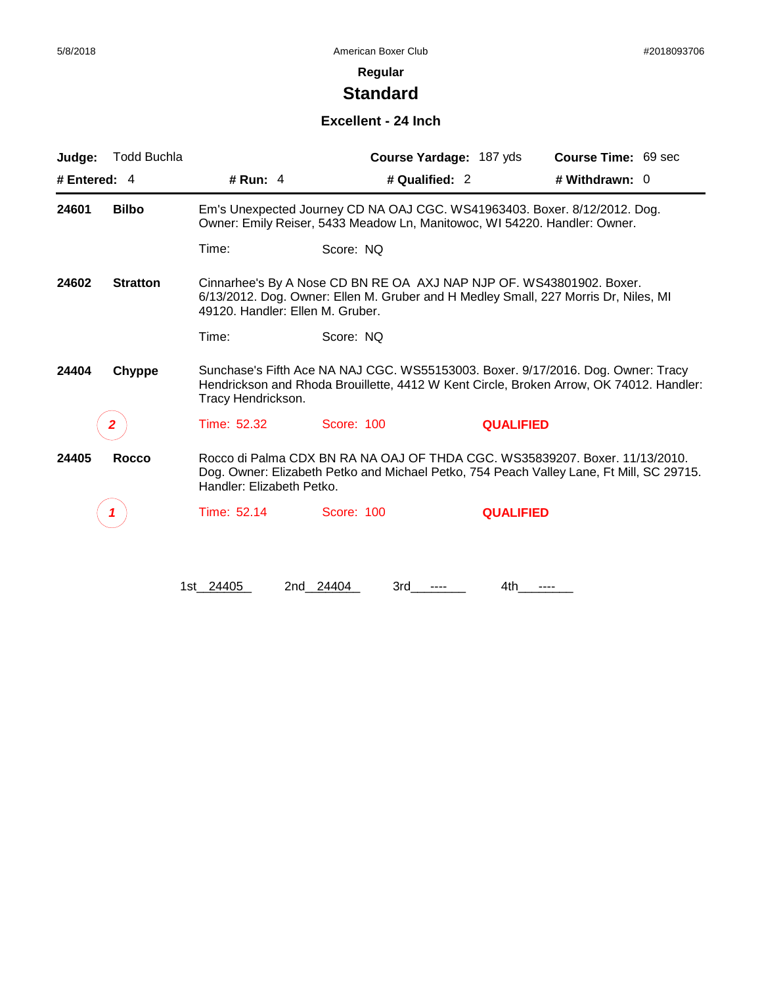# **Standard**

### **Excellent - 24 Inch**

| Judge:         | <b>Todd Buchla</b> |                                  |                                                                                                                                                                                                   | Course Yardage: 187 yds | Course Time: 69 sec                                                                                                                                                     |  |  |
|----------------|--------------------|----------------------------------|---------------------------------------------------------------------------------------------------------------------------------------------------------------------------------------------------|-------------------------|-------------------------------------------------------------------------------------------------------------------------------------------------------------------------|--|--|
| # Entered: $4$ |                    | # Run: $4$                       | # Qualified: 2                                                                                                                                                                                    |                         | # Withdrawn: $0$                                                                                                                                                        |  |  |
| 24601          | <b>Bilbo</b>       |                                  | Em's Unexpected Journey CD NA OAJ CGC. WS41963403. Boxer. 8/12/2012. Dog.<br>Owner: Emily Reiser, 5433 Meadow Ln, Manitowoc, WI 54220. Handler: Owner.                                            |                         |                                                                                                                                                                         |  |  |
|                |                    | Time:                            | Score: NQ                                                                                                                                                                                         |                         |                                                                                                                                                                         |  |  |
| 24602          | <b>Stratton</b>    | 49120. Handler: Ellen M. Gruber. | Cinnarhee's By A Nose CD BN RE OA AXJ NAP NJP OF. WS43801902. Boxer.                                                                                                                              |                         | 6/13/2012. Dog. Owner: Ellen M. Gruber and H Medley Small, 227 Morris Dr, Niles, MI                                                                                     |  |  |
|                |                    | Time:                            | Score: NQ                                                                                                                                                                                         |                         |                                                                                                                                                                         |  |  |
| 24404          | Chyppe             |                                  | Sunchase's Fifth Ace NA NAJ CGC. WS55153003. Boxer. 9/17/2016. Dog. Owner: Tracy<br>Hendrickson and Rhoda Brouillette, 4412 W Kent Circle, Broken Arrow, OK 74012. Handler:<br>Tracy Hendrickson. |                         |                                                                                                                                                                         |  |  |
|                | 2                  | Time: 52.32                      | Score: 100                                                                                                                                                                                        | <b>QUALIFIED</b>        |                                                                                                                                                                         |  |  |
| 24405          | <b>Rocco</b>       | Handler: Elizabeth Petko.        |                                                                                                                                                                                                   |                         | Rocco di Palma CDX BN RA NA OAJ OF THDA CGC. WS35839207. Boxer. 11/13/2010.<br>Dog. Owner: Elizabeth Petko and Michael Petko, 754 Peach Valley Lane, Ft Mill, SC 29715. |  |  |
|                |                    | Time: 52.14                      | Score: 100                                                                                                                                                                                        | <b>QUALIFIED</b>        |                                                                                                                                                                         |  |  |
|                |                    |                                  |                                                                                                                                                                                                   |                         |                                                                                                                                                                         |  |  |
|                |                    | 1st 24405                        | 2nd 24404<br>3rd                                                                                                                                                                                  | 4th                     |                                                                                                                                                                         |  |  |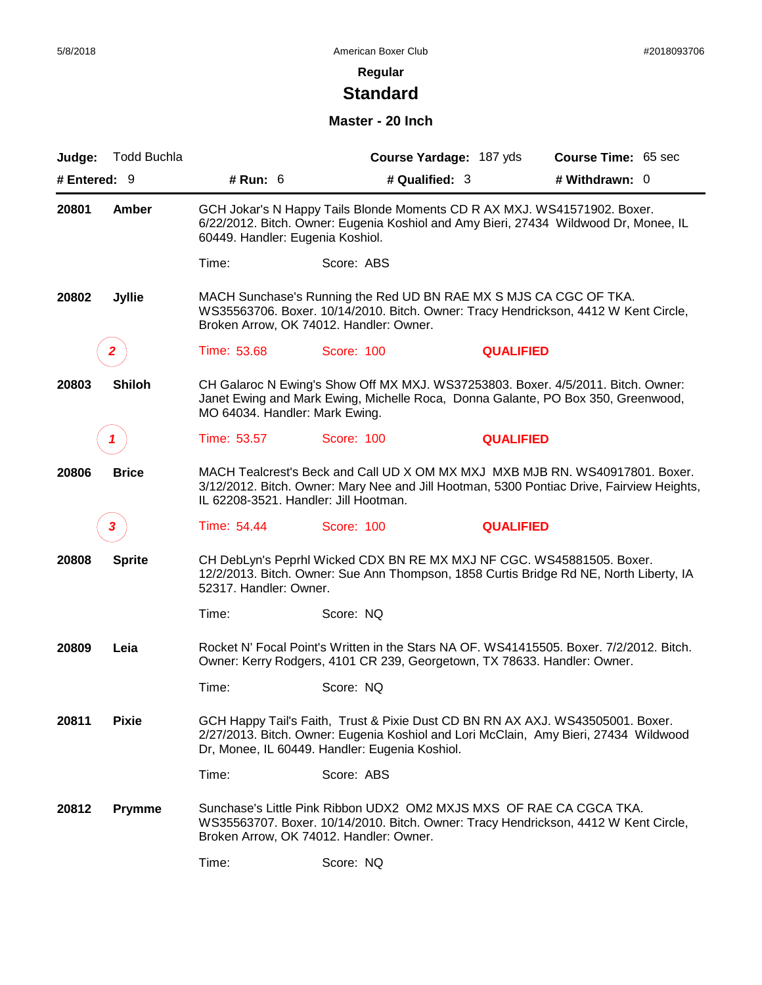# **Standard**

#### **Master - 20 Inch**

| Judge:       | <b>Todd Buchla</b> |                                  |                                                                                                                                                                                                                    | Course Yardage: 187 yds | Course Time: 65 sec                                                                                                                                                    |  |
|--------------|--------------------|----------------------------------|--------------------------------------------------------------------------------------------------------------------------------------------------------------------------------------------------------------------|-------------------------|------------------------------------------------------------------------------------------------------------------------------------------------------------------------|--|
| # Entered: 9 |                    | # Run: 6                         | # Qualified: 3                                                                                                                                                                                                     |                         | # Withdrawn: 0                                                                                                                                                         |  |
| 20801        | Amber              | 60449. Handler: Eugenia Koshiol. | GCH Jokar's N Happy Tails Blonde Moments CD R AX MXJ. WS41571902. Boxer.                                                                                                                                           |                         | 6/22/2012. Bitch. Owner: Eugenia Koshiol and Amy Bieri, 27434 Wildwood Dr, Monee, IL                                                                                   |  |
|              |                    | Time:                            | Score: ABS                                                                                                                                                                                                         |                         |                                                                                                                                                                        |  |
| 20802        | <b>Jyllie</b>      |                                  | MACH Sunchase's Running the Red UD BN RAE MX S MJS CA CGC OF TKA.<br>Broken Arrow, OK 74012. Handler: Owner.                                                                                                       |                         | WS35563706. Boxer. 10/14/2010. Bitch. Owner: Tracy Hendrickson, 4412 W Kent Circle,                                                                                    |  |
|              | $\mathbf{2}$       | Time: 53.68                      | Score: 100                                                                                                                                                                                                         | <b>QUALIFIED</b>        |                                                                                                                                                                        |  |
| 20803        | <b>Shiloh</b>      | MO 64034. Handler: Mark Ewing.   |                                                                                                                                                                                                                    |                         | CH Galaroc N Ewing's Show Off MX MXJ. WS37253803. Boxer. 4/5/2011. Bitch. Owner:<br>Janet Ewing and Mark Ewing, Michelle Roca, Donna Galante, PO Box 350, Greenwood,   |  |
|              | 1                  | Time: 53.57                      | <b>Score: 100</b>                                                                                                                                                                                                  | <b>QUALIFIED</b>        |                                                                                                                                                                        |  |
| 20806        | <b>Brice</b>       |                                  | MACH Tealcrest's Beck and Call UD X OM MX MXJ MXB MJB RN. WS40917801. Boxer.<br>3/12/2012. Bitch. Owner: Mary Nee and Jill Hootman, 5300 Pontiac Drive, Fairview Heights,<br>IL 62208-3521. Handler: Jill Hootman. |                         |                                                                                                                                                                        |  |
|              | 3                  | Time: 54.44                      | Score: 100                                                                                                                                                                                                         | <b>QUALIFIED</b>        |                                                                                                                                                                        |  |
| 20808        | <b>Sprite</b>      | 52317. Handler: Owner.           | CH DebLyn's Peprhl Wicked CDX BN RE MX MXJ NF CGC. WS45881505. Boxer.                                                                                                                                              |                         | 12/2/2013. Bitch. Owner: Sue Ann Thompson, 1858 Curtis Bridge Rd NE, North Liberty, IA                                                                                 |  |
|              |                    | Time:                            | Score: NQ                                                                                                                                                                                                          |                         |                                                                                                                                                                        |  |
| 20809        | Leia               |                                  | Owner: Kerry Rodgers, 4101 CR 239, Georgetown, TX 78633. Handler: Owner.                                                                                                                                           |                         | Rocket N' Focal Point's Written in the Stars NA OF. WS41415505. Boxer. 7/2/2012. Bitch.                                                                                |  |
|              |                    | Time:                            | Score: NQ                                                                                                                                                                                                          |                         |                                                                                                                                                                        |  |
| 20811        | <b>Pixie</b>       |                                  | Dr, Monee, IL 60449. Handler: Eugenia Koshiol.                                                                                                                                                                     |                         | GCH Happy Tail's Faith, Trust & Pixie Dust CD BN RN AX AXJ. WS43505001. Boxer.<br>2/27/2013. Bitch. Owner: Eugenia Koshiol and Lori McClain, Amy Bieri, 27434 Wildwood |  |
|              |                    | Time:                            | Score: ABS                                                                                                                                                                                                         |                         |                                                                                                                                                                        |  |
| 20812        | <b>Prymme</b>      |                                  | Sunchase's Little Pink Ribbon UDX2 OM2 MXJS MXS OF RAE CA CGCA TKA.<br>Broken Arrow, OK 74012. Handler: Owner.                                                                                                     |                         | WS35563707. Boxer. 10/14/2010. Bitch. Owner: Tracy Hendrickson, 4412 W Kent Circle,                                                                                    |  |
|              |                    | Time:                            | Score: NQ                                                                                                                                                                                                          |                         |                                                                                                                                                                        |  |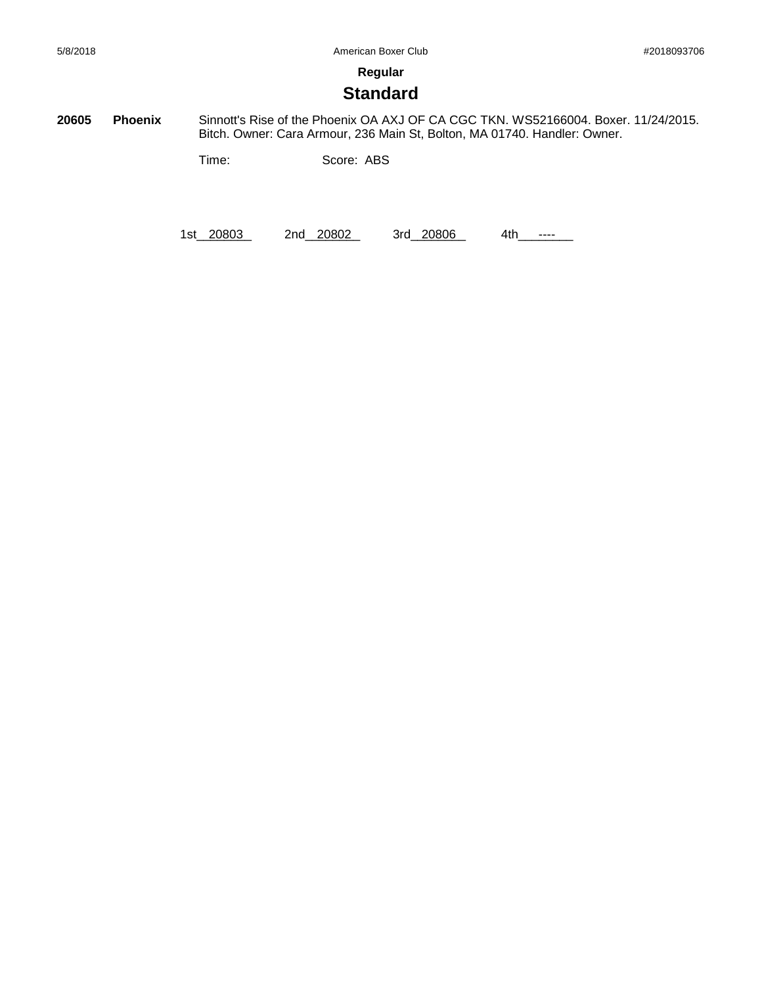**Standard**

**20605 Phoenix** Sinnott's Rise of the Phoenix OA AXJ OF CA CGC TKN. WS52166004. Boxer. 11/24/2015. Bitch. Owner: Cara Armour, 236 Main St, Bolton, MA 01740. Handler: Owner.

Time: Score: ABS

1st\_20803 2nd\_20802 3rd\_20806 4th\_\_\_\_\_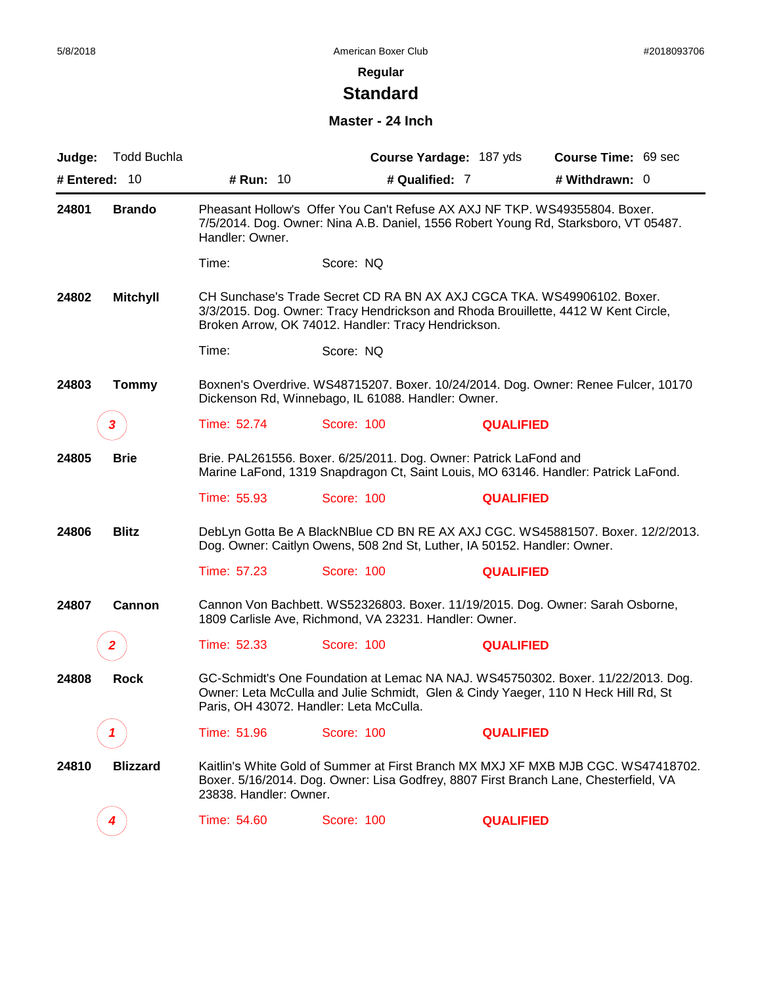# **Standard**

#### **Master - 24 Inch**

| Judge:        | <b>Todd Buchla</b> |                                                                                                                                                                                                                   |                                                                                                                                | Course Yardage: 187 yds | Course Time: 69 sec                                                                                                                                                       |
|---------------|--------------------|-------------------------------------------------------------------------------------------------------------------------------------------------------------------------------------------------------------------|--------------------------------------------------------------------------------------------------------------------------------|-------------------------|---------------------------------------------------------------------------------------------------------------------------------------------------------------------------|
| # Entered: 10 |                    | # Run: 10                                                                                                                                                                                                         | # Qualified: 7                                                                                                                 |                         | # Withdrawn: 0                                                                                                                                                            |
| 24801         | <b>Brando</b>      | Handler: Owner.                                                                                                                                                                                                   | Pheasant Hollow's Offer You Can't Refuse AX AXJ NF TKP. WS49355804. Boxer.                                                     |                         | 7/5/2014. Dog. Owner: Nina A.B. Daniel, 1556 Robert Young Rd, Starksboro, VT 05487.                                                                                       |
|               |                    | Time:                                                                                                                                                                                                             | Score: NQ                                                                                                                      |                         |                                                                                                                                                                           |
| 24802         | <b>Mitchyll</b>    |                                                                                                                                                                                                                   | CH Sunchase's Trade Secret CD RA BN AX AXJ CGCA TKA. WS49906102. Boxer.<br>Broken Arrow, OK 74012. Handler: Tracy Hendrickson. |                         | 3/3/2015. Dog. Owner: Tracy Hendrickson and Rhoda Brouillette, 4412 W Kent Circle,                                                                                        |
|               |                    | Time:                                                                                                                                                                                                             | Score: NQ                                                                                                                      |                         |                                                                                                                                                                           |
| 24803         | <b>Tommy</b>       |                                                                                                                                                                                                                   | Dickenson Rd, Winnebago, IL 61088. Handler: Owner.                                                                             |                         | Boxnen's Overdrive. WS48715207. Boxer. 10/24/2014. Dog. Owner: Renee Fulcer, 10170                                                                                        |
|               | 3                  | Time: 52.74                                                                                                                                                                                                       | Score: 100                                                                                                                     | <b>QUALIFIED</b>        |                                                                                                                                                                           |
| 24805         | <b>Brie</b>        |                                                                                                                                                                                                                   | Brie. PAL261556. Boxer. 6/25/2011. Dog. Owner: Patrick LaFond and                                                              |                         | Marine LaFond, 1319 Snapdragon Ct, Saint Louis, MO 63146. Handler: Patrick LaFond.                                                                                        |
|               |                    | Time: 55.93                                                                                                                                                                                                       | Score: 100                                                                                                                     | <b>QUALIFIED</b>        |                                                                                                                                                                           |
| 24806         | <b>Blitz</b>       |                                                                                                                                                                                                                   | Dog. Owner: Caitlyn Owens, 508 2nd St, Luther, IA 50152. Handler: Owner.                                                       |                         | DebLyn Gotta Be A BlackNBlue CD BN RE AX AXJ CGC. WS45881507. Boxer. 12/2/2013.                                                                                           |
|               |                    | Time: 57.23                                                                                                                                                                                                       | Score: 100                                                                                                                     | <b>QUALIFIED</b>        |                                                                                                                                                                           |
| 24807         | Cannon             |                                                                                                                                                                                                                   | 1809 Carlisle Ave, Richmond, VA 23231. Handler: Owner.                                                                         |                         | Cannon Von Bachbett. WS52326803. Boxer. 11/19/2015. Dog. Owner: Sarah Osborne,                                                                                            |
|               | 2                  | Time: 52.33                                                                                                                                                                                                       | <b>Score: 100</b>                                                                                                              | <b>QUALIFIED</b>        |                                                                                                                                                                           |
| 24808         | <b>Rock</b>        | GC-Schmidt's One Foundation at Lemac NA NAJ. WS45750302. Boxer. 11/22/2013. Dog.<br>Owner: Leta McCulla and Julie Schmidt, Glen & Cindy Yaeger, 110 N Heck Hill Rd, St<br>Paris, OH 43072. Handler: Leta McCulla. |                                                                                                                                |                         |                                                                                                                                                                           |
|               |                    | Time: 51.96                                                                                                                                                                                                       | Score: 100                                                                                                                     | <b>QUALIFIED</b>        |                                                                                                                                                                           |
| 24810         | <b>Blizzard</b>    | 23838. Handler: Owner.                                                                                                                                                                                            |                                                                                                                                |                         | Kaitlin's White Gold of Summer at First Branch MX MXJ XF MXB MJB CGC. WS47418702.<br>Boxer. 5/16/2014. Dog. Owner: Lisa Godfrey, 8807 First Branch Lane, Chesterfield, VA |
|               |                    | Time: 54.60                                                                                                                                                                                                       | <b>Score: 100</b>                                                                                                              | <b>QUALIFIED</b>        |                                                                                                                                                                           |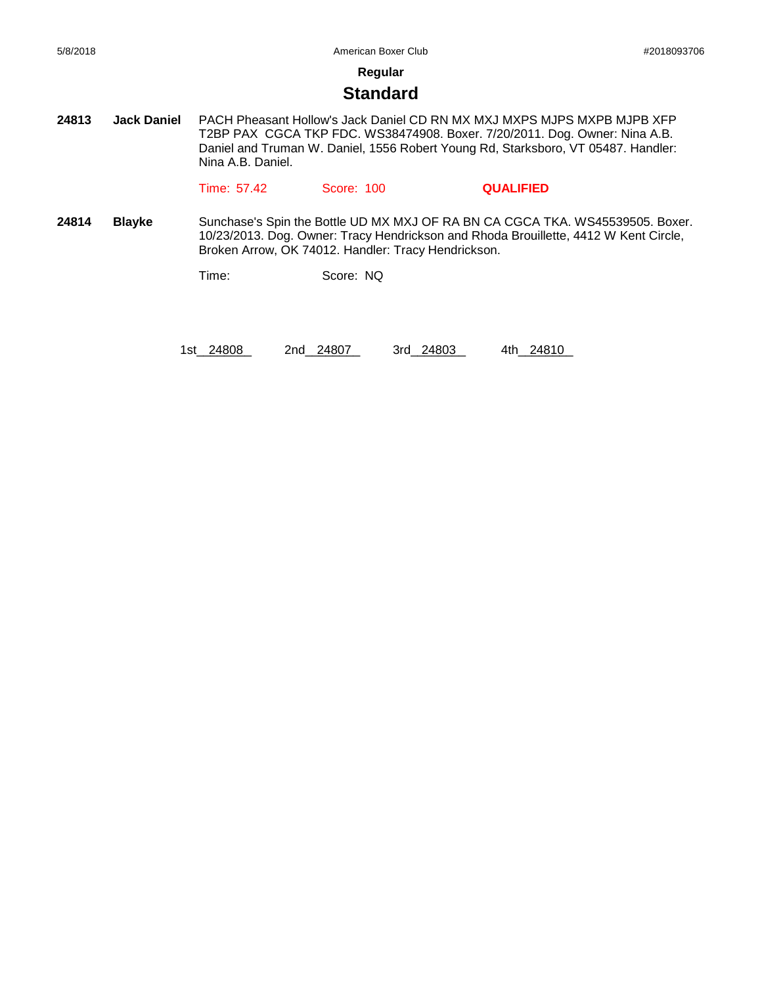#### **Standard**

**24813 Jack Daniel** PACH Pheasant Hollow's Jack Daniel CD RN MX MXJ MXPS MJPS MXPB MJPB XFP T2BP PAX CGCA TKP FDC. WS38474908. Boxer. 7/20/2011. Dog. Owner: Nina A.B. Daniel and Truman W. Daniel, 1556 Robert Young Rd, Starksboro, VT 05487. Handler: Nina A.B. Daniel.

Time: 57.42 Score: 100 **QUALIFIED**

**24814 Blayke** Sunchase's Spin the Bottle UD MX MXJ OF RA BN CA CGCA TKA. WS45539505. Boxer. 10/23/2013. Dog. Owner: Tracy Hendrickson and Rhoda Brouillette, 4412 W Kent Circle, Broken Arrow, OK 74012. Handler: Tracy Hendrickson.

Time: Score: NQ

1st\_24808 2nd\_24807 3rd\_24803 4th\_24810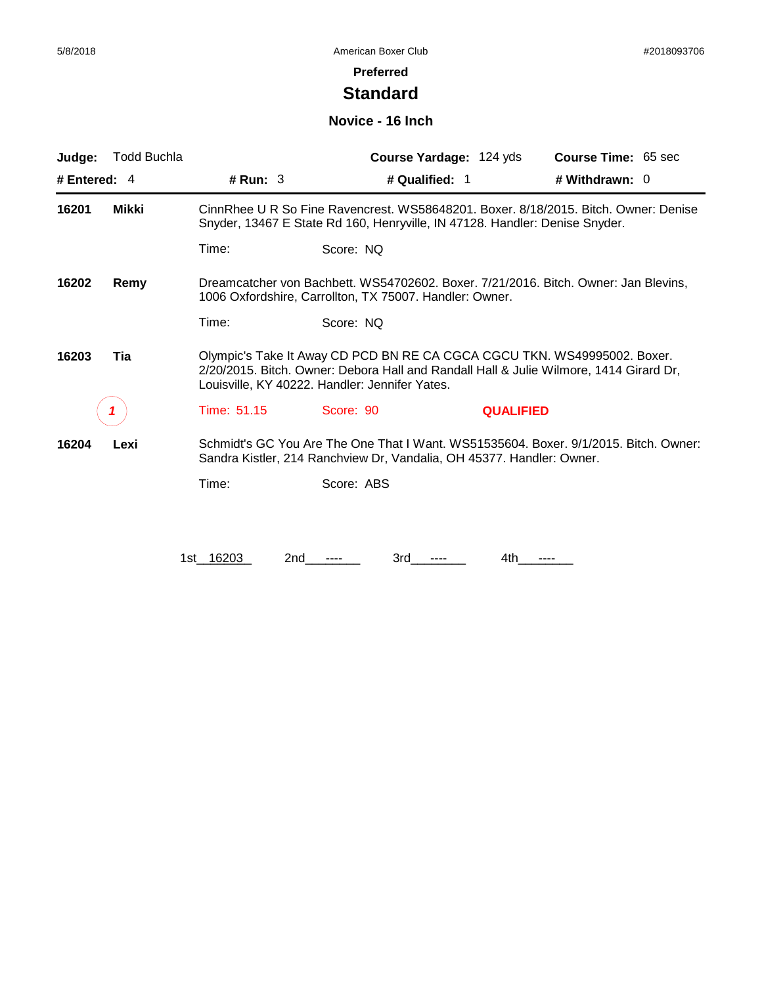#### **Preferred**

# **Standard**

#### **Novice - 16 Inch**

| Judge:         | <b>Todd Buchla</b>                                                                                                                                     |                                                                                                                                                                                                                      | Course Yardage: 124 yds                                                     | Course Time: 65 sec                                                                 |  |  |
|----------------|--------------------------------------------------------------------------------------------------------------------------------------------------------|----------------------------------------------------------------------------------------------------------------------------------------------------------------------------------------------------------------------|-----------------------------------------------------------------------------|-------------------------------------------------------------------------------------|--|--|
| # Entered: $4$ |                                                                                                                                                        | # Run: $3$                                                                                                                                                                                                           | # Qualified: 1                                                              | # Withdrawn: $0$                                                                    |  |  |
| 16201          | Mikki                                                                                                                                                  |                                                                                                                                                                                                                      | Snyder, 13467 E State Rd 160, Henryville, IN 47128. Handler: Denise Snyder. | CinnRhee U R So Fine Ravencrest. WS58648201. Boxer. 8/18/2015. Bitch. Owner: Denise |  |  |
|                |                                                                                                                                                        | Time:                                                                                                                                                                                                                | Score: NQ                                                                   |                                                                                     |  |  |
| 16202          | Dreamcatcher von Bachbett. WS54702602. Boxer. 7/21/2016. Bitch. Owner: Jan Blevins.<br>Remy<br>1006 Oxfordshire, Carrollton, TX 75007. Handler: Owner. |                                                                                                                                                                                                                      |                                                                             |                                                                                     |  |  |
|                |                                                                                                                                                        | Time:                                                                                                                                                                                                                | Score: NQ                                                                   |                                                                                     |  |  |
| 16203          | Tia                                                                                                                                                    | Olympic's Take It Away CD PCD BN RE CA CGCA CGCU TKN. WS49995002. Boxer.<br>2/20/2015. Bitch. Owner: Debora Hall and Randall Hall & Julie Wilmore, 1414 Girard Dr,<br>Louisville, KY 40222. Handler: Jennifer Yates. |                                                                             |                                                                                     |  |  |
|                |                                                                                                                                                        | Time: 51.15                                                                                                                                                                                                          | Score: 90                                                                   | <b>QUALIFIED</b>                                                                    |  |  |
| 16204          | Lexi                                                                                                                                                   | Schmidt's GC You Are The One That I Want. WS51535604. Boxer. 9/1/2015. Bitch. Owner:<br>Sandra Kistler, 214 Ranchview Dr, Vandalia, OH 45377. Handler: Owner.                                                        |                                                                             |                                                                                     |  |  |
|                |                                                                                                                                                        | Time:                                                                                                                                                                                                                | Score: ABS                                                                  |                                                                                     |  |  |
|                |                                                                                                                                                        |                                                                                                                                                                                                                      |                                                                             |                                                                                     |  |  |
|                |                                                                                                                                                        | 1st 16203<br>2nd                                                                                                                                                                                                     | 3rd                                                                         | 4th                                                                                 |  |  |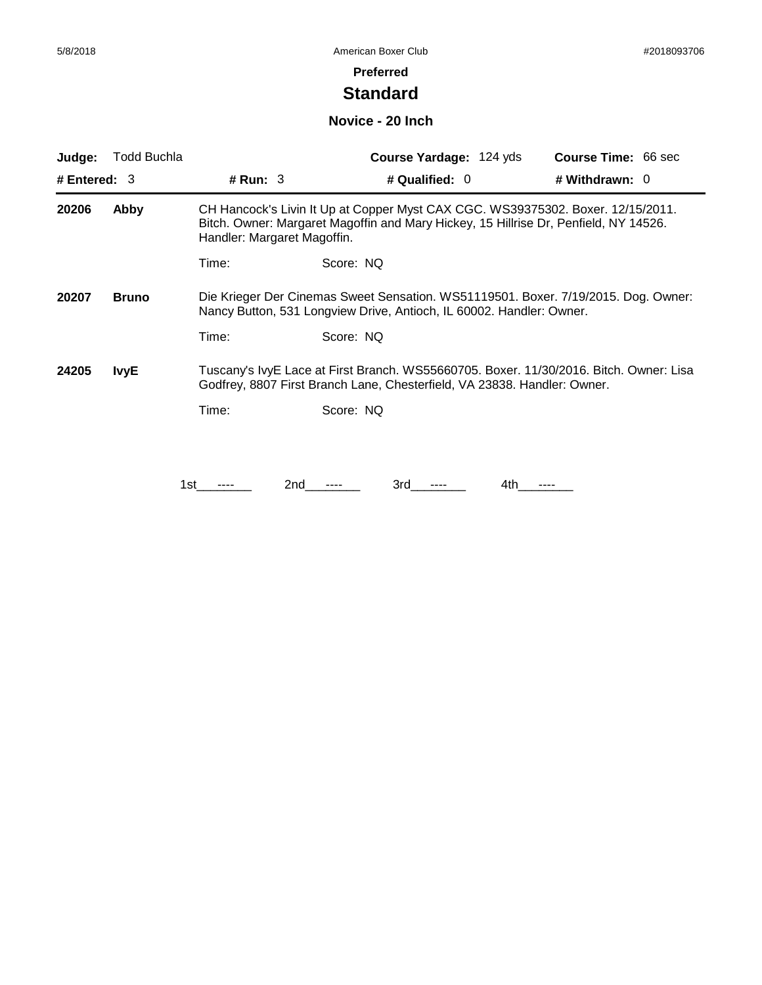# **Standard**

#### **Novice - 20 Inch**

| Judge:         | Todd Buchla  |                                                                                                                                                            | <b>Course Yardage: 124 yds</b>                                                                                                                                          | <b>Course Time: 66 sec</b> |  |  |
|----------------|--------------|------------------------------------------------------------------------------------------------------------------------------------------------------------|-------------------------------------------------------------------------------------------------------------------------------------------------------------------------|----------------------------|--|--|
| # Entered: $3$ |              | # Run: $3$                                                                                                                                                 | # Qualified: 0                                                                                                                                                          | # Withdrawn: 0             |  |  |
| 20206          | Abby         | Handler: Margaret Magoffin.                                                                                                                                | CH Hancock's Livin It Up at Copper Myst CAX CGC. WS39375302. Boxer. 12/15/2011.<br>Bitch. Owner: Margaret Magoffin and Mary Hickey, 15 Hillrise Dr, Penfield, NY 14526. |                            |  |  |
|                |              | Time:                                                                                                                                                      | Score: NQ                                                                                                                                                               |                            |  |  |
| 20207          | <b>Bruno</b> | Die Krieger Der Cinemas Sweet Sensation. WS51119501. Boxer. 7/19/2015. Dog. Owner:<br>Nancy Button, 531 Longview Drive, Antioch, IL 60002. Handler: Owner. |                                                                                                                                                                         |                            |  |  |
|                |              | Time:                                                                                                                                                      | Score: NQ                                                                                                                                                               |                            |  |  |
| 24205          | <b>IvyE</b>  |                                                                                                                                                            | Tuscany's IvyE Lace at First Branch. WS55660705. Boxer. 11/30/2016. Bitch. Owner: Lisa<br>Godfrey, 8807 First Branch Lane, Chesterfield, VA 23838. Handler: Owner.      |                            |  |  |
|                |              | Time:                                                                                                                                                      | Score: NQ                                                                                                                                                               |                            |  |  |
|                |              |                                                                                                                                                            |                                                                                                                                                                         |                            |  |  |
|                |              | 1st                                                                                                                                                        | 2nd<br>3rd<br>4th.                                                                                                                                                      |                            |  |  |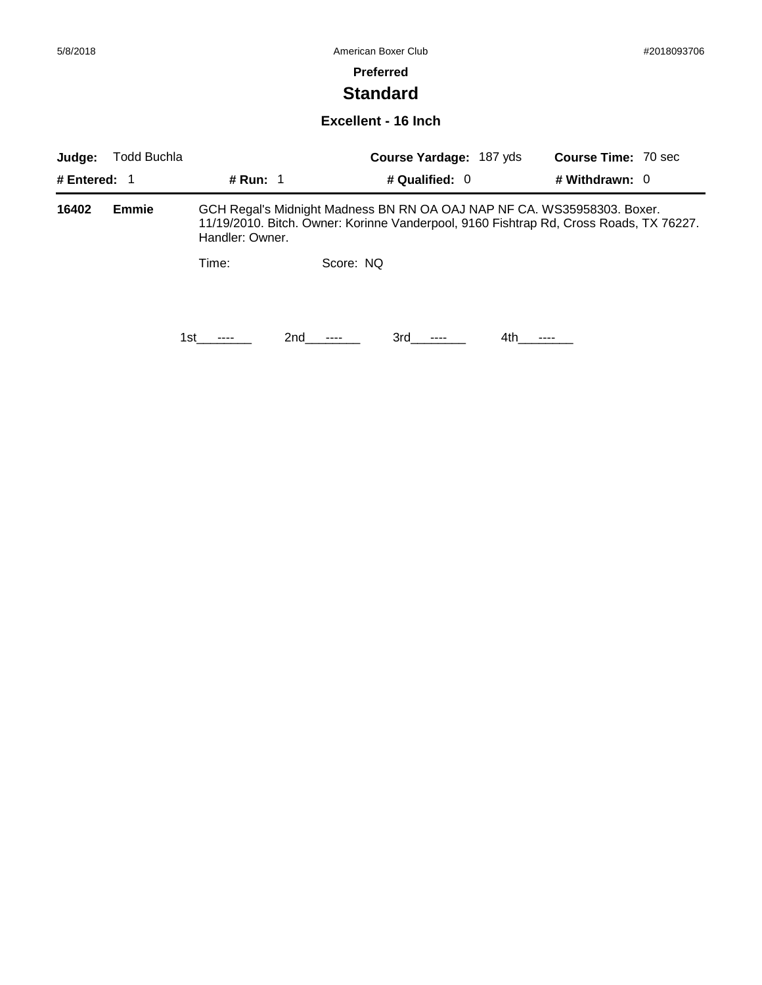# **Standard**

#### **Excellent - 16 Inch**

| Judge:         | <b>Todd Buchla</b> |                 |                                                                                                                                                                   | <b>Course Yardage: 187 yds</b> |      | <b>Course Time: 70 sec</b> |  |
|----------------|--------------------|-----------------|-------------------------------------------------------------------------------------------------------------------------------------------------------------------|--------------------------------|------|----------------------------|--|
| # Entered: $1$ |                    | # Run: 1        |                                                                                                                                                                   | # Qualified: $0$               |      | # Withdrawn: $0$           |  |
| 16402          | Emmie              | Handler: Owner. | GCH Regal's Midnight Madness BN RN OA OAJ NAP NF CA. WS35958303. Boxer.<br>11/19/2010. Bitch. Owner: Korinne Vanderpool, 9160 Fishtrap Rd, Cross Roads, TX 76227. |                                |      |                            |  |
|                |                    | Time:           | Score: NQ                                                                                                                                                         |                                |      |                            |  |
|                |                    | 1st.            | 2nd                                                                                                                                                               | 3rd<br>$- - - -$               | 4th. |                            |  |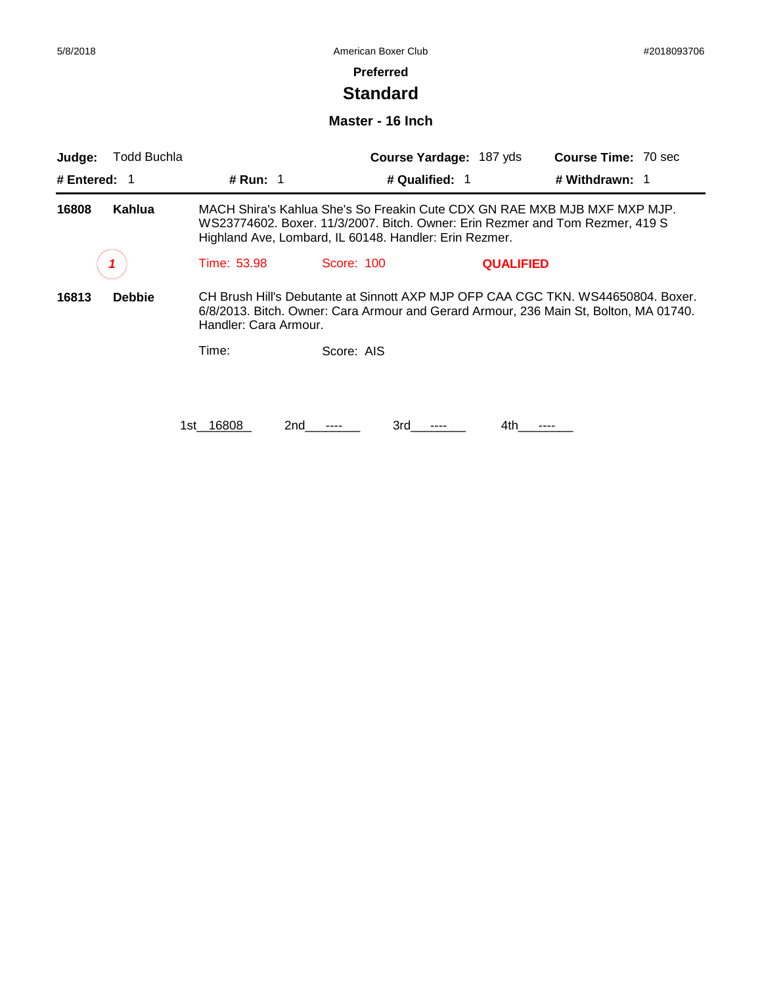# **Standard**

#### **Master - 16 Inch**

| Judge:         | Todd Buchla   |                       |                                                                                                                                                                                                                      | Course Yardage: 187 yds | <b>Course Time: 70 sec</b>                                                                                                                                                |
|----------------|---------------|-----------------------|----------------------------------------------------------------------------------------------------------------------------------------------------------------------------------------------------------------------|-------------------------|---------------------------------------------------------------------------------------------------------------------------------------------------------------------------|
| # Entered: $1$ |               | <b># Run: 1</b>       | # Qualified: 1                                                                                                                                                                                                       |                         | # Withdrawn: 1                                                                                                                                                            |
| 16808          | Kahlua        |                       | MACH Shira's Kahlua She's So Freakin Cute CDX GN RAE MXB MJB MXF MXP MJP.<br>WS23774602. Boxer. 11/3/2007. Bitch. Owner: Erin Rezmer and Tom Rezmer, 419 S<br>Highland Ave, Lombard, IL 60148. Handler: Erin Rezmer. |                         |                                                                                                                                                                           |
|                |               | Time: 53.98           | Score: 100                                                                                                                                                                                                           | <b>QUALIFIED</b>        |                                                                                                                                                                           |
| 16813          | <b>Debbie</b> | Handler: Cara Armour. |                                                                                                                                                                                                                      |                         | CH Brush Hill's Debutante at Sinnott AXP MJP OFP CAA CGC TKN, WS44650804, Boxer,<br>6/8/2013. Bitch. Owner: Cara Armour and Gerard Armour, 236 Main St, Bolton, MA 01740. |
|                |               | Time:                 | Score: AIS                                                                                                                                                                                                           |                         |                                                                                                                                                                           |
|                |               |                       |                                                                                                                                                                                                                      |                         |                                                                                                                                                                           |
|                |               | 1st 16808             | 3rd<br>2nd                                                                                                                                                                                                           | 4th                     |                                                                                                                                                                           |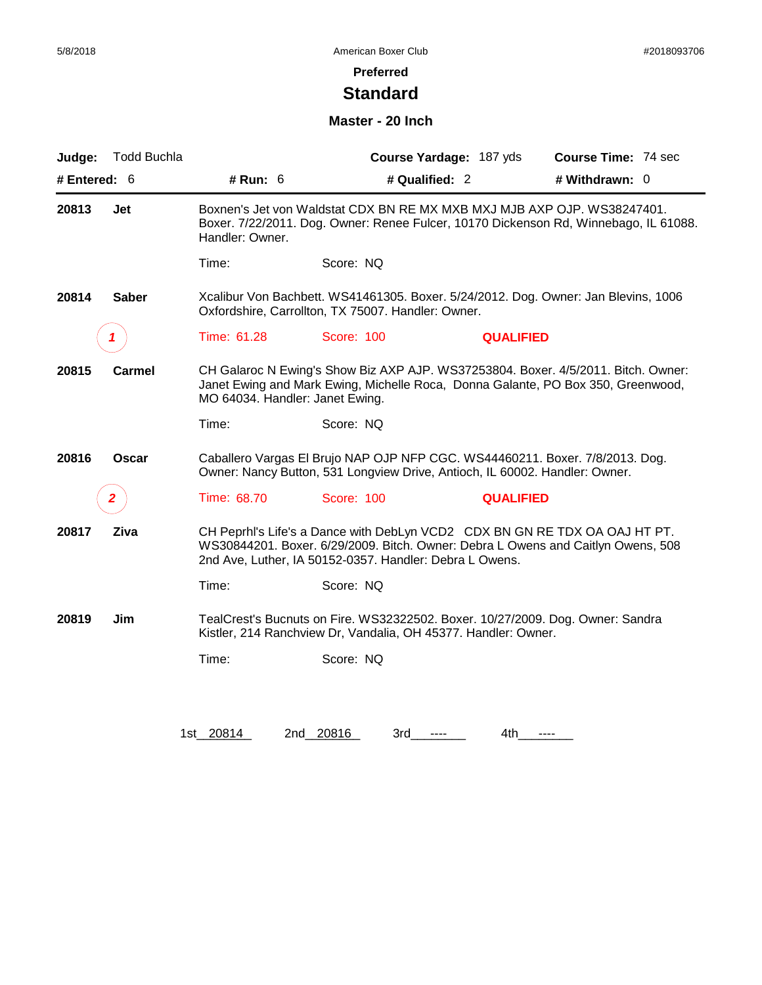# **Standard**

#### **Master - 20 Inch**

| Judge:       | <b>Todd Buchla</b> |                                 | Course Yardage: 187 yds                                                                                                                                     | Course Time: 74 sec                                                                                                                                                   |
|--------------|--------------------|---------------------------------|-------------------------------------------------------------------------------------------------------------------------------------------------------------|-----------------------------------------------------------------------------------------------------------------------------------------------------------------------|
| # Entered: 6 |                    | # Run: 6                        | # Qualified: 2                                                                                                                                              | # Withdrawn: 0                                                                                                                                                        |
| 20813        | Jet                | Handler: Owner.                 | Boxnen's Jet von Waldstat CDX BN RE MX MXB MXJ MJB AXP OJP. WS38247401.                                                                                     | Boxer. 7/22/2011. Dog. Owner: Renee Fulcer, 10170 Dickenson Rd, Winnebago, IL 61088.                                                                                  |
|              |                    | Time:                           | Score: NQ                                                                                                                                                   |                                                                                                                                                                       |
| 20814        | <b>Saber</b>       |                                 | Oxfordshire, Carrollton, TX 75007. Handler: Owner.                                                                                                          | Xcalibur Von Bachbett. WS41461305. Boxer. 5/24/2012. Dog. Owner: Jan Blevins, 1006                                                                                    |
|              |                    | Time: 61.28                     | Score: 100                                                                                                                                                  | <b>QUALIFIED</b>                                                                                                                                                      |
| 20815        | Carmel             | MO 64034. Handler: Janet Ewing. |                                                                                                                                                             | CH Galaroc N Ewing's Show Biz AXP AJP. WS37253804. Boxer. 4/5/2011. Bitch. Owner:<br>Janet Ewing and Mark Ewing, Michelle Roca, Donna Galante, PO Box 350, Greenwood, |
|              |                    | Time:                           | Score: NQ                                                                                                                                                   |                                                                                                                                                                       |
| 20816        | <b>Oscar</b>       |                                 | Caballero Vargas El Brujo NAP OJP NFP CGC. WS44460211. Boxer. 7/8/2013. Dog.<br>Owner: Nancy Button, 531 Longview Drive, Antioch, IL 60002. Handler: Owner. |                                                                                                                                                                       |
|              | 2                  | Time: 68.70                     | Score: 100                                                                                                                                                  | <b>QUALIFIED</b>                                                                                                                                                      |
| 20817        | Ziva               |                                 | 2nd Ave, Luther, IA 50152-0357. Handler: Debra L Owens.                                                                                                     | CH Peprhl's Life's a Dance with DebLyn VCD2 CDX BN GN RE TDX OA OAJ HT PT.<br>WS30844201. Boxer. 6/29/2009. Bitch. Owner: Debra L Owens and Caitlyn Owens, 508        |
|              |                    | Time:                           | Score: NQ                                                                                                                                                   |                                                                                                                                                                       |
| 20819        | Jim                |                                 | TealCrest's Bucnuts on Fire. WS32322502. Boxer. 10/27/2009. Dog. Owner: Sandra<br>Kistler, 214 Ranchview Dr, Vandalia, OH 45377. Handler: Owner.            |                                                                                                                                                                       |
|              |                    | Time:                           | Score: NQ                                                                                                                                                   |                                                                                                                                                                       |
|              |                    |                                 |                                                                                                                                                             |                                                                                                                                                                       |
|              |                    | 1st 20814                       | 2nd 20816<br>3rd                                                                                                                                            | 4th<br>$\cdots$                                                                                                                                                       |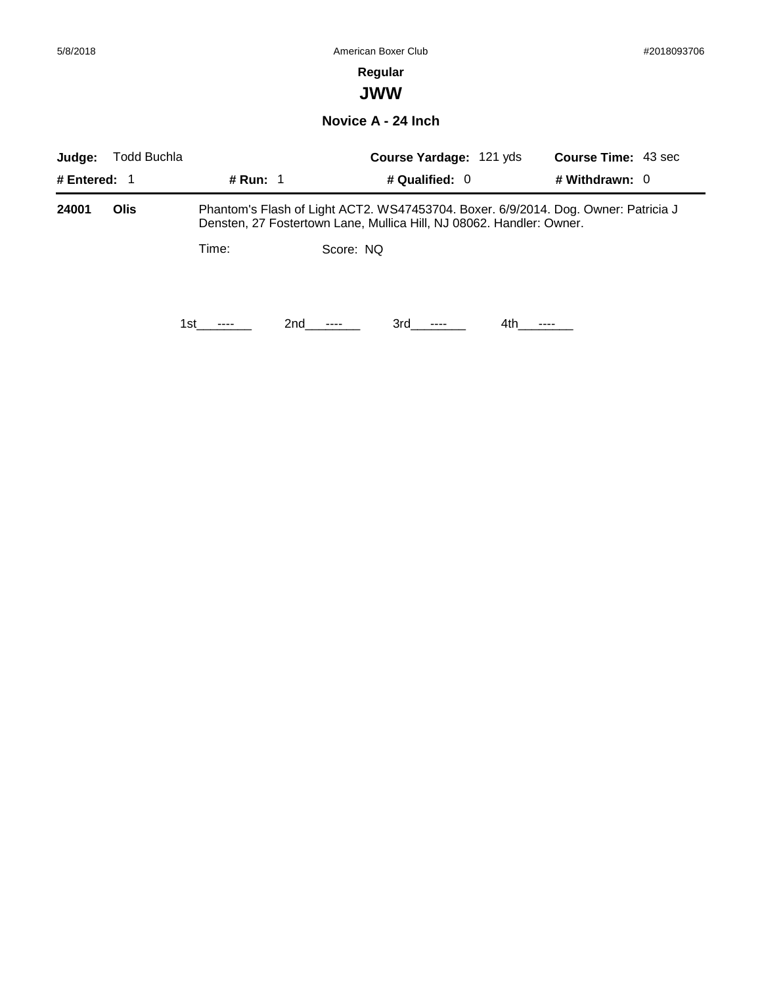### **Regular**

**JWW**

**Novice A - 24 Inch**

| Judge:         | Todd Buchla |                                                                                                                                                            |           | <b>Course Yardage: 121 yds</b> |     | <b>Course Time: 43 sec</b> |
|----------------|-------------|------------------------------------------------------------------------------------------------------------------------------------------------------------|-----------|--------------------------------|-----|----------------------------|
| # Entered: $1$ |             | # Run: 1                                                                                                                                                   |           | # Qualified: 0                 |     | # Withdrawn: $0$           |
| 24001          | Olis        | Phantom's Flash of Light ACT2. WS47453704. Boxer. 6/9/2014. Dog. Owner: Patricia J<br>Densten, 27 Fostertown Lane, Mullica Hill, NJ 08062. Handler: Owner. |           |                                |     |                            |
|                |             | Time:                                                                                                                                                      | Score: NQ |                                |     |                            |
|                |             | 1st.<br>----                                                                                                                                               | 2nd       | 3rd                            | 4th |                            |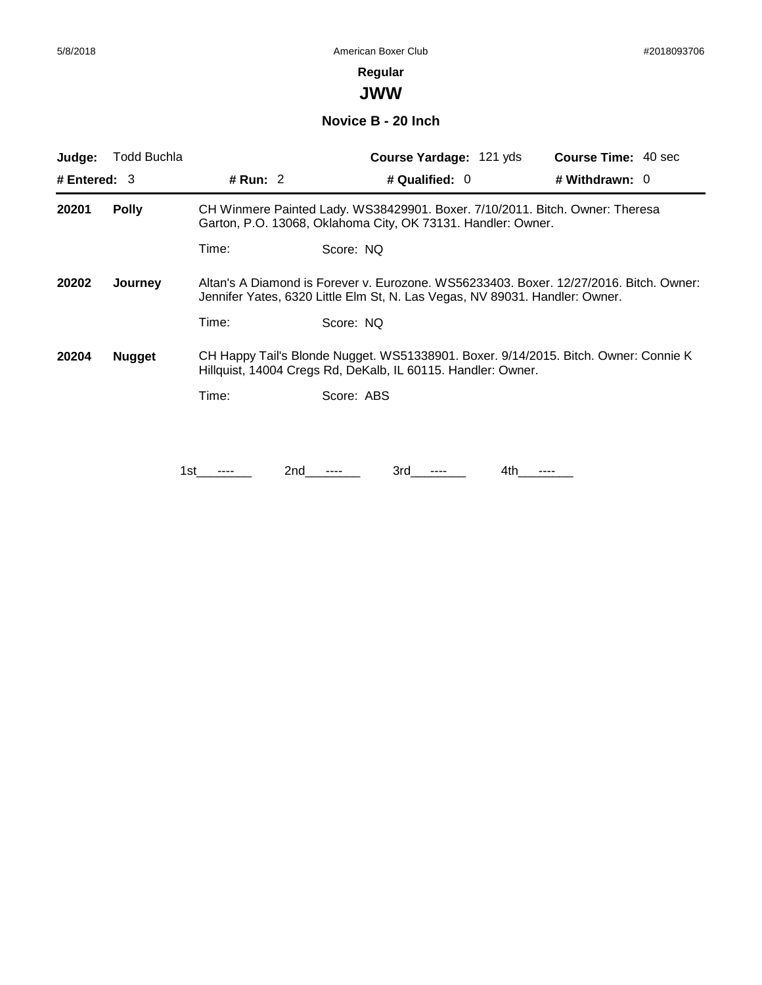# **Regular**

**JWW**

**Novice B - 20 Inch**

| Judge:                                                                                                                                                                                    | <b>Todd Buchla</b> |            | <b>Course Yardage: 121 yds</b>                                                                                                               | <b>Course Time: 40 sec</b> |
|-------------------------------------------------------------------------------------------------------------------------------------------------------------------------------------------|--------------------|------------|----------------------------------------------------------------------------------------------------------------------------------------------|----------------------------|
| # Entered: $3$                                                                                                                                                                            |                    | # Run: $2$ | # Qualified: 0                                                                                                                               | # Withdrawn: $0$           |
| 20201                                                                                                                                                                                     | <b>Polly</b>       |            | CH Winmere Painted Lady. WS38429901. Boxer. 7/10/2011. Bitch. Owner: Theresa<br>Garton, P.O. 13068, Oklahoma City, OK 73131. Handler: Owner. |                            |
|                                                                                                                                                                                           |                    | Time:      | Score: NQ                                                                                                                                    |                            |
| Altan's A Diamond is Forever v. Eurozone, WS56233403, Boxer, 12/27/2016, Bitch, Owner:<br>20202<br>Journey<br>Jennifer Yates, 6320 Little Elm St, N. Las Vegas, NV 89031. Handler: Owner. |                    |            |                                                                                                                                              |                            |
|                                                                                                                                                                                           |                    | Time:      | Score: NQ                                                                                                                                    |                            |
| CH Happy Tail's Blonde Nugget. WS51338901. Boxer. 9/14/2015. Bitch. Owner: Connie K<br>20204<br><b>Nugget</b><br>Hillquist, 14004 Cregs Rd, DeKalb, IL 60115. Handler: Owner.             |                    |            |                                                                                                                                              |                            |
|                                                                                                                                                                                           |                    | Time:      | Score: ABS                                                                                                                                   |                            |
|                                                                                                                                                                                           |                    |            |                                                                                                                                              |                            |
|                                                                                                                                                                                           |                    | 1st        | 3rd<br>2nd<br>4th                                                                                                                            | ----                       |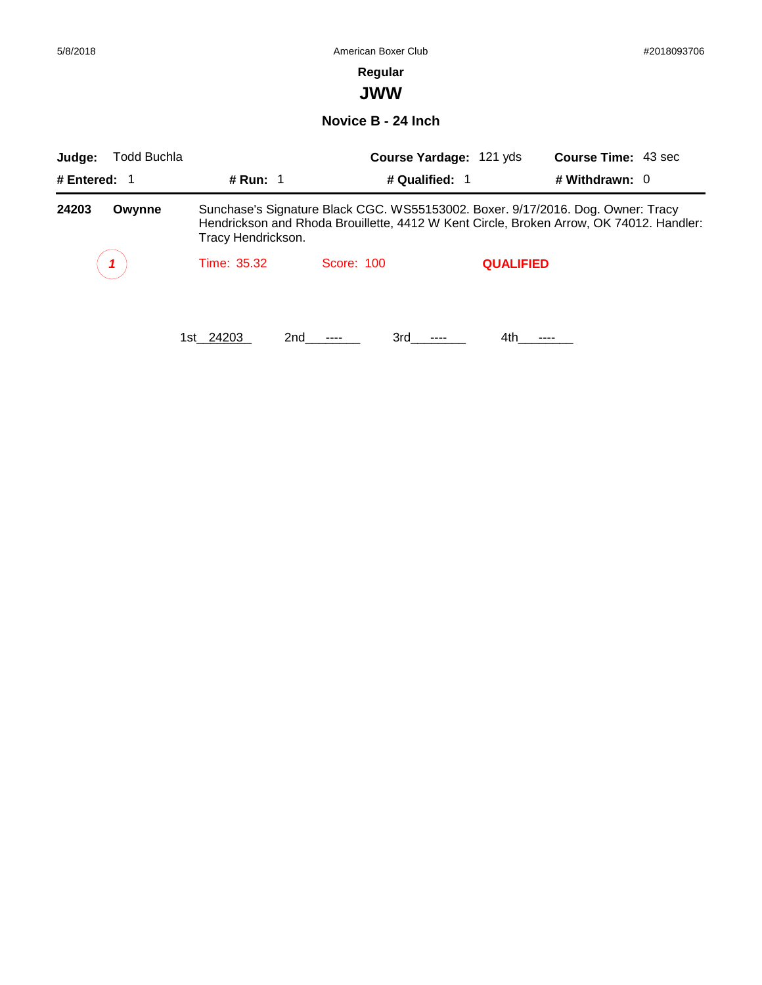#### **Regular**

**JWW**

**Novice B - 24 Inch**

| Judge:         | <b>Todd Buchla</b> |                    |            | Course Yardage: 121 yds | <b>Course Time: 43 sec</b>                                                                                                                                                 |
|----------------|--------------------|--------------------|------------|-------------------------|----------------------------------------------------------------------------------------------------------------------------------------------------------------------------|
| # Entered: $1$ |                    | # Run: $1$         |            | # Qualified: 1          | # Withdrawn: $0$                                                                                                                                                           |
| 24203          | Owynne             | Tracy Hendrickson. |            |                         | Sunchase's Signature Black CGC. WS55153002. Boxer. 9/17/2016. Dog. Owner: Tracy<br>Hendrickson and Rhoda Brouillette, 4412 W Kent Circle, Broken Arrow, OK 74012. Handler: |
|                |                    | Time: 35.32        | Score: 100 | <b>QUALIFIED</b>        |                                                                                                                                                                            |
|                |                    | 1st 24203          | 2nd        | 3rd<br>4th.             |                                                                                                                                                                            |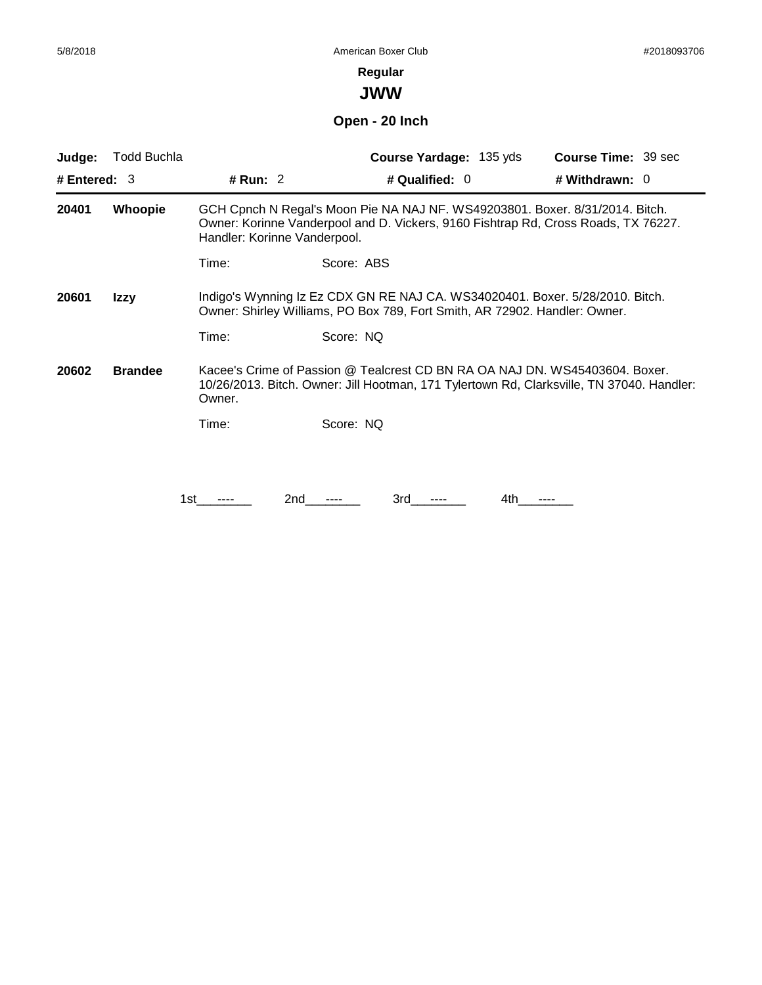**JWW**

# **Open - 20 Inch**

| Judge:         | Todd Buchla    |                              | <b>Course Yardage: 135 yds</b>                                                                                                                                           | <b>Course Time: 39 sec</b> |
|----------------|----------------|------------------------------|--------------------------------------------------------------------------------------------------------------------------------------------------------------------------|----------------------------|
| # Entered: $3$ |                | # Run: 2                     | # Qualified: 0                                                                                                                                                           | # Withdrawn: 0             |
| 20401          | Whoopie        | Handler: Korinne Vanderpool. | GCH Cpnch N Regal's Moon Pie NA NAJ NF. WS49203801. Boxer. 8/31/2014. Bitch.<br>Owner: Korinne Vanderpool and D. Vickers, 9160 Fishtrap Rd, Cross Roads, TX 76227.       |                            |
|                |                | Time:                        | Score: ABS                                                                                                                                                               |                            |
| 20601          | Izzy           |                              | Indigo's Wynning Iz Ez CDX GN RE NAJ CA. WS34020401. Boxer. 5/28/2010. Bitch.<br>Owner: Shirley Williams, PO Box 789, Fort Smith, AR 72902. Handler: Owner.              |                            |
|                |                | Time:                        | Score: NQ                                                                                                                                                                |                            |
| 20602          | <b>Brandee</b> | Owner.                       | Kacee's Crime of Passion @ Tealcrest CD BN RA OA NAJ DN. WS45403604. Boxer.<br>10/26/2013. Bitch. Owner: Jill Hootman, 171 Tylertown Rd, Clarksville, TN 37040. Handler: |                            |
|                |                | Time:                        | Score: NQ                                                                                                                                                                |                            |
|                |                |                              |                                                                                                                                                                          |                            |
|                |                | 2nd<br>1st                   | 3rd<br>4th                                                                                                                                                               |                            |
|                |                |                              |                                                                                                                                                                          |                            |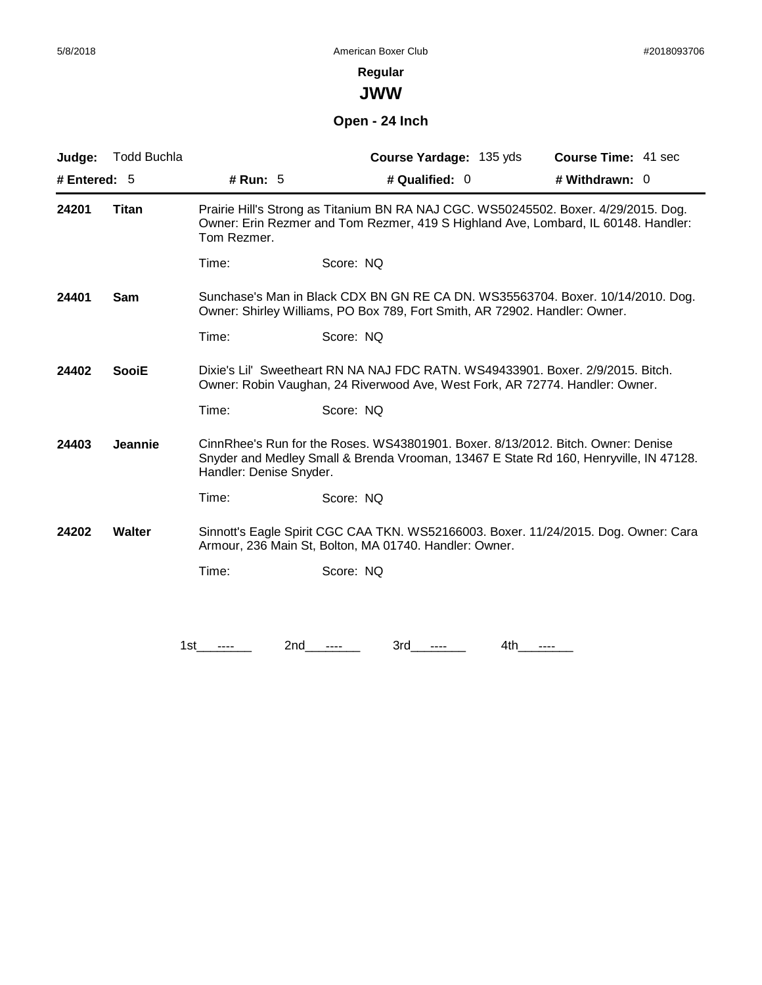**JWW**

# **Open - 24 Inch**

| Judge:         | <b>Todd Buchla</b> |                         | Course Yardage: 135 yds                                                      | <b>Course Time: 41 sec</b>                                                                                                                                                |
|----------------|--------------------|-------------------------|------------------------------------------------------------------------------|---------------------------------------------------------------------------------------------------------------------------------------------------------------------------|
| # Entered: $5$ |                    | # Run: $5$              | # Qualified: $0$                                                             | # Withdrawn: $0$                                                                                                                                                          |
| 24201          | <b>Titan</b>       | Tom Rezmer.             |                                                                              | Prairie Hill's Strong as Titanium BN RA NAJ CGC. WS50245502. Boxer. 4/29/2015. Dog.<br>Owner: Erin Rezmer and Tom Rezmer, 419 S Highland Ave, Lombard, IL 60148. Handler: |
|                |                    | Time:                   | Score: NQ                                                                    |                                                                                                                                                                           |
| 24401          | Sam                |                         | Owner: Shirley Williams, PO Box 789, Fort Smith, AR 72902. Handler: Owner.   | Sunchase's Man in Black CDX BN GN RE CA DN. WS35563704. Boxer. 10/14/2010. Dog.                                                                                           |
|                |                    | Time:                   | Score: NQ                                                                    |                                                                                                                                                                           |
| 24402          | <b>SooiE</b>       |                         | Owner: Robin Vaughan, 24 Riverwood Ave, West Fork, AR 72774. Handler: Owner. | Dixie's Lil' Sweetheart RN NA NAJ FDC RATN. WS49433901. Boxer. 2/9/2015. Bitch.                                                                                           |
|                |                    | Time:                   | Score: NQ                                                                    |                                                                                                                                                                           |
| 24403          | <b>Jeannie</b>     | Handler: Denise Snyder. |                                                                              | CinnRhee's Run for the Roses. WS43801901. Boxer. 8/13/2012. Bitch. Owner: Denise<br>Snyder and Medley Small & Brenda Vrooman, 13467 E State Rd 160, Henryville, IN 47128. |
|                |                    | Time:                   | Score: NQ                                                                    |                                                                                                                                                                           |
| 24202          | <b>Walter</b>      |                         | Armour, 236 Main St, Bolton, MA 01740. Handler: Owner.                       | Sinnott's Eagle Spirit CGC CAA TKN. WS52166003. Boxer. 11/24/2015. Dog. Owner: Cara                                                                                       |
|                |                    | Time:                   | Score: NQ                                                                    |                                                                                                                                                                           |
|                |                    |                         |                                                                              |                                                                                                                                                                           |
|                |                    |                         |                                                                              |                                                                                                                                                                           |
|                |                    | 1st<br>2nd              | 3rd                                                                          | 4th                                                                                                                                                                       |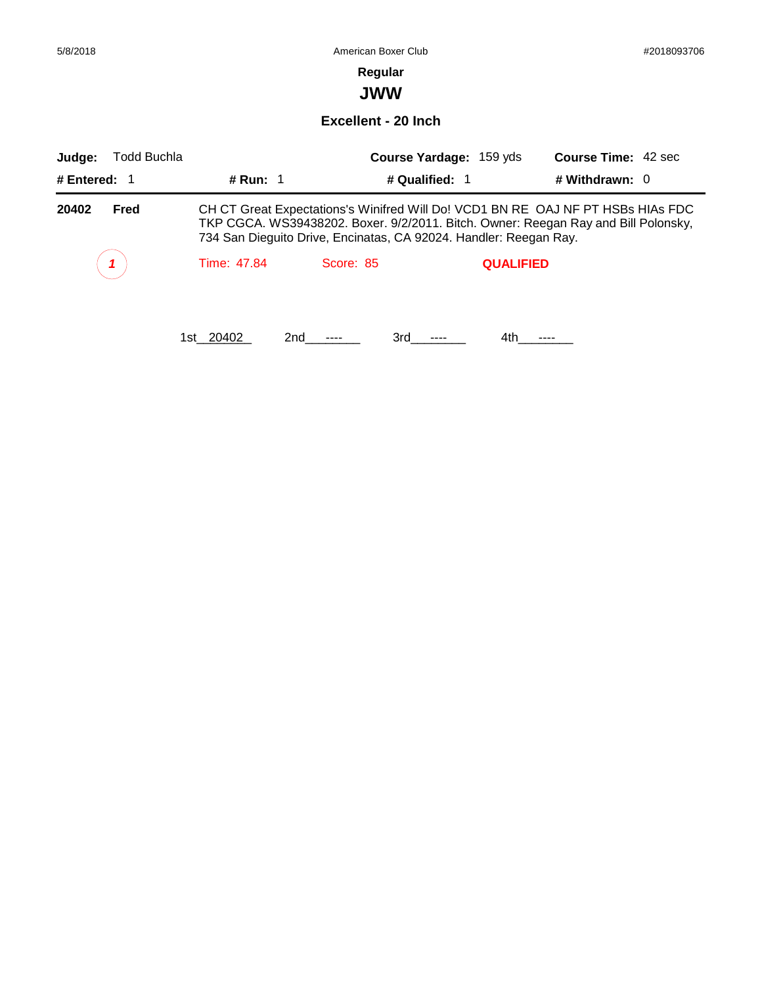**JWW**

**Excellent - 20 Inch**

| Judge:       | Todd Buchla |             |           | Course Yardage: 159 yds                                           |                  | <b>Course Time: 42 sec</b>                                                                                                                                            |
|--------------|-------------|-------------|-----------|-------------------------------------------------------------------|------------------|-----------------------------------------------------------------------------------------------------------------------------------------------------------------------|
| # Entered: 1 |             | # Run: $1$  |           | # Qualified: 1                                                    |                  | # Withdrawn: $0$                                                                                                                                                      |
| 20402        | Fred        |             |           | 734 San Dieguito Drive, Encinatas, CA 92024. Handler: Reegan Ray. |                  | CH CT Great Expectations's Winifred Will Do! VCD1 BN RE OAJ NF PT HSBs HIAs FDC<br>TKP CGCA. WS39438202. Boxer. 9/2/2011. Bitch. Owner: Reegan Ray and Bill Polonsky, |
|              |             | Time: 47.84 | Score: 85 |                                                                   | <b>QUALIFIED</b> |                                                                                                                                                                       |
|              |             | 1st 20402   | 2nd       | 3rd                                                               | 4th.             |                                                                                                                                                                       |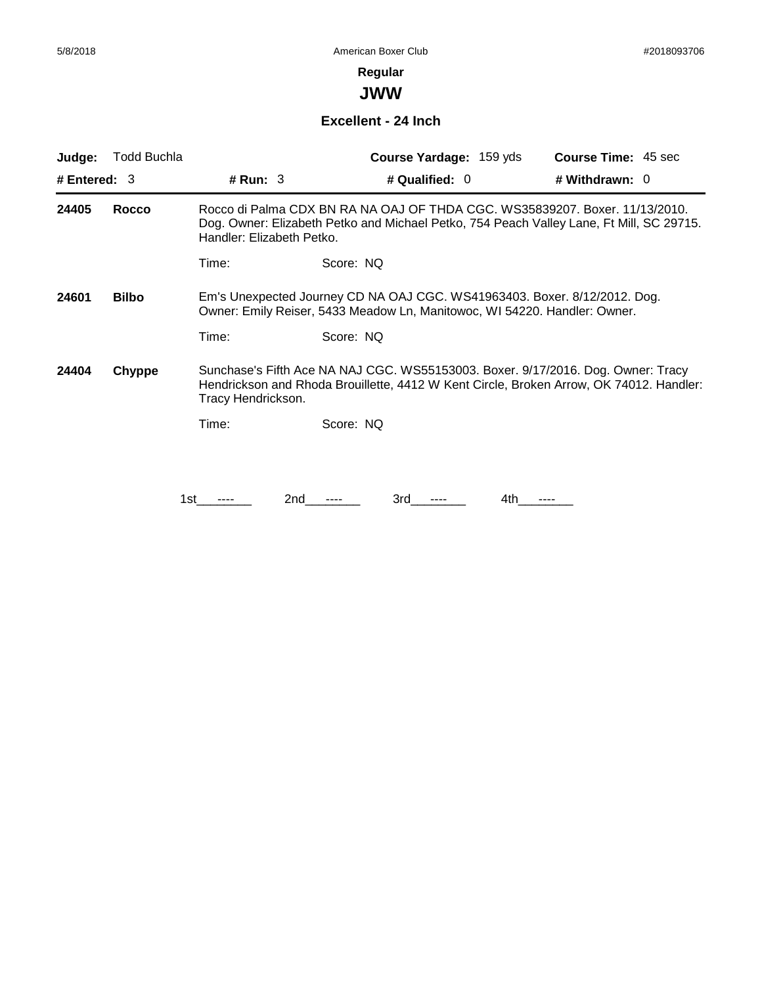**JWW**

#### **Excellent - 24 Inch**

| Judge:         | Todd Buchla  |                                                                                                                                                                                                   | <b>Course Yardage: 159 yds</b>                                                                                                                                          | <b>Course Time: 45 sec</b> |  |
|----------------|--------------|---------------------------------------------------------------------------------------------------------------------------------------------------------------------------------------------------|-------------------------------------------------------------------------------------------------------------------------------------------------------------------------|----------------------------|--|
| # Entered: $3$ |              | # Run: $3$                                                                                                                                                                                        | # Qualified: 0                                                                                                                                                          | # Withdrawn: 0             |  |
| 24405          | <b>Rocco</b> | Handler: Elizabeth Petko.                                                                                                                                                                         | Rocco di Palma CDX BN RA NA OAJ OF THDA CGC. WS35839207. Boxer. 11/13/2010.<br>Dog. Owner: Elizabeth Petko and Michael Petko, 754 Peach Valley Lane, Ft Mill, SC 29715. |                            |  |
|                |              | Time:                                                                                                                                                                                             | Score: NQ                                                                                                                                                               |                            |  |
| 24601          | <b>Bilbo</b> |                                                                                                                                                                                                   | Em's Unexpected Journey CD NA OAJ CGC. WS41963403. Boxer. 8/12/2012. Dog.<br>Owner: Emily Reiser, 5433 Meadow Ln, Manitowoc, WI 54220. Handler: Owner.                  |                            |  |
|                |              | Time:                                                                                                                                                                                             | Score: NQ                                                                                                                                                               |                            |  |
| 24404          | Chyppe       | Sunchase's Fifth Ace NA NAJ CGC. WS55153003. Boxer. 9/17/2016. Dog. Owner: Tracy<br>Hendrickson and Rhoda Brouillette, 4412 W Kent Circle, Broken Arrow, OK 74012. Handler:<br>Tracy Hendrickson. |                                                                                                                                                                         |                            |  |
|                |              | Time:                                                                                                                                                                                             | Score: NQ                                                                                                                                                               |                            |  |
|                |              |                                                                                                                                                                                                   |                                                                                                                                                                         |                            |  |
|                |              | 1st                                                                                                                                                                                               | 2nd<br>3rd<br>4th                                                                                                                                                       |                            |  |
|                |              |                                                                                                                                                                                                   |                                                                                                                                                                         |                            |  |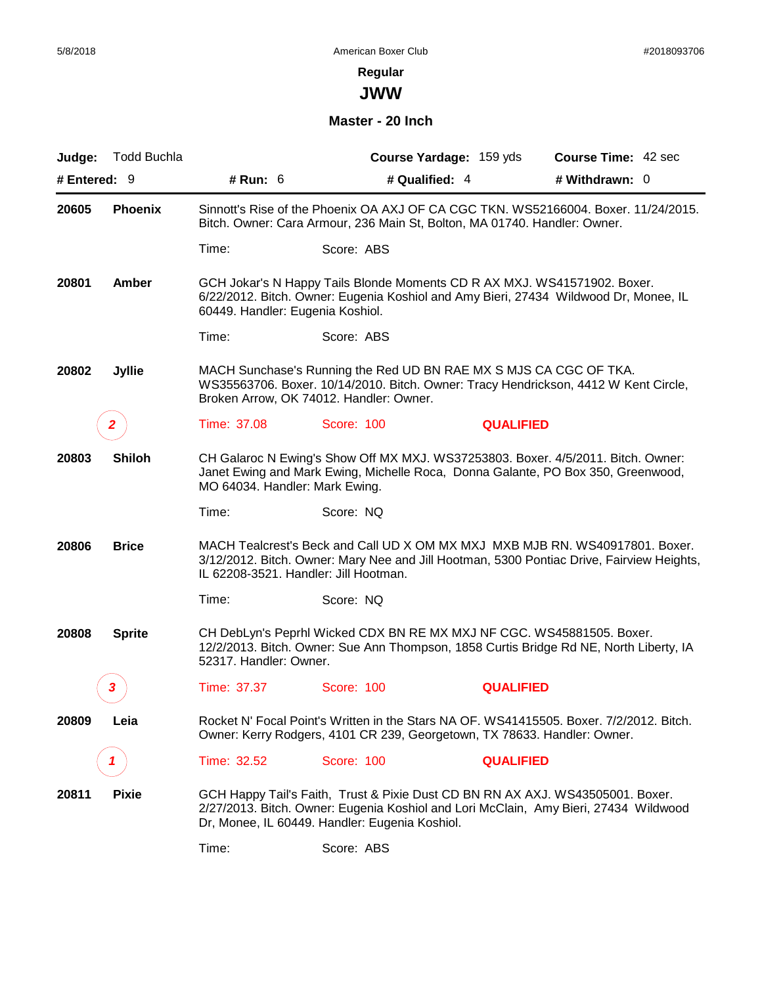# **Regular**

**JWW**

#### **Master - 20 Inch**

| Judge:         | <b>Todd Buchla</b> |                                       | Course Yardage: 159 yds                                                                                                                                                                                                  |                  | <b>Course Time: 42 sec</b> |
|----------------|--------------------|---------------------------------------|--------------------------------------------------------------------------------------------------------------------------------------------------------------------------------------------------------------------------|------------------|----------------------------|
| # Entered: $9$ |                    | # Run: $6$                            | # Qualified: 4                                                                                                                                                                                                           |                  | # Withdrawn: 0             |
| 20605          | <b>Phoenix</b>     |                                       | Sinnott's Rise of the Phoenix OA AXJ OF CA CGC TKN. WS52166004. Boxer. 11/24/2015.<br>Bitch. Owner: Cara Armour, 236 Main St, Bolton, MA 01740. Handler: Owner.                                                          |                  |                            |
|                |                    | Time:                                 | Score: ABS                                                                                                                                                                                                               |                  |                            |
| 20801          | Amber              | 60449. Handler: Eugenia Koshiol.      | GCH Jokar's N Happy Tails Blonde Moments CD R AX MXJ. WS41571902. Boxer.<br>6/22/2012. Bitch. Owner: Eugenia Koshiol and Amy Bieri, 27434 Wildwood Dr, Monee, IL                                                         |                  |                            |
|                |                    | Time:                                 | Score: ABS                                                                                                                                                                                                               |                  |                            |
| 20802          | <b>Jyllie</b>      |                                       | MACH Sunchase's Running the Red UD BN RAE MX S MJS CA CGC OF TKA.<br>WS35563706. Boxer. 10/14/2010. Bitch. Owner: Tracy Hendrickson, 4412 W Kent Circle,<br>Broken Arrow, OK 74012. Handler: Owner.                      |                  |                            |
|                | 2                  | Time: 37.08                           | Score: 100                                                                                                                                                                                                               | <b>QUALIFIED</b> |                            |
| 20803          | <b>Shiloh</b>      | MO 64034. Handler: Mark Ewing.        | CH Galaroc N Ewing's Show Off MX MXJ. WS37253803. Boxer. 4/5/2011. Bitch. Owner:<br>Janet Ewing and Mark Ewing, Michelle Roca, Donna Galante, PO Box 350, Greenwood,                                                     |                  |                            |
|                |                    | Time:                                 | Score: NQ                                                                                                                                                                                                                |                  |                            |
| 20806          | <b>Brice</b>       | IL 62208-3521. Handler: Jill Hootman. | MACH Tealcrest's Beck and Call UD X OM MX MXJ MXB MJB RN. WS40917801. Boxer.<br>3/12/2012. Bitch. Owner: Mary Nee and Jill Hootman, 5300 Pontiac Drive, Fairview Heights,                                                |                  |                            |
|                |                    | Time:                                 | Score: NQ                                                                                                                                                                                                                |                  |                            |
| 20808          | <b>Sprite</b>      | 52317. Handler: Owner.                | CH DebLyn's Peprhl Wicked CDX BN RE MX MXJ NF CGC. WS45881505. Boxer.<br>12/2/2013. Bitch. Owner: Sue Ann Thompson, 1858 Curtis Bridge Rd NE, North Liberty, IA                                                          |                  |                            |
|                | 3                  | Time: 37.37                           | <b>Score: 100</b>                                                                                                                                                                                                        | <b>QUALIFIED</b> |                            |
| 20809          | Leia               |                                       | Rocket N' Focal Point's Written in the Stars NA OF. WS41415505. Boxer. 7/2/2012. Bitch.<br>Owner: Kerry Rodgers, 4101 CR 239, Georgetown, TX 78633. Handler: Owner.                                                      |                  |                            |
|                |                    | Time: 32.52                           | <b>Score: 100</b>                                                                                                                                                                                                        | <b>QUALIFIED</b> |                            |
| 20811          | <b>Pixie</b>       |                                       | GCH Happy Tail's Faith, Trust & Pixie Dust CD BN RN AX AXJ. WS43505001. Boxer.<br>2/27/2013. Bitch. Owner: Eugenia Koshiol and Lori McClain, Amy Bieri, 27434 Wildwood<br>Dr, Monee, IL 60449. Handler: Eugenia Koshiol. |                  |                            |
|                |                    | Time:                                 | Score: ABS                                                                                                                                                                                                               |                  |                            |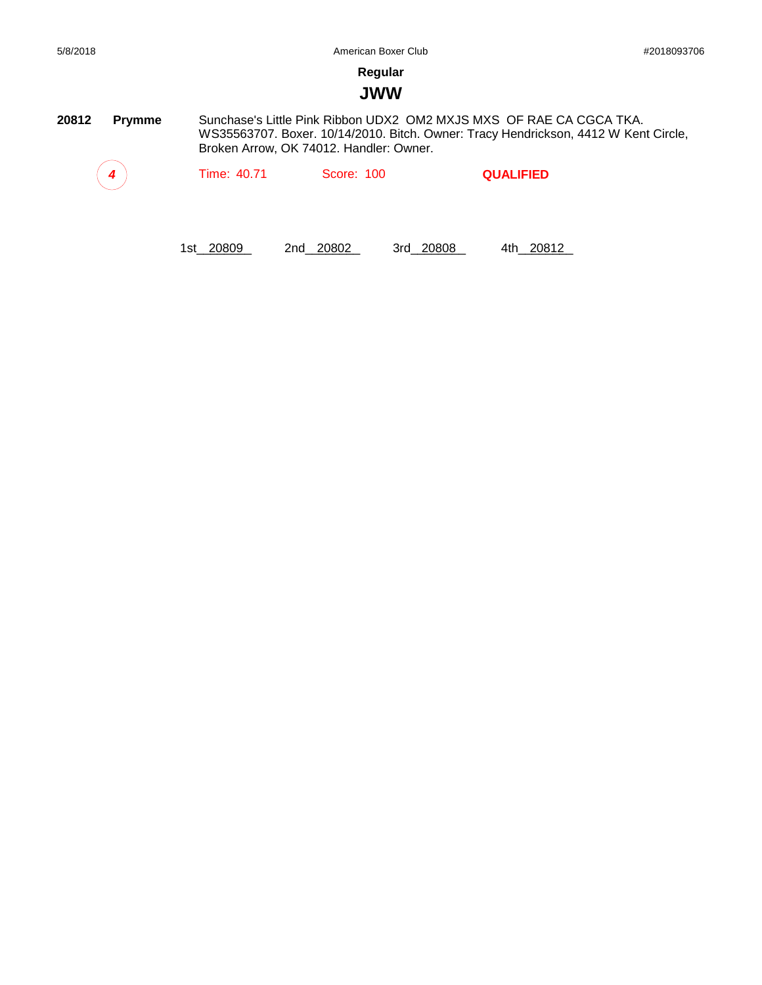#### **JWW**

**20812 Prymme** Sunchase's Little Pink Ribbon UDX2 OM2 MXJS MXS OF RAE CA CGCA TKA. WS35563707. Boxer. 10/14/2010. Bitch. Owner: Tracy Hendrickson, 4412 W Kent Circle, Broken Arrow, OK 74012. Handler: Owner.

*4* Time: 40.71 Score: 100 **QUALIFIED**

1st\_\_\_\_\_\_\_\_ 20809 2nd\_\_\_\_\_\_\_\_ 20802 3rd\_\_\_\_\_\_\_\_ 20808 4th\_\_\_\_\_\_\_\_ 20812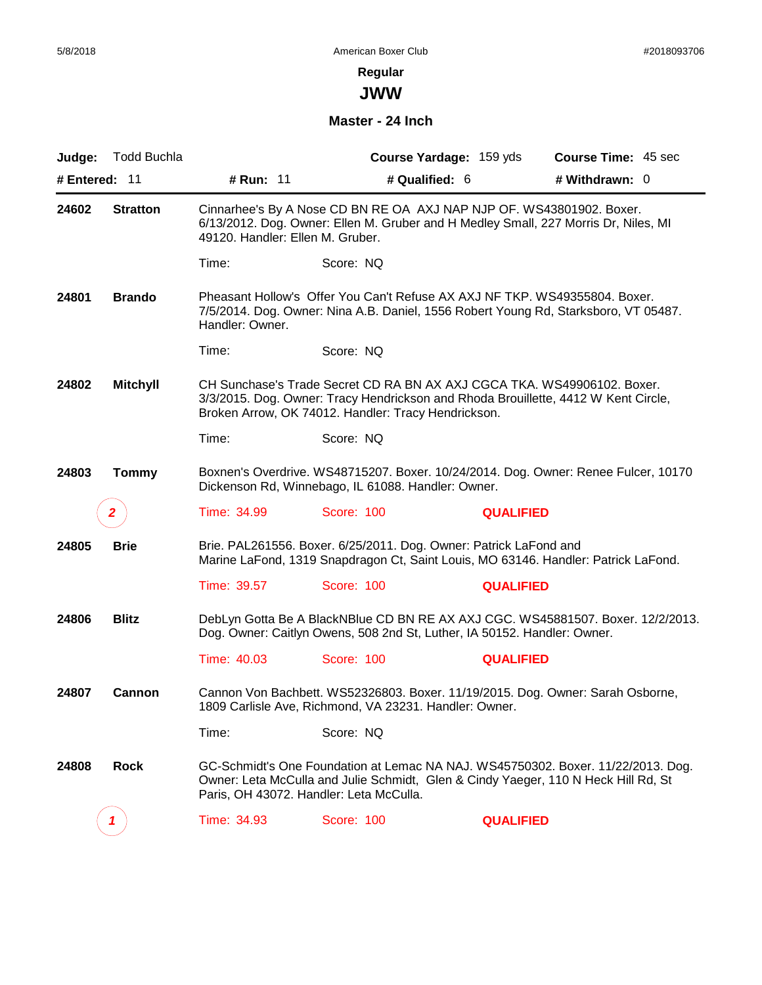**JWW**

#### **Master - 24 Inch**

| Judge:        | <b>Todd Buchla</b> |                                  |                                                                          | Course Yardage: 159 yds | <b>Course Time: 45 sec</b>                                                                                                                                             |
|---------------|--------------------|----------------------------------|--------------------------------------------------------------------------|-------------------------|------------------------------------------------------------------------------------------------------------------------------------------------------------------------|
| # Entered: 11 |                    | # Run: 11                        |                                                                          | # Qualified: 6          | # Withdrawn: 0                                                                                                                                                         |
| 24602         | <b>Stratton</b>    | 49120. Handler: Ellen M. Gruber. | Cinnarhee's By A Nose CD BN RE OA AXJ NAP NJP OF. WS43801902. Boxer.     |                         | 6/13/2012. Dog. Owner: Ellen M. Gruber and H Medley Small, 227 Morris Dr, Niles, MI                                                                                    |
|               |                    | Time:                            | Score: NQ                                                                |                         |                                                                                                                                                                        |
| 24801         | <b>Brando</b>      | Handler: Owner.                  |                                                                          |                         | Pheasant Hollow's Offer You Can't Refuse AX AXJ NF TKP. WS49355804. Boxer.<br>7/5/2014. Dog. Owner: Nina A.B. Daniel, 1556 Robert Young Rd, Starksboro, VT 05487.      |
|               |                    | Time:                            | Score: NQ                                                                |                         |                                                                                                                                                                        |
| 24802         | <b>Mitchyll</b>    |                                  | Broken Arrow, OK 74012. Handler: Tracy Hendrickson.                      |                         | CH Sunchase's Trade Secret CD RA BN AX AXJ CGCA TKA. WS49906102. Boxer.<br>3/3/2015. Dog. Owner: Tracy Hendrickson and Rhoda Brouillette, 4412 W Kent Circle,          |
|               |                    | Time:                            | Score: NQ                                                                |                         |                                                                                                                                                                        |
| 24803         | <b>Tommy</b>       |                                  | Dickenson Rd, Winnebago, IL 61088. Handler: Owner.                       |                         | Boxnen's Overdrive. WS48715207. Boxer. 10/24/2014. Dog. Owner: Renee Fulcer, 10170                                                                                     |
|               | z                  | Time: 34.99                      | Score: 100                                                               | <b>QUALIFIED</b>        |                                                                                                                                                                        |
| 24805         | <b>Brie</b>        |                                  | Brie. PAL261556. Boxer. 6/25/2011. Dog. Owner: Patrick LaFond and        |                         | Marine LaFond, 1319 Snapdragon Ct, Saint Louis, MO 63146. Handler: Patrick LaFond.                                                                                     |
|               |                    | Time: 39.57                      | Score: 100                                                               | <b>QUALIFIED</b>        |                                                                                                                                                                        |
| 24806         | <b>Blitz</b>       |                                  | Dog. Owner: Caitlyn Owens, 508 2nd St, Luther, IA 50152. Handler: Owner. |                         | DebLyn Gotta Be A BlackNBlue CD BN RE AX AXJ CGC. WS45881507. Boxer. 12/2/2013.                                                                                        |
|               |                    | Time: 40.03                      | Score: 100                                                               | <b>QUALIFIED</b>        |                                                                                                                                                                        |
| 24807         | Cannon             |                                  | 1809 Carlisle Ave, Richmond, VA 23231. Handler: Owner.                   |                         | Cannon Von Bachbett. WS52326803. Boxer. 11/19/2015. Dog. Owner: Sarah Osborne,                                                                                         |
|               |                    | Time:                            | Score: NQ                                                                |                         |                                                                                                                                                                        |
| 24808         | <b>Rock</b>        |                                  | Paris, OH 43072. Handler: Leta McCulla.                                  |                         | GC-Schmidt's One Foundation at Lemac NA NAJ. WS45750302. Boxer. 11/22/2013. Dog.<br>Owner: Leta McCulla and Julie Schmidt, Glen & Cindy Yaeger, 110 N Heck Hill Rd, St |
|               |                    | Time: 34.93                      | <b>Score: 100</b>                                                        | <b>QUALIFIED</b>        |                                                                                                                                                                        |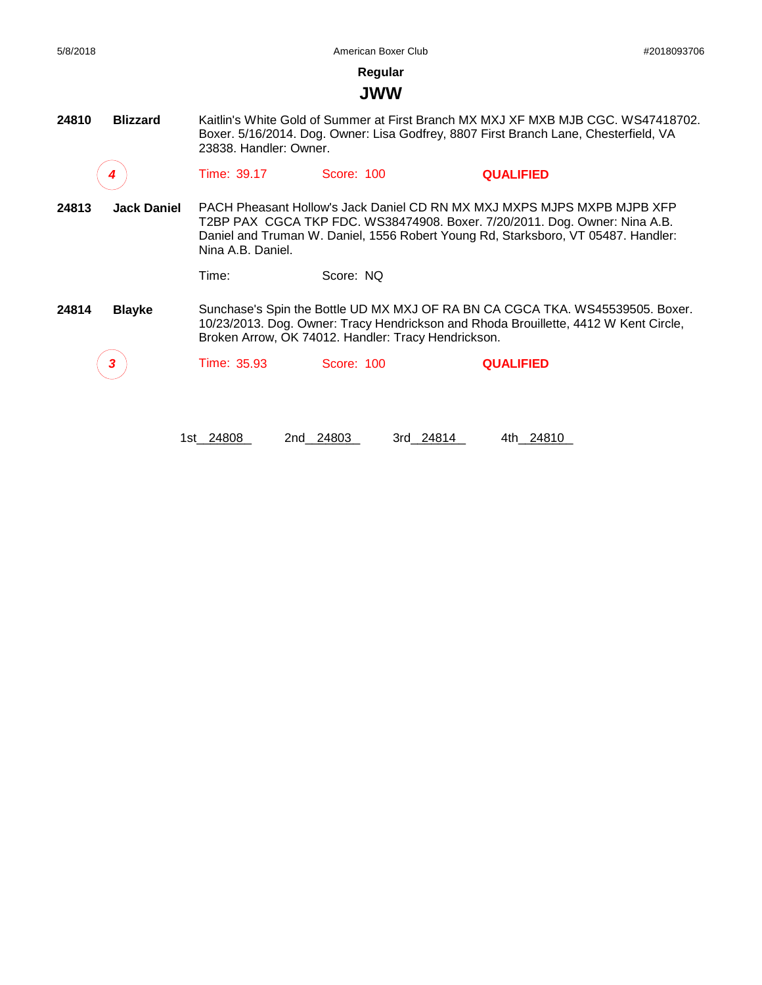#### **JWW**

**24810 Blizzard** Kaitlin's White Gold of Summer at First Branch MX MXJ XF MXB MJB CGC. WS47418702. Boxer. 5/16/2014. Dog. Owner: Lisa Godfrey, 8807 First Branch Lane, Chesterfield, VA 23838. Handler: Owner.

*4* Time: 39.17 Score: 100 **QUALIFIED**

**24813 Jack Daniel** PACH Pheasant Hollow's Jack Daniel CD RN MX MXJ MXPS MJPS MXPB MJPB XFP T2BP PAX CGCA TKP FDC. WS38474908. Boxer. 7/20/2011. Dog. Owner: Nina A.B. Daniel and Truman W. Daniel, 1556 Robert Young Rd, Starksboro, VT 05487. Handler: Nina A.B. Daniel.

Time: Score: NQ

**24814 Blayke** Sunchase's Spin the Bottle UD MX MXJ OF RA BN CA CGCA TKA. WS45539505. Boxer. 10/23/2013. Dog. Owner: Tracy Hendrickson and Rhoda Brouillette, 4412 W Kent Circle, Broken Arrow, OK 74012. Handler: Tracy Hendrickson.

*3* Time: 35.93 Score: 100 **QUALIFIED**

1st\_24808 2nd\_24803 3rd\_24814 4th\_24810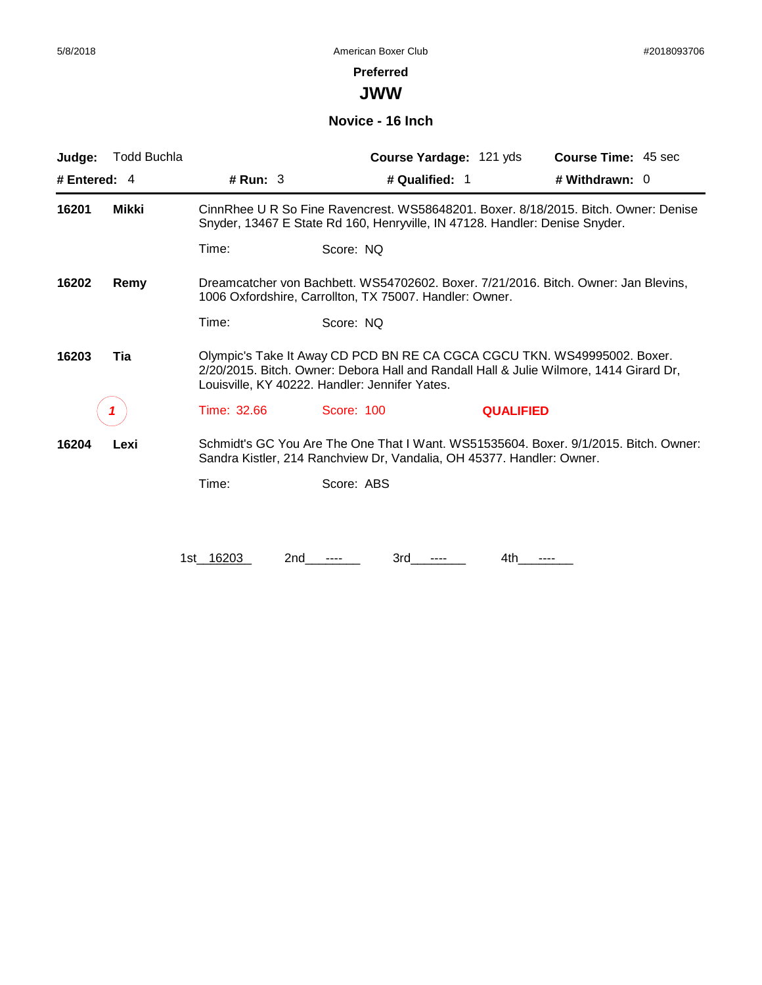#### **Preferred**

**JWW**

#### **Novice - 16 Inch**

| Judge:         | <b>Todd Buchla</b> |                                                                                                                                                                                                                      | Course Yardage: 121 yds                                                     | Course Time: 45 sec                                                                  |  |
|----------------|--------------------|----------------------------------------------------------------------------------------------------------------------------------------------------------------------------------------------------------------------|-----------------------------------------------------------------------------|--------------------------------------------------------------------------------------|--|
| # Entered: $4$ |                    | # Run: $3$                                                                                                                                                                                                           | # Qualified: 1                                                              | # Withdrawn: $0$                                                                     |  |
| 16201          | Mikki              |                                                                                                                                                                                                                      | Snyder, 13467 E State Rd 160, Henryville, IN 47128. Handler: Denise Snyder. | CinnRhee U R So Fine Ravencrest. WS58648201. Boxer. 8/18/2015. Bitch. Owner: Denise  |  |
|                |                    | Time:                                                                                                                                                                                                                | Score: NQ                                                                   |                                                                                      |  |
| 16202          | Remy               |                                                                                                                                                                                                                      | 1006 Oxfordshire, Carrollton, TX 75007. Handler: Owner.                     | Dreamcatcher von Bachbett. WS54702602. Boxer. 7/21/2016. Bitch. Owner: Jan Blevins.  |  |
|                |                    | Time:                                                                                                                                                                                                                | Score: NQ                                                                   |                                                                                      |  |
| 16203          | Tia                | Olympic's Take It Away CD PCD BN RE CA CGCA CGCU TKN. WS49995002. Boxer.<br>2/20/2015. Bitch. Owner: Debora Hall and Randall Hall & Julie Wilmore, 1414 Girard Dr,<br>Louisville, KY 40222. Handler: Jennifer Yates. |                                                                             |                                                                                      |  |
|                |                    | Time: 32.66                                                                                                                                                                                                          | Score: 100                                                                  | <b>QUALIFIED</b>                                                                     |  |
| 16204          | Lexi               |                                                                                                                                                                                                                      | Sandra Kistler, 214 Ranchview Dr, Vandalia, OH 45377. Handler: Owner.       | Schmidt's GC You Are The One That I Want. WS51535604. Boxer. 9/1/2015. Bitch. Owner: |  |
|                |                    | Time:                                                                                                                                                                                                                | Score: ABS                                                                  |                                                                                      |  |
|                |                    |                                                                                                                                                                                                                      |                                                                             |                                                                                      |  |
|                |                    | 1st 16203<br>2nd                                                                                                                                                                                                     | 3rd                                                                         | 4th                                                                                  |  |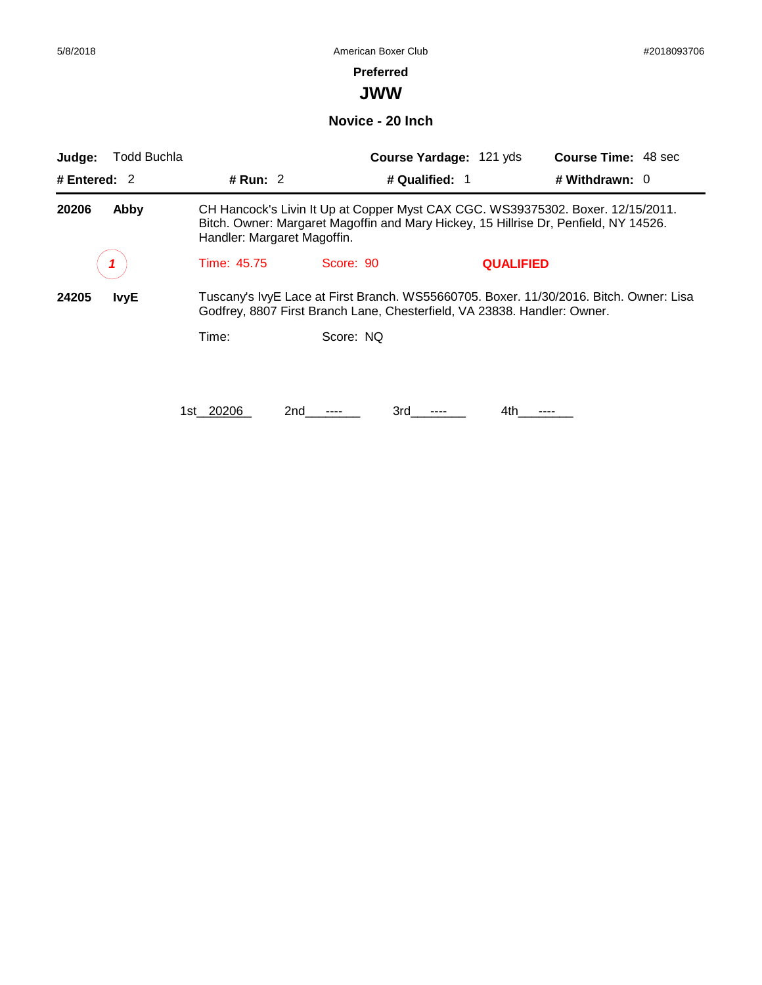#### **Preferred**

**JWW**

**Novice - 20 Inch**

| Judge:         | <b>Todd Buchla</b> |                             |                                                                          | Course Yardage: 121 yds |                  | <b>Course Time: 48 sec</b>                                                                                                                                              |
|----------------|--------------------|-----------------------------|--------------------------------------------------------------------------|-------------------------|------------------|-------------------------------------------------------------------------------------------------------------------------------------------------------------------------|
| # Entered: $2$ |                    | # Run: $2$                  |                                                                          | # Qualified: 1          |                  | # Withdrawn: $0$                                                                                                                                                        |
| 20206          | Abby               | Handler: Margaret Magoffin. |                                                                          |                         |                  | CH Hancock's Livin It Up at Copper Myst CAX CGC. WS39375302. Boxer. 12/15/2011.<br>Bitch. Owner: Margaret Magoffin and Mary Hickey, 15 Hillrise Dr, Penfield, NY 14526. |
|                |                    | Time: 45.75                 | Score: 90                                                                |                         | <b>QUALIFIED</b> |                                                                                                                                                                         |
| 24205          | <b>IvyE</b>        |                             | Godfrey, 8807 First Branch Lane, Chesterfield, VA 23838. Handler: Owner. |                         |                  | Tuscany's IvyE Lace at First Branch. WS55660705. Boxer. 11/30/2016. Bitch. Owner: Lisa                                                                                  |
|                |                    | Time:                       | Score: NQ                                                                |                         |                  |                                                                                                                                                                         |
|                |                    | 20206<br>1st                | 2nd                                                                      | 3rd                     | 4th              |                                                                                                                                                                         |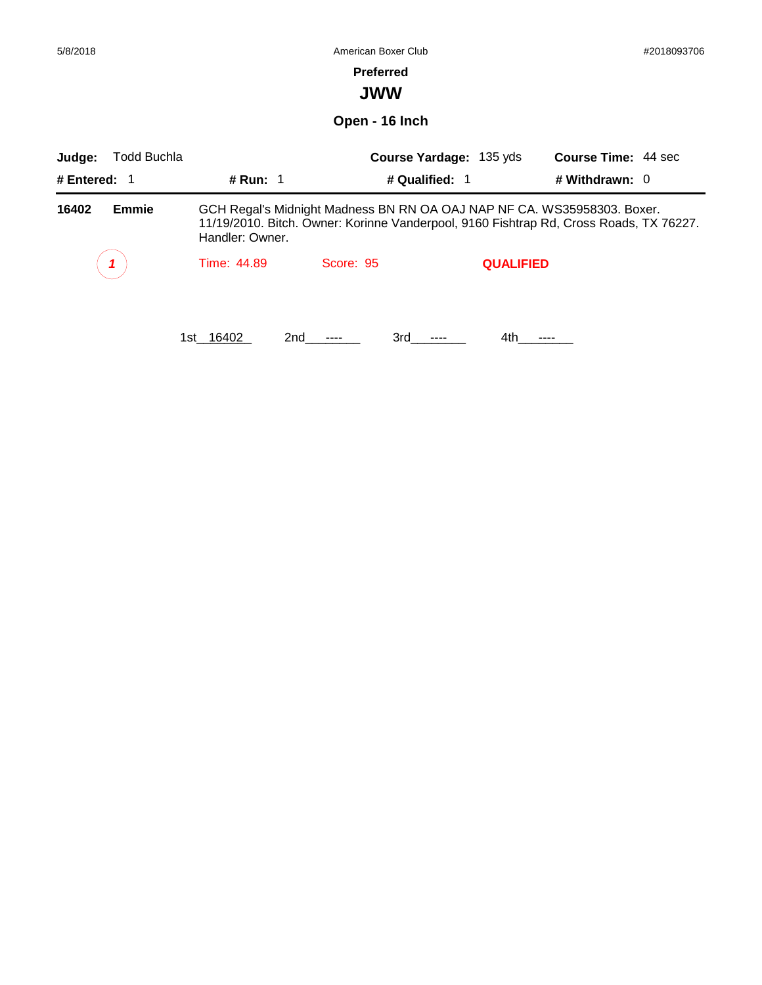| 5/8/2018                                                                                                                                                                                                      | American Boxer Club |                  |                         |                            |  |
|---------------------------------------------------------------------------------------------------------------------------------------------------------------------------------------------------------------|---------------------|------------------|-------------------------|----------------------------|--|
|                                                                                                                                                                                                               |                     | <b>Preferred</b> |                         |                            |  |
|                                                                                                                                                                                                               |                     | <b>JWW</b>       |                         |                            |  |
|                                                                                                                                                                                                               |                     | Open - 16 Inch   |                         |                            |  |
| <b>Todd Buchla</b><br>Judge:                                                                                                                                                                                  |                     |                  | Course Yardage: 135 yds | <b>Course Time: 44 sec</b> |  |
| # Entered: 1                                                                                                                                                                                                  | # Run: 1            | # Qualified: 1   |                         | # Withdrawn: $0$           |  |
| GCH Regal's Midnight Madness BN RN OA OAJ NAP NF CA. WS35958303. Boxer.<br>16402<br><b>Emmie</b><br>11/19/2010. Bitch. Owner: Korinne Vanderpool, 9160 Fishtrap Rd, Cross Roads, TX 76227.<br>Handler: Owner. |                     |                  |                         |                            |  |
|                                                                                                                                                                                                               | Time: 44.89         | Score: 95        | <b>QUALIFIED</b>        |                            |  |
|                                                                                                                                                                                                               | 1st 16402<br>2nd    | 3rd<br>----      | 4th                     | ----                       |  |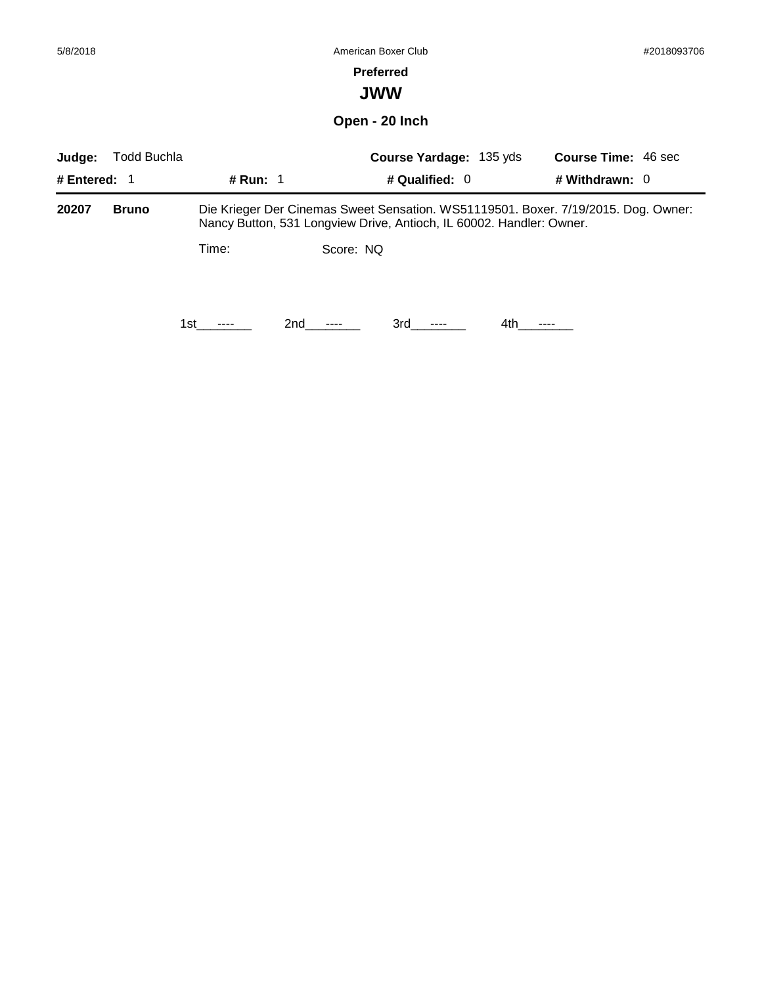### **Preferred**

# **JWW**

# **Open - 20 Inch**

| Judge:         | Todd Buchla  |             | <b>Course Yardage: 135 yds</b>                                       | <b>Course Time: 46 sec</b>                                                         |
|----------------|--------------|-------------|----------------------------------------------------------------------|------------------------------------------------------------------------------------|
| # Entered: $1$ |              | # Run: $1$  | # Qualified: $0$                                                     | # Withdrawn: 0                                                                     |
| 20207          | <b>Bruno</b> |             | Nancy Button, 531 Longview Drive, Antioch, IL 60002. Handler: Owner. | Die Krieger Der Cinemas Sweet Sensation. WS51119501. Boxer. 7/19/2015. Dog. Owner: |
|                |              | Time:       | Score: NQ                                                            |                                                                                    |
|                |              | 2nd<br>1st. | 3rd -<br>$\cdots$<br>$\cdots$                                        | 4th.<br>----                                                                       |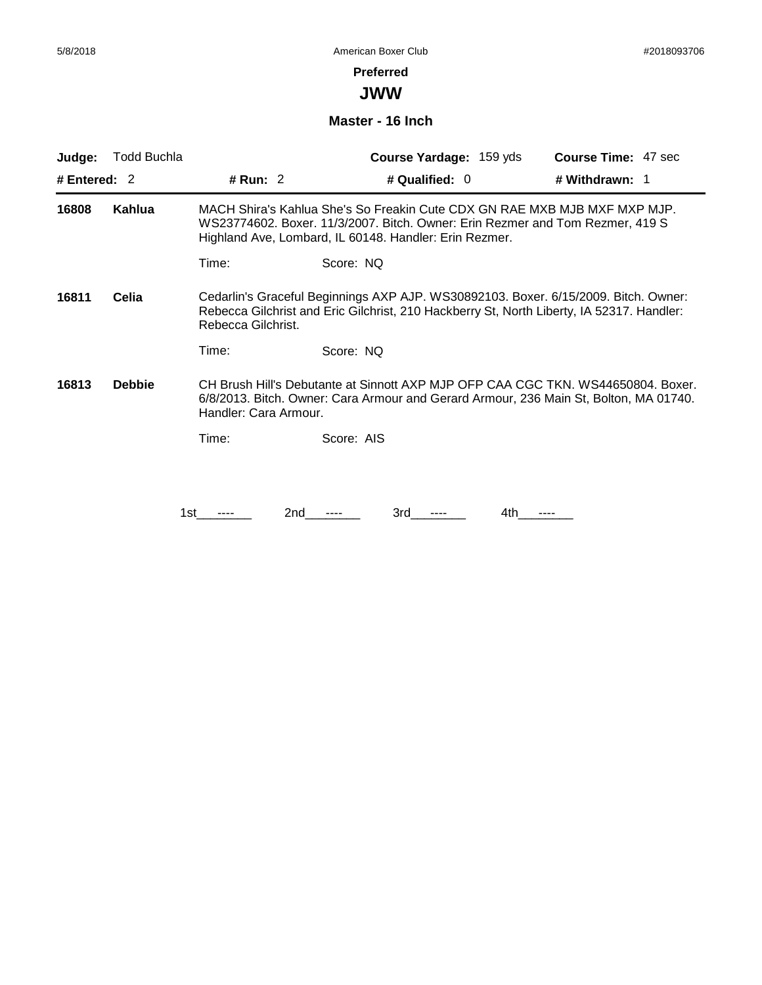**JWW**

#### **Master - 16 Inch**

| Judge:         | Todd Buchla   |                       | <b>Course Yardage: 159 yds</b>                                                                                                                                                                                       | <b>Course Time: 47 sec</b> |
|----------------|---------------|-----------------------|----------------------------------------------------------------------------------------------------------------------------------------------------------------------------------------------------------------------|----------------------------|
| # Entered: $2$ |               | # Run: 2              | # Qualified: 0                                                                                                                                                                                                       | # Withdrawn: 1             |
| 16808          | Kahlua        |                       | MACH Shira's Kahlua She's So Freakin Cute CDX GN RAE MXB MJB MXF MXP MJP.<br>WS23774602. Boxer. 11/3/2007. Bitch. Owner: Erin Rezmer and Tom Rezmer, 419 S<br>Highland Ave, Lombard, IL 60148. Handler: Erin Rezmer. |                            |
|                |               | Time:                 | Score: NQ                                                                                                                                                                                                            |                            |
| 16811          | Celia         | Rebecca Gilchrist.    | Cedarlin's Graceful Beginnings AXP AJP. WS30892103. Boxer. 6/15/2009. Bitch. Owner:<br>Rebecca Gilchrist and Eric Gilchrist, 210 Hackberry St, North Liberty, IA 52317. Handler:                                     |                            |
|                |               | Time:                 | Score: NQ                                                                                                                                                                                                            |                            |
| 16813          | <b>Debbie</b> | Handler: Cara Armour. | CH Brush Hill's Debutante at Sinnott AXP MJP OFP CAA CGC TKN. WS44650804. Boxer.<br>6/8/2013. Bitch. Owner: Cara Armour and Gerard Armour, 236 Main St, Bolton, MA 01740.                                            |                            |
|                |               | Time:                 | Score: AIS                                                                                                                                                                                                           |                            |
|                |               |                       |                                                                                                                                                                                                                      |                            |
|                |               | 2nd<br>1st.           | 3rd<br>4th                                                                                                                                                                                                           |                            |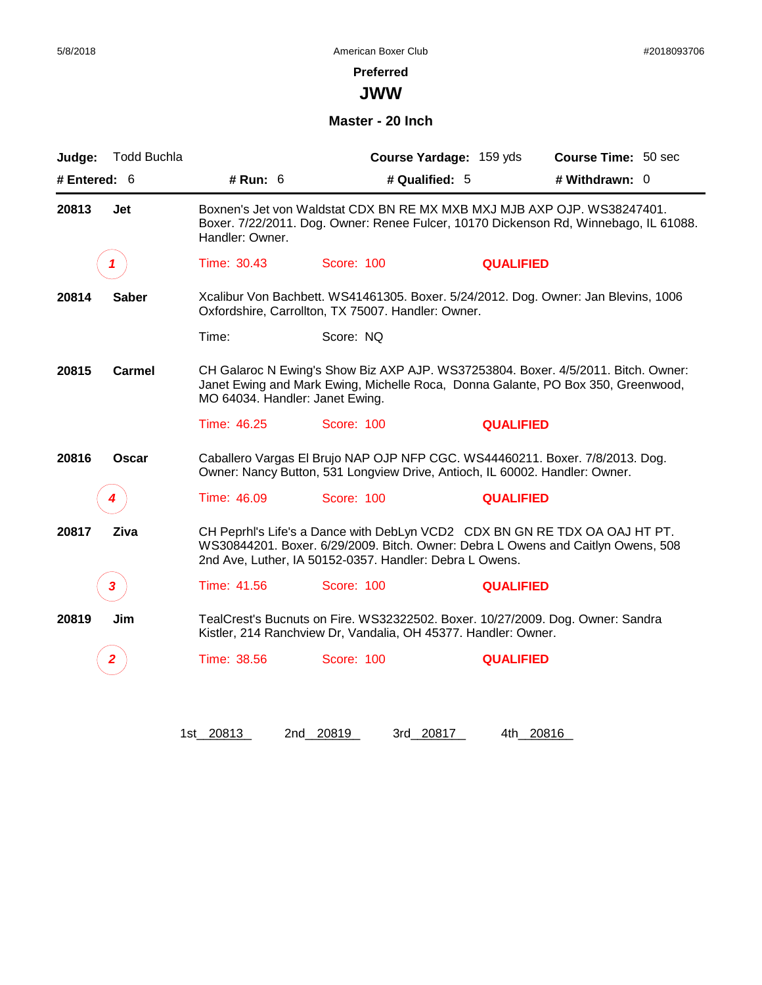**JWW**

#### **Master - 20 Inch**

| Judge:       | <b>Todd Buchla</b> |                                 |                                                                                                                                                             | Course Yardage: 159 yds | Course Time: 50 sec                                                                                                                                                   |
|--------------|--------------------|---------------------------------|-------------------------------------------------------------------------------------------------------------------------------------------------------------|-------------------------|-----------------------------------------------------------------------------------------------------------------------------------------------------------------------|
| # Entered: 6 |                    | # Run: 6                        | # Qualified: 5                                                                                                                                              |                         | # Withdrawn: 0                                                                                                                                                        |
| 20813        | Jet                | Handler: Owner.                 | Boxnen's Jet von Waldstat CDX BN RE MX MXB MXJ MJB AXP OJP. WS38247401.                                                                                     |                         | Boxer. 7/22/2011. Dog. Owner: Renee Fulcer, 10170 Dickenson Rd, Winnebago, IL 61088.                                                                                  |
|              | 1                  | Time: 30.43                     | Score: 100                                                                                                                                                  | <b>QUALIFIED</b>        |                                                                                                                                                                       |
| 20814        | <b>Saber</b>       |                                 | Oxfordshire, Carrollton, TX 75007. Handler: Owner.                                                                                                          |                         | Xcalibur Von Bachbett. WS41461305. Boxer. 5/24/2012. Dog. Owner: Jan Blevins, 1006                                                                                    |
|              |                    | Time:                           | Score: NQ                                                                                                                                                   |                         |                                                                                                                                                                       |
| 20815        | Carmel             | MO 64034. Handler: Janet Ewing. |                                                                                                                                                             |                         | CH Galaroc N Ewing's Show Biz AXP AJP. WS37253804. Boxer. 4/5/2011. Bitch. Owner:<br>Janet Ewing and Mark Ewing, Michelle Roca, Donna Galante, PO Box 350, Greenwood, |
|              |                    | Time: 46.25                     | Score: 100                                                                                                                                                  | <b>QUALIFIED</b>        |                                                                                                                                                                       |
| 20816        | Oscar              |                                 | Caballero Vargas El Brujo NAP OJP NFP CGC. WS44460211. Boxer. 7/8/2013. Dog.<br>Owner: Nancy Button, 531 Longview Drive, Antioch, IL 60002. Handler: Owner. |                         |                                                                                                                                                                       |
|              |                    | Time: 46.09                     | Score: 100                                                                                                                                                  | <b>QUALIFIED</b>        |                                                                                                                                                                       |
| 20817        | Ziva               |                                 | 2nd Ave, Luther, IA 50152-0357. Handler: Debra L Owens.                                                                                                     |                         | CH Peprhl's Life's a Dance with DebLyn VCD2 CDX BN GN RE TDX OA OAJ HT PT.<br>WS30844201. Boxer. 6/29/2009. Bitch. Owner: Debra L Owens and Caitlyn Owens, 508        |
|              | 3                  | Time: 41.56                     | Score: 100                                                                                                                                                  | <b>QUALIFIED</b>        |                                                                                                                                                                       |
| 20819        | Jim                |                                 | TealCrest's Bucnuts on Fire. WS32322502. Boxer. 10/27/2009. Dog. Owner: Sandra<br>Kistler, 214 Ranchview Dr, Vandalia, OH 45377. Handler: Owner.            |                         |                                                                                                                                                                       |
|              | 2                  | Time: 38.56                     | Score: 100                                                                                                                                                  | <b>QUALIFIED</b>        |                                                                                                                                                                       |
|              |                    |                                 |                                                                                                                                                             |                         |                                                                                                                                                                       |
|              |                    |                                 |                                                                                                                                                             |                         |                                                                                                                                                                       |
|              |                    | 1st 20813                       | 2nd 20819<br>3rd 20817                                                                                                                                      | 4th 20816               |                                                                                                                                                                       |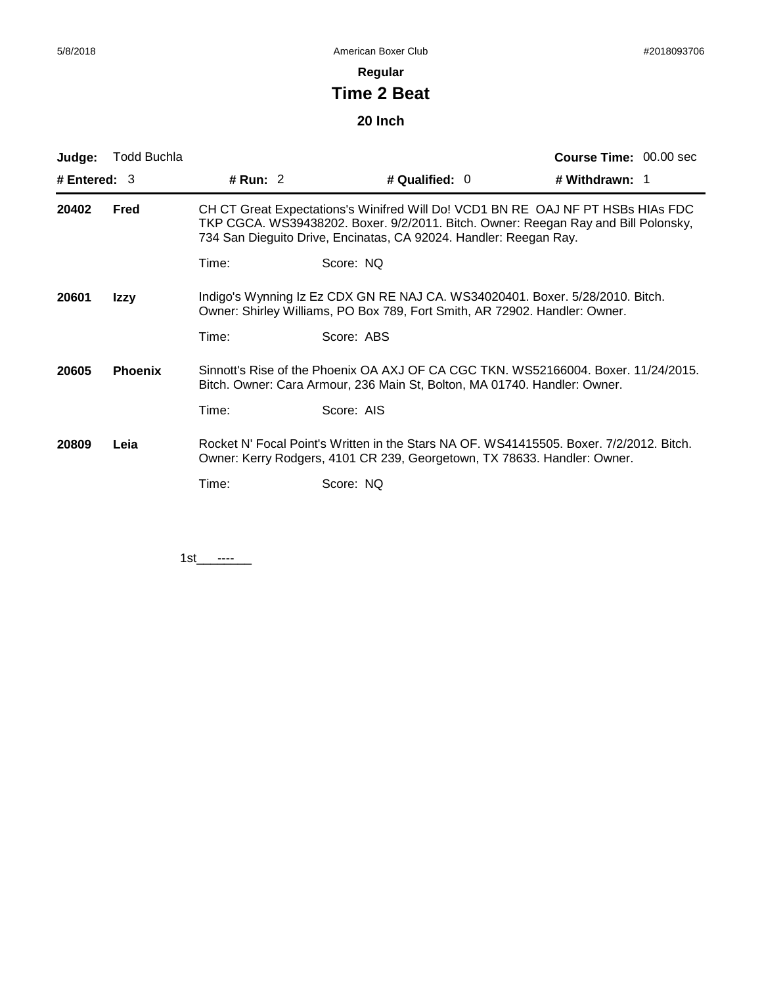# **Regular**

# **Time 2 Beat**

# **20 Inch**

| Judge:         | <b>Todd Buchla</b> |          |                                                                                                                                                                                                                                            | <b>Course Time: 00.00 sec</b> |
|----------------|--------------------|----------|--------------------------------------------------------------------------------------------------------------------------------------------------------------------------------------------------------------------------------------------|-------------------------------|
| # Entered: $3$ |                    | # Run: 2 | # Qualified: 0                                                                                                                                                                                                                             | # Withdrawn: 1                |
| 20402          | Fred               |          | CH CT Great Expectations's Winifred Will Do! VCD1 BN RE OAJ NF PT HSBs HIAs FDC<br>TKP CGCA. WS39438202. Boxer. 9/2/2011. Bitch. Owner: Reegan Ray and Bill Polonsky,<br>734 San Dieguito Drive, Encinatas, CA 92024. Handler: Reegan Ray. |                               |
|                |                    | Time:    | Score: NQ                                                                                                                                                                                                                                  |                               |
| 20601          | Izzy               |          | Indigo's Wynning Iz Ez CDX GN RE NAJ CA. WS34020401. Boxer. 5/28/2010. Bitch.<br>Owner: Shirley Williams, PO Box 789, Fort Smith, AR 72902. Handler: Owner.                                                                                |                               |
|                |                    | Time:    | Score: ABS                                                                                                                                                                                                                                 |                               |
| 20605          | <b>Phoenix</b>     |          | Sinnott's Rise of the Phoenix OA AXJ OF CA CGC TKN. WS52166004. Boxer. 11/24/2015.<br>Bitch. Owner: Cara Armour, 236 Main St, Bolton, MA 01740. Handler: Owner.                                                                            |                               |
|                |                    | Time:    | Score: AIS                                                                                                                                                                                                                                 |                               |
| 20809          | Leia               |          | Rocket N' Focal Point's Written in the Stars NA OF, WS41415505, Boxer, 7/2/2012, Bitch.<br>Owner: Kerry Rodgers, 4101 CR 239, Georgetown, TX 78633. Handler: Owner.                                                                        |                               |
|                |                    | Time:    | Score: NQ                                                                                                                                                                                                                                  |                               |

 $1st$  ----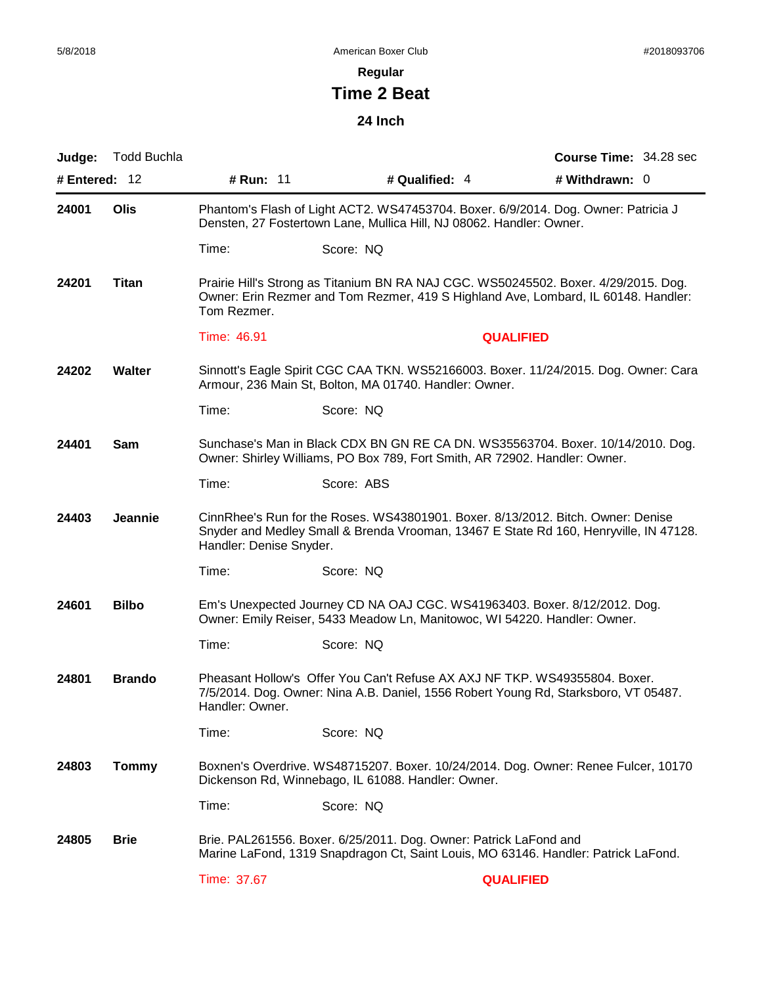# **Regular**

# **Time 2 Beat**

# **24 Inch**

| Judge:        | <b>Todd Buchla</b> |                         |                                                                                                                                                        | <b>Course Time: 34.28 sec</b>                                                                                                                                             |
|---------------|--------------------|-------------------------|--------------------------------------------------------------------------------------------------------------------------------------------------------|---------------------------------------------------------------------------------------------------------------------------------------------------------------------------|
| # Entered: 12 |                    | # Run: 11               | # Qualified: 4                                                                                                                                         | # Withdrawn: 0                                                                                                                                                            |
| 24001         | Olis               |                         | Densten, 27 Fostertown Lane, Mullica Hill, NJ 08062. Handler: Owner.                                                                                   | Phantom's Flash of Light ACT2. WS47453704. Boxer. 6/9/2014. Dog. Owner: Patricia J                                                                                        |
|               |                    | Time:                   | Score: NQ                                                                                                                                              |                                                                                                                                                                           |
| 24201         | <b>Titan</b>       | Tom Rezmer.             |                                                                                                                                                        | Prairie Hill's Strong as Titanium BN RA NAJ CGC. WS50245502. Boxer. 4/29/2015. Dog.<br>Owner: Erin Rezmer and Tom Rezmer, 419 S Highland Ave, Lombard, IL 60148. Handler: |
|               |                    | Time: 46.91             |                                                                                                                                                        | <b>QUALIFIED</b>                                                                                                                                                          |
| 24202         | <b>Walter</b>      |                         | Armour, 236 Main St, Bolton, MA 01740. Handler: Owner.                                                                                                 | Sinnott's Eagle Spirit CGC CAA TKN. WS52166003. Boxer. 11/24/2015. Dog. Owner: Cara                                                                                       |
|               |                    | Time:                   | Score: NQ                                                                                                                                              |                                                                                                                                                                           |
| 24401         | Sam                |                         | Owner: Shirley Williams, PO Box 789, Fort Smith, AR 72902. Handler: Owner.                                                                             | Sunchase's Man in Black CDX BN GN RE CA DN. WS35563704. Boxer. 10/14/2010. Dog.                                                                                           |
|               |                    | Time:                   | Score: ABS                                                                                                                                             |                                                                                                                                                                           |
| 24403         | Jeannie            | Handler: Denise Snyder. | CinnRhee's Run for the Roses. WS43801901. Boxer. 8/13/2012. Bitch. Owner: Denise                                                                       | Snyder and Medley Small & Brenda Vrooman, 13467 E State Rd 160, Henryville, IN 47128.                                                                                     |
|               |                    | Time:                   | Score: NQ                                                                                                                                              |                                                                                                                                                                           |
| 24601         | <b>Bilbo</b>       |                         | Em's Unexpected Journey CD NA OAJ CGC. WS41963403. Boxer. 8/12/2012. Dog.<br>Owner: Emily Reiser, 5433 Meadow Ln, Manitowoc, WI 54220. Handler: Owner. |                                                                                                                                                                           |
|               |                    | Time:                   | Score: NQ                                                                                                                                              |                                                                                                                                                                           |
| 24801         | <b>Brando</b>      | Handler: Owner.         | Pheasant Hollow's Offer You Can't Refuse AX AXJ NF TKP. WS49355804. Boxer.                                                                             | 7/5/2014. Dog. Owner: Nina A.B. Daniel, 1556 Robert Young Rd, Starksboro, VT 05487.                                                                                       |
|               |                    | Time:                   | Score: NQ                                                                                                                                              |                                                                                                                                                                           |
| 24803         | <b>Tommy</b>       |                         | Dickenson Rd, Winnebago, IL 61088. Handler: Owner.                                                                                                     | Boxnen's Overdrive. WS48715207. Boxer. 10/24/2014. Dog. Owner: Renee Fulcer, 10170                                                                                        |
|               |                    | Time:                   | Score: NQ                                                                                                                                              |                                                                                                                                                                           |
| 24805         | <b>Brie</b>        |                         | Brie. PAL261556. Boxer. 6/25/2011. Dog. Owner: Patrick LaFond and                                                                                      | Marine LaFond, 1319 Snapdragon Ct, Saint Louis, MO 63146. Handler: Patrick LaFond.                                                                                        |
|               |                    | Time: 37.67             |                                                                                                                                                        | <b>QUALIFIED</b>                                                                                                                                                          |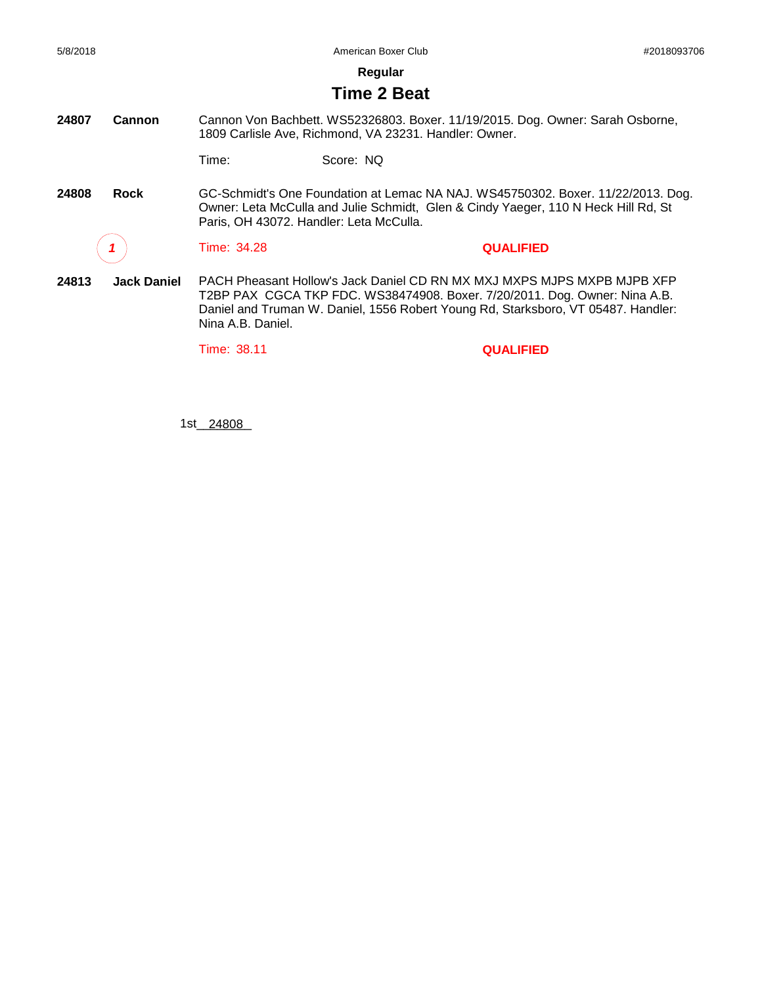**Regular**

#### **Time 2 Beat**

**24807 Cannon** Cannon Von Bachbett. WS52326803. Boxer. 11/19/2015. Dog. Owner: Sarah Osborne, 1809 Carlisle Ave, Richmond, VA 23231. Handler: Owner.

Time: Score: NQ

**24808 Rock** GC-Schmidt's One Foundation at Lemac NA NAJ. WS45750302. Boxer. 11/22/2013. Dog. Owner: Leta McCulla and Julie Schmidt, Glen & Cindy Yaeger, 110 N Heck Hill Rd, St Paris, OH 43072. Handler: Leta McCulla.

*1* Time: 34.28 **QUALIFIED**

**24813 Jack Daniel** PACH Pheasant Hollow's Jack Daniel CD RN MX MXJ MXPS MJPS MXPB MJPB XFP T2BP PAX CGCA TKP FDC. WS38474908. Boxer. 7/20/2011. Dog. Owner: Nina A.B. Daniel and Truman W. Daniel, 1556 Robert Young Rd, Starksboro, VT 05487. Handler: Nina A.B. Daniel.

Time: 38.11 **QUALIFIED**

1st\_\_\_\_\_\_\_\_ 24808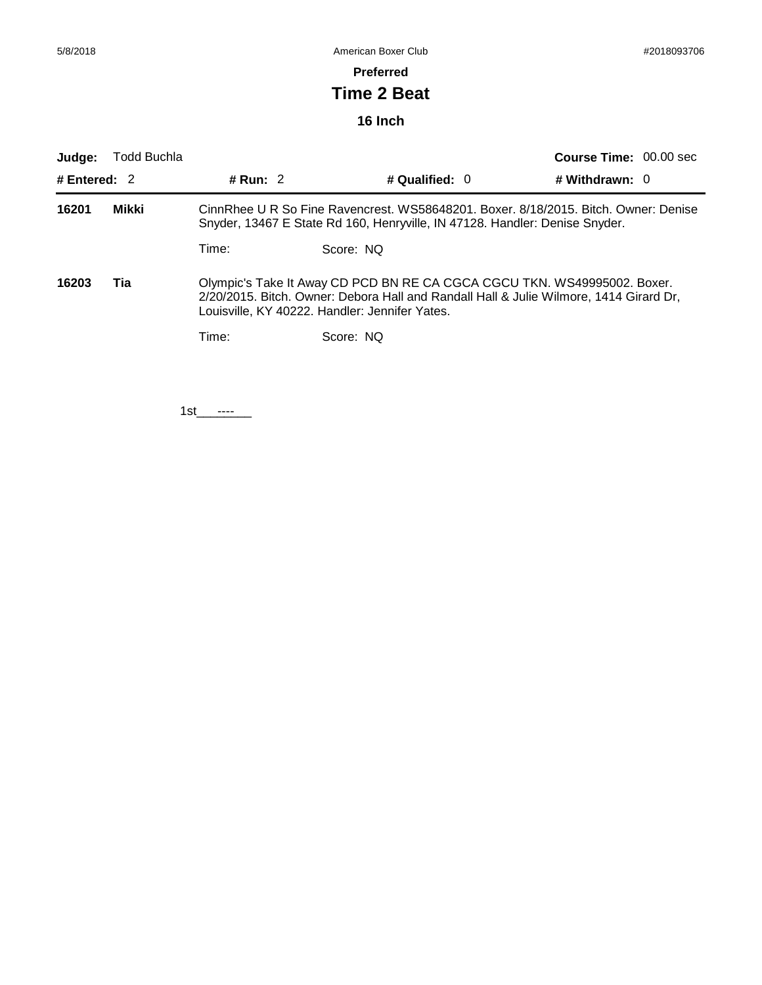#### **Preferred**

# **Time 2 Beat**

# **16 Inch**

| Judge:         | <b>Todd Buchla</b> |                                                                                                                                                                                                                      |                  | <b>Course Time: 00.00 sec</b> |  |
|----------------|--------------------|----------------------------------------------------------------------------------------------------------------------------------------------------------------------------------------------------------------------|------------------|-------------------------------|--|
| # Entered: $2$ |                    | # Run: $2$                                                                                                                                                                                                           | # Qualified: $0$ | # Withdrawn: $0$              |  |
| Mikki<br>16201 |                    | CinnRhee U R So Fine Ravencrest. WS58648201. Boxer. 8/18/2015. Bitch. Owner: Denise<br>Snyder, 13467 E State Rd 160, Henryville, IN 47128. Handler: Denise Snyder.                                                   |                  |                               |  |
|                |                    | Time:                                                                                                                                                                                                                | Score: NO        |                               |  |
| 16203          | Tia                | Olympic's Take It Away CD PCD BN RE CA CGCA CGCU TKN. WS49995002. Boxer.<br>2/20/2015. Bitch. Owner: Debora Hall and Randall Hall & Julie Wilmore, 1414 Girard Dr,<br>Louisville, KY 40222. Handler: Jennifer Yates. |                  |                               |  |
|                |                    | Time:                                                                                                                                                                                                                | Score: NO        |                               |  |
|                |                    |                                                                                                                                                                                                                      |                  |                               |  |

1st\_\_\_\_\_\_\_\_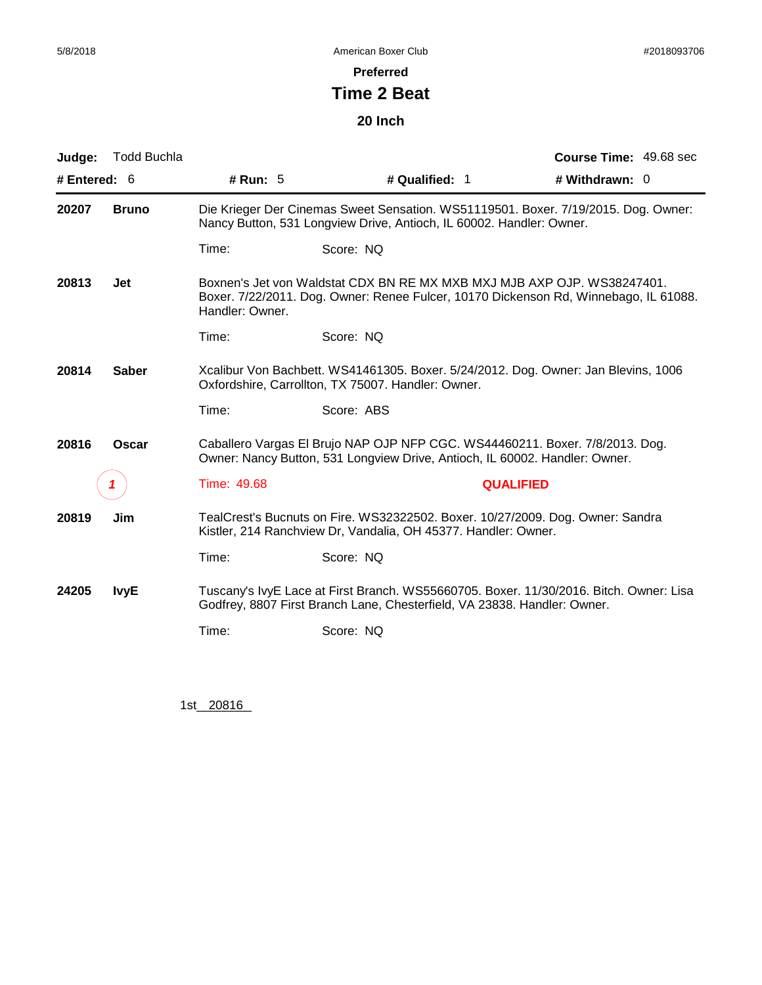#### **Preferred**

# **Time 2 Beat**

#### **20 Inch**

| Judge:         | Todd Buchla  |                 |                                                                                                                                                                    | <b>Course Time: 49.68 sec</b> |
|----------------|--------------|-----------------|--------------------------------------------------------------------------------------------------------------------------------------------------------------------|-------------------------------|
| # Entered: $6$ |              | # Run: $5$      | # Qualified: 1                                                                                                                                                     | # Withdrawn: 0                |
| 20207          | <b>Bruno</b> |                 | Die Krieger Der Cinemas Sweet Sensation. WS51119501. Boxer. 7/19/2015. Dog. Owner:<br>Nancy Button, 531 Longview Drive, Antioch, IL 60002. Handler: Owner.         |                               |
|                |              | Time:           | Score: NQ                                                                                                                                                          |                               |
| 20813          | Jet          | Handler: Owner. | Boxnen's Jet von Waldstat CDX BN RE MX MXB MXJ MJB AXP OJP. WS38247401.<br>Boxer. 7/22/2011. Dog. Owner: Renee Fulcer, 10170 Dickenson Rd, Winnebago, IL 61088.    |                               |
|                |              | Time:           | Score: NQ                                                                                                                                                          |                               |
| 20814          | <b>Saber</b> |                 | Xcalibur Von Bachbett. WS41461305. Boxer. 5/24/2012. Dog. Owner: Jan Blevins, 1006<br>Oxfordshire, Carrollton, TX 75007. Handler: Owner.                           |                               |
|                |              | Time:           | Score: ABS                                                                                                                                                         |                               |
| 20816          | Oscar        |                 | Caballero Vargas El Brujo NAP OJP NFP CGC. WS44460211. Boxer. 7/8/2013. Dog.<br>Owner: Nancy Button, 531 Longview Drive, Antioch, IL 60002. Handler: Owner.        |                               |
|                | 7            | Time: 49.68     | <b>QUALIFIED</b>                                                                                                                                                   |                               |
| 20819          | Jim          |                 | TealCrest's Bucnuts on Fire. WS32322502. Boxer. 10/27/2009. Dog. Owner: Sandra<br>Kistler, 214 Ranchview Dr, Vandalia, OH 45377. Handler: Owner.                   |                               |
|                |              | Time:           | Score: NQ                                                                                                                                                          |                               |
| 24205          | <b>IvyE</b>  |                 | Tuscany's IvyE Lace at First Branch. WS55660705. Boxer. 11/30/2016. Bitch. Owner: Lisa<br>Godfrey, 8807 First Branch Lane, Chesterfield, VA 23838. Handler: Owner. |                               |
|                |              | Time:           | Score: NQ                                                                                                                                                          |                               |

1st\_20816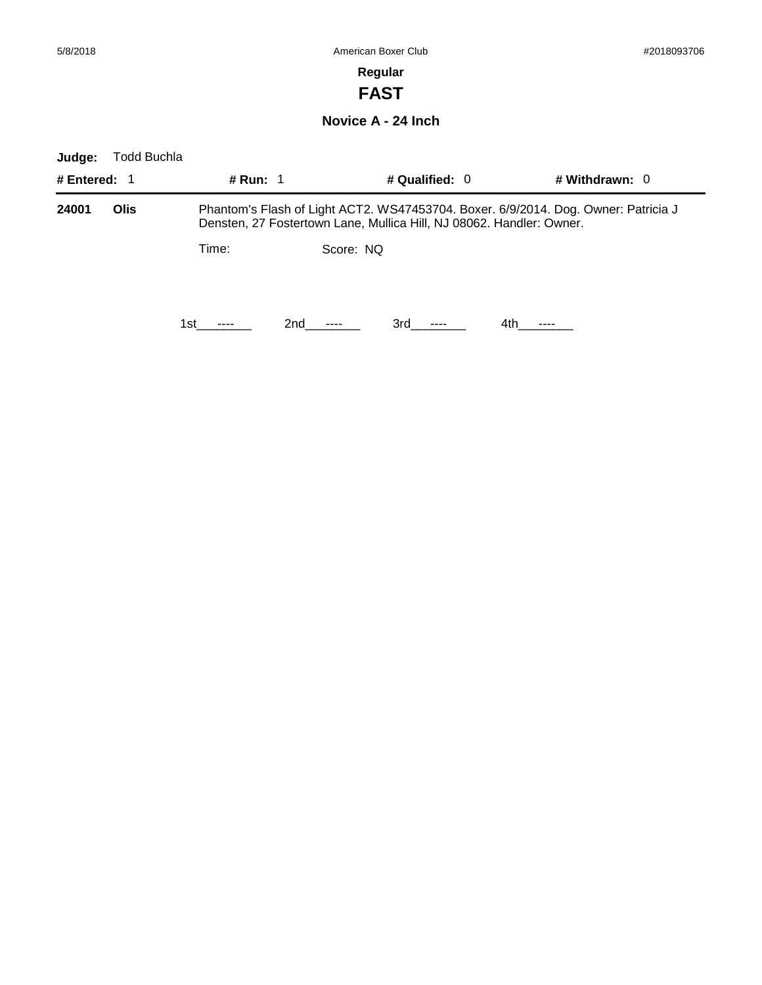**FAST**

**Novice A - 24 Inch**

| Judge:       | Todd Buchla |            |           |                  |                                                                                                                                                            |
|--------------|-------------|------------|-----------|------------------|------------------------------------------------------------------------------------------------------------------------------------------------------------|
| # Entered: 1 |             | # Run: $1$ |           | # Qualified: $0$ | # Withdrawn: $0$                                                                                                                                           |
| 24001        | Olis        |            |           |                  | Phantom's Flash of Light ACT2. WS47453704. Boxer. 6/9/2014. Dog. Owner: Patricia J<br>Densten, 27 Fostertown Lane, Mullica Hill, NJ 08062. Handler: Owner. |
|              |             | Time:      | Score: NO |                  |                                                                                                                                                            |
|              |             | 1st.       | 2nd       | 3rd -            | 4th                                                                                                                                                        |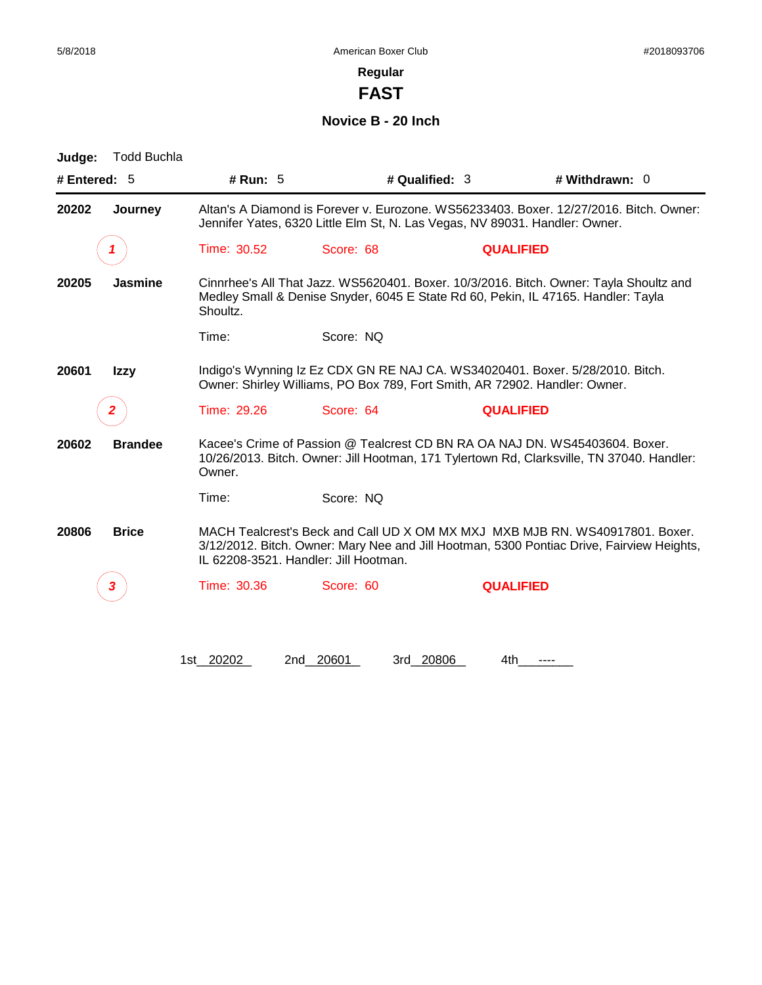**FAST**

**Novice B - 20 Inch**

| Judge:         | <b>Todd Buchla</b> |             |                                                                             |                  |                                                                                                                                                                             |
|----------------|--------------------|-------------|-----------------------------------------------------------------------------|------------------|-----------------------------------------------------------------------------------------------------------------------------------------------------------------------------|
| # Entered: $5$ |                    | # Run: $5$  |                                                                             | # Qualified: 3   | # Withdrawn: 0                                                                                                                                                              |
| 20202          | Journey            |             | Jennifer Yates, 6320 Little Elm St, N. Las Vegas, NV 89031. Handler: Owner. |                  | Altan's A Diamond is Forever v. Eurozone. WS56233403. Boxer. 12/27/2016. Bitch. Owner:                                                                                      |
|                |                    | Time: 30.52 | Score: 68                                                                   | <b>QUALIFIED</b> |                                                                                                                                                                             |
| 20205          | <b>Jasmine</b>     | Shoultz.    |                                                                             |                  | Cinnrhee's All That Jazz. WS5620401. Boxer. 10/3/2016. Bitch. Owner: Tayla Shoultz and<br>Medley Small & Denise Snyder, 6045 E State Rd 60, Pekin, IL 47165. Handler: Tayla |
|                |                    | Time:       | Score: NO                                                                   |                  |                                                                                                                                                                             |
| 20601          | <b>Izzy</b>        |             | Owner: Shirley Williams, PO Box 789, Fort Smith, AR 72902. Handler: Owner.  |                  | Indigo's Wynning Iz Ez CDX GN RE NAJ CA. WS34020401. Boxer. 5/28/2010. Bitch.                                                                                               |
|                | 2                  | Time: 29.26 | Score: 64                                                                   | <b>QUALIFIED</b> |                                                                                                                                                                             |
| 20602          | <b>Brandee</b>     | Owner.      |                                                                             |                  | Kacee's Crime of Passion @ Tealcrest CD BN RA OA NAJ DN. WS45403604. Boxer.<br>10/26/2013. Bitch. Owner: Jill Hootman, 171 Tylertown Rd, Clarksville, TN 37040. Handler:    |
|                |                    | Time:       | Score: NO                                                                   |                  |                                                                                                                                                                             |
| 20806          | <b>Brice</b>       |             | IL 62208-3521. Handler: Jill Hootman.                                       |                  | MACH Tealcrest's Beck and Call UD X OM MX MXJ MXB MJB RN, WS40917801, Boxer,<br>3/12/2012. Bitch. Owner: Mary Nee and Jill Hootman, 5300 Pontiac Drive, Fairview Heights,   |
|                | З                  | Time: 30.36 | Score: 60                                                                   | <b>QUALIFIED</b> |                                                                                                                                                                             |
|                |                    | 1st 20202   | 2nd 20601                                                                   | 3rd 20806<br>4th |                                                                                                                                                                             |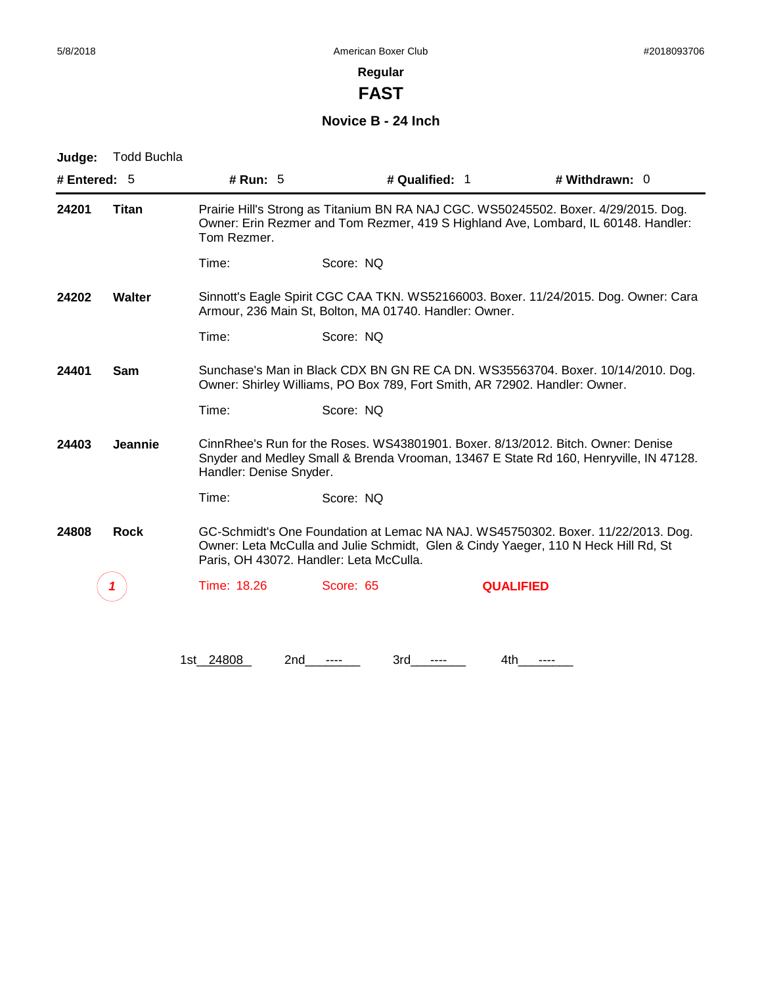**FAST**

# **Novice B - 24 Inch**

| Judge:                  | <b>Todd Buchla</b> |                         |                                                                                                                                                                                                                   |                                                                                       |
|-------------------------|--------------------|-------------------------|-------------------------------------------------------------------------------------------------------------------------------------------------------------------------------------------------------------------|---------------------------------------------------------------------------------------|
| # Entered: $5$          |                    | # Run: $5$              | # Qualified: 1                                                                                                                                                                                                    | # Withdrawn: 0                                                                        |
| 24201                   | Titan              | Tom Rezmer.             | Prairie Hill's Strong as Titanium BN RA NAJ CGC. WS50245502. Boxer. 4/29/2015. Dog.<br>Owner: Erin Rezmer and Tom Rezmer, 419 S Highland Ave, Lombard, IL 60148. Handler:                                         |                                                                                       |
|                         |                    | Time:                   | Score: NQ                                                                                                                                                                                                         |                                                                                       |
| 24202                   | Walter             |                         | Armour, 236 Main St, Bolton, MA 01740. Handler: Owner.                                                                                                                                                            | Sinnott's Eagle Spirit CGC CAA TKN. WS52166003. Boxer. 11/24/2015. Dog. Owner: Cara   |
|                         |                    | Time:                   | Score: NQ                                                                                                                                                                                                         |                                                                                       |
| 24401<br>Sam            |                    |                         | Sunchase's Man in Black CDX BN GN RE CA DN. WS35563704. Boxer. 10/14/2010. Dog.<br>Owner: Shirley Williams, PO Box 789, Fort Smith, AR 72902. Handler: Owner.                                                     |                                                                                       |
|                         |                    | Time:                   | Score: NQ                                                                                                                                                                                                         |                                                                                       |
| <b>Jeannie</b><br>24403 |                    | Handler: Denise Snyder. | CinnRhee's Run for the Roses. WS43801901. Boxer. 8/13/2012. Bitch. Owner: Denise                                                                                                                                  | Snyder and Medley Small & Brenda Vrooman, 13467 E State Rd 160, Henryville, IN 47128. |
|                         |                    | Time:                   | Score: NQ                                                                                                                                                                                                         |                                                                                       |
| 24808                   | <b>Rock</b>        |                         | GC-Schmidt's One Foundation at Lemac NA NAJ. WS45750302. Boxer. 11/22/2013. Dog.<br>Owner: Leta McCulla and Julie Schmidt, Glen & Cindy Yaeger, 110 N Heck Hill Rd, St<br>Paris, OH 43072. Handler: Leta McCulla. |                                                                                       |
|                         |                    | Time: 18.26             | Score: 65                                                                                                                                                                                                         | <b>QUALIFIED</b>                                                                      |
|                         |                    |                         |                                                                                                                                                                                                                   |                                                                                       |
|                         |                    | 1st 24808<br>2nd        | 3rd                                                                                                                                                                                                               | 4th                                                                                   |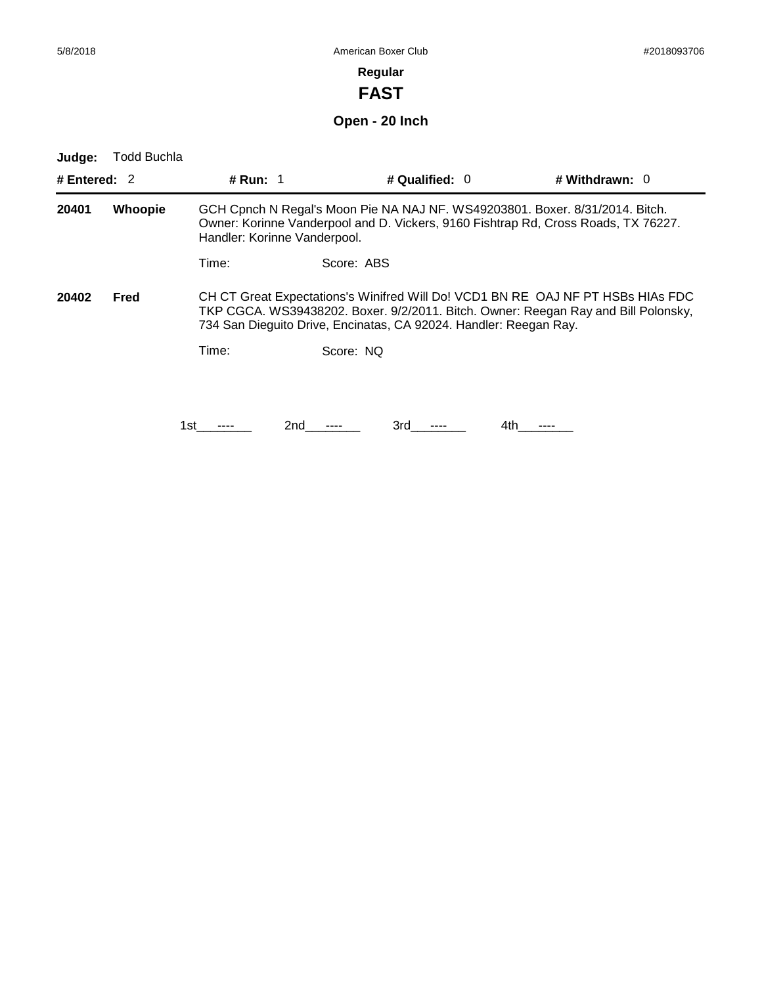**FAST**

**Open - 20 Inch**

| Judge:         | Todd Buchla |                 |                                                                   |                  |     |                                                                                                                                                                       |
|----------------|-------------|-----------------|-------------------------------------------------------------------|------------------|-----|-----------------------------------------------------------------------------------------------------------------------------------------------------------------------|
| # Entered: $2$ |             | <b># Run: 1</b> |                                                                   | # Qualified: $0$ |     | # Withdrawn: $0$                                                                                                                                                      |
| 20401          | Whoopie     |                 | Handler: Korinne Vanderpool.                                      |                  |     | GCH Cpnch N Regal's Moon Pie NA NAJ NF. WS49203801. Boxer. 8/31/2014. Bitch.<br>Owner: Korinne Vanderpool and D. Vickers, 9160 Fishtrap Rd, Cross Roads, TX 76227.    |
|                |             | Time:           | Score: ABS                                                        |                  |     |                                                                                                                                                                       |
| 20402          | Fred        |                 | 734 San Dieguito Drive, Encinatas, CA 92024. Handler: Reegan Ray. |                  |     | CH CT Great Expectations's Winifred Will Do! VCD1 BN RE OAJ NF PT HSBs HIAs FDC<br>TKP CGCA. WS39438202. Boxer. 9/2/2011. Bitch. Owner: Reegan Ray and Bill Polonsky, |
|                |             | Time:           | Score: NQ                                                         |                  |     |                                                                                                                                                                       |
|                |             |                 |                                                                   |                  |     |                                                                                                                                                                       |
|                |             | 1st             | 2nd                                                               | 3rd              | 4th |                                                                                                                                                                       |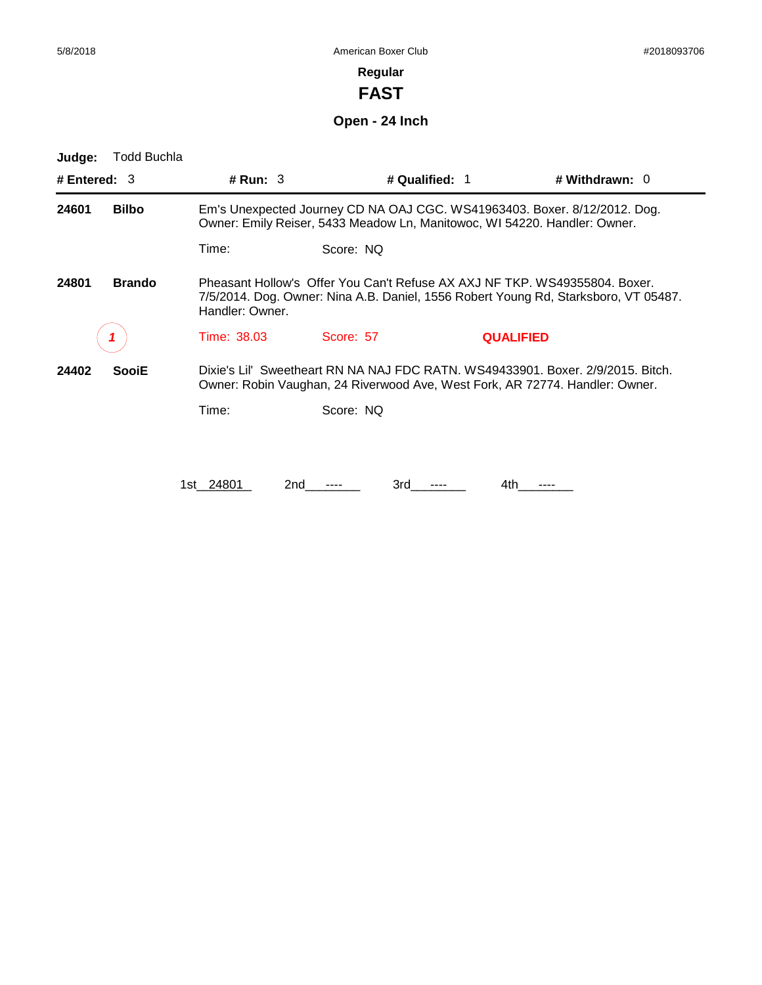۰

# **Regular**

**FAST**

**Open - 24 Inch**

| Judge:         | Todd Buchla   |                  |                                                                                                                                                                   |                  |                                                                                                                                                                 |  |  |
|----------------|---------------|------------------|-------------------------------------------------------------------------------------------------------------------------------------------------------------------|------------------|-----------------------------------------------------------------------------------------------------------------------------------------------------------------|--|--|
| # Entered: $3$ |               | # Run: $3$       |                                                                                                                                                                   | # Qualified: 1   | # Withdrawn: $0$                                                                                                                                                |  |  |
| 24601          | <b>Bilbo</b>  |                  | Owner: Emily Reiser, 5433 Meadow Ln, Manitowoc, WI 54220. Handler: Owner.                                                                                         |                  | Em's Unexpected Journey CD NA OAJ CGC. WS41963403. Boxer. 8/12/2012. Dog.                                                                                       |  |  |
|                |               | Time:            | Score: NO                                                                                                                                                         |                  |                                                                                                                                                                 |  |  |
| 24801          | <b>Brando</b> | Handler: Owner.  | Pheasant Hollow's Offer You Can't Refuse AX AXJ NF TKP. WS49355804. Boxer.<br>7/5/2014. Dog. Owner: Nina A.B. Daniel, 1556 Robert Young Rd, Starksboro, VT 05487. |                  |                                                                                                                                                                 |  |  |
|                |               | Time: 38.03      | Score: 57                                                                                                                                                         | <b>QUALIFIED</b> |                                                                                                                                                                 |  |  |
| 24402          | <b>SooiE</b>  |                  |                                                                                                                                                                   |                  | Dixie's Lil' Sweetheart RN NA NAJ FDC RATN, WS49433901, Boxer, 2/9/2015, Bitch.<br>Owner: Robin Vaughan, 24 Riverwood Ave, West Fork, AR 72774. Handler: Owner. |  |  |
|                |               | Time:            | Score: NO                                                                                                                                                         |                  |                                                                                                                                                                 |  |  |
|                |               |                  |                                                                                                                                                                   |                  |                                                                                                                                                                 |  |  |
|                |               | 1st 24801<br>2nd | 3rd                                                                                                                                                               | 4th              |                                                                                                                                                                 |  |  |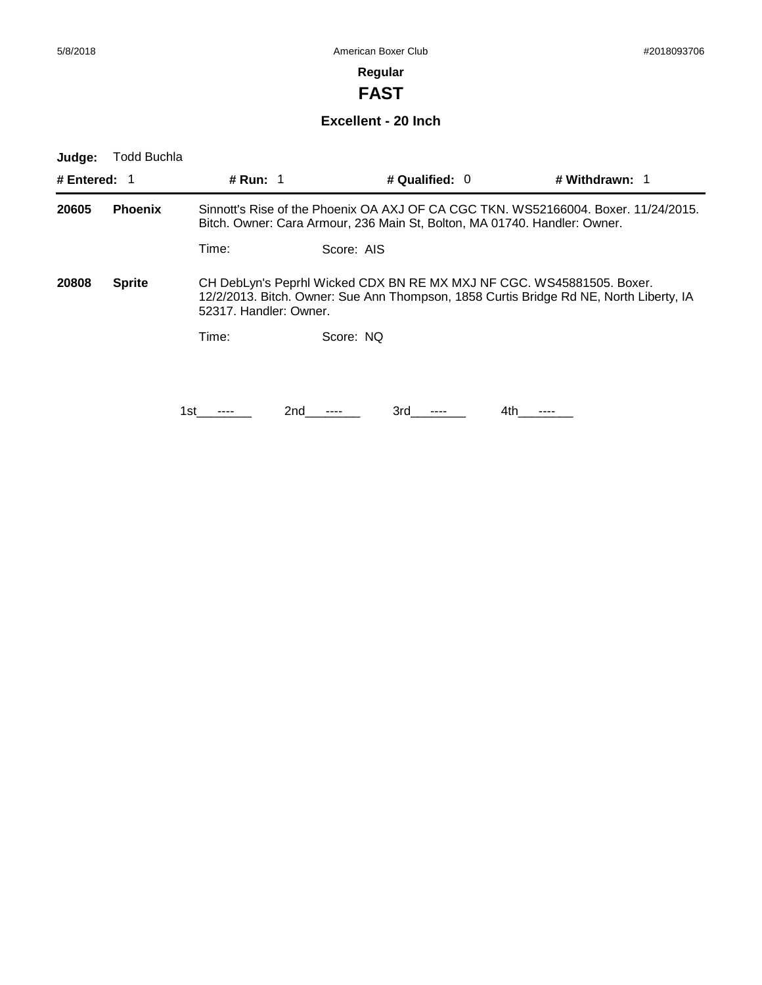**FAST**

### **Excellent - 20 Inch**

| Judge:       | Todd Buchla    |                        |            |                  |                                                                                                                                                                 |
|--------------|----------------|------------------------|------------|------------------|-----------------------------------------------------------------------------------------------------------------------------------------------------------------|
| # Entered: 1 |                | # Run: 1               |            | # Qualified: $0$ | # Withdrawn: 1                                                                                                                                                  |
| 20605        | <b>Phoenix</b> |                        |            |                  | Sinnott's Rise of the Phoenix OA AXJ OF CA CGC TKN. WS52166004. Boxer. 11/24/2015.<br>Bitch. Owner: Cara Armour, 236 Main St, Bolton, MA 01740. Handler: Owner. |
|              |                | Time:                  | Score: AIS |                  |                                                                                                                                                                 |
| 20808        | <b>Sprite</b>  | 52317. Handler: Owner. |            |                  | CH DebLyn's Peprhl Wicked CDX BN RE MX MXJ NF CGC. WS45881505. Boxer.<br>12/2/2013. Bitch. Owner: Sue Ann Thompson, 1858 Curtis Bridge Rd NE, North Liberty, IA |
|              |                | Time:                  | Score: NO  |                  |                                                                                                                                                                 |
|              |                |                        |            |                  |                                                                                                                                                                 |
|              |                | 1st                    | 2nd        | 3rd              | 4th                                                                                                                                                             |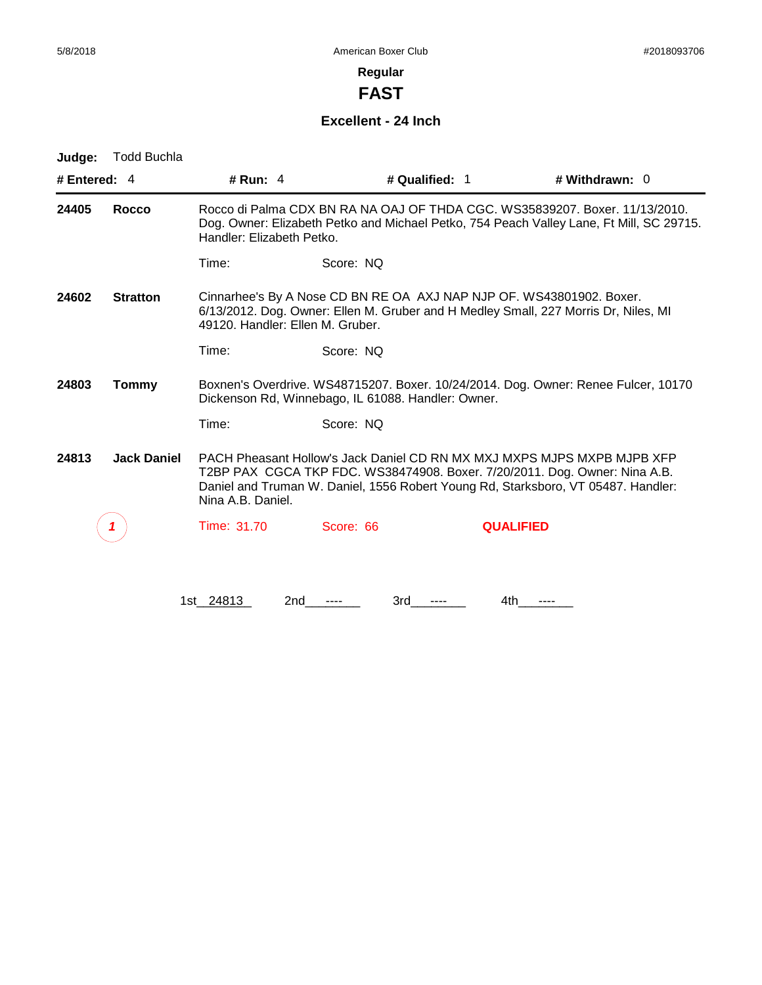**FAST**

#### **Excellent - 24 Inch**

| Judge:         | <b>Todd Buchla</b> |                                                                                                                                                                                                                                                                 |                                                    |                                                                                    |  |
|----------------|--------------------|-----------------------------------------------------------------------------------------------------------------------------------------------------------------------------------------------------------------------------------------------------------------|----------------------------------------------------|------------------------------------------------------------------------------------|--|
| # Entered: $4$ |                    | # Run: $4$                                                                                                                                                                                                                                                      | # Qualified: 1                                     | # Withdrawn: $0$                                                                   |  |
| 24405          | Rocco              | Rocco di Palma CDX BN RA NA OAJ OF THDA CGC, WS35839207, Boxer, 11/13/2010.<br>Dog. Owner: Elizabeth Petko and Michael Petko, 754 Peach Valley Lane, Ft Mill, SC 29715.<br>Handler: Elizabeth Petko.                                                            |                                                    |                                                                                    |  |
|                |                    | Time:                                                                                                                                                                                                                                                           | Score: NQ                                          |                                                                                    |  |
| 24602          | <b>Stratton</b>    | Cinnarhee's By A Nose CD BN RE OA AXJ NAP NJP OF. WS43801902. Boxer.<br>6/13/2012. Dog. Owner: Ellen M. Gruber and H Medley Small, 227 Morris Dr, Niles, MI<br>49120. Handler: Ellen M. Gruber.                                                                 |                                                    |                                                                                    |  |
|                |                    | Time:                                                                                                                                                                                                                                                           | Score: NO                                          |                                                                                    |  |
| 24803          | <b>Tommy</b>       |                                                                                                                                                                                                                                                                 | Dickenson Rd, Winnebago, IL 61088. Handler: Owner. | Boxnen's Overdrive. WS48715207. Boxer. 10/24/2014. Dog. Owner: Renee Fulcer, 10170 |  |
|                |                    | Time:                                                                                                                                                                                                                                                           | Score: NQ                                          |                                                                                    |  |
| 24813          | <b>Jack Daniel</b> | PACH Pheasant Hollow's Jack Daniel CD RN MX MXJ MXPS MJPS MXPB MJPB XFP<br>T2BP PAX CGCA TKP FDC. WS38474908. Boxer. 7/20/2011. Dog. Owner: Nina A.B.<br>Daniel and Truman W. Daniel, 1556 Robert Young Rd, Starksboro, VT 05487. Handler:<br>Nina A.B. Daniel. |                                                    |                                                                                    |  |
|                |                    | Time: 31.70                                                                                                                                                                                                                                                     | Score: 66                                          | <b>QUALIFIED</b>                                                                   |  |
|                |                    |                                                                                                                                                                                                                                                                 |                                                    |                                                                                    |  |
|                |                    |                                                                                                                                                                                                                                                                 |                                                    |                                                                                    |  |

1st\_24813 2nd\_\_\_\_\_\_ 3rd\_\_\_\_\_\_ 4th\_\_\_\_\_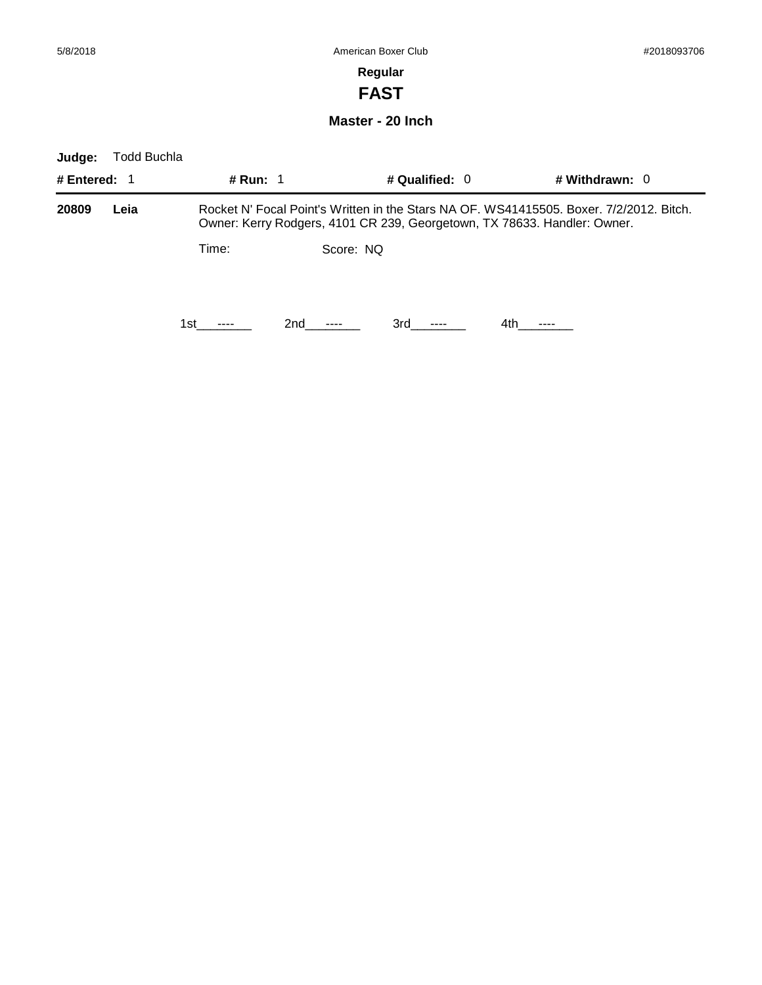**FAST**

**Master - 20 Inch**

| Judge:       | Todd Buchla |          |           |                  |                                                                                                                                                                     |
|--------------|-------------|----------|-----------|------------------|---------------------------------------------------------------------------------------------------------------------------------------------------------------------|
| # Entered: 1 |             | # Run: 1 |           | # Qualified: $0$ | # Withdrawn: $0$                                                                                                                                                    |
| 20809        | Leia        |          |           |                  | Rocket N' Focal Point's Written in the Stars NA OF, WS41415505, Boxer, 7/2/2012, Bitch.<br>Owner: Kerry Rodgers, 4101 CR 239, Georgetown, TX 78633. Handler: Owner. |
|              |             | Time:    | Score: NO |                  |                                                                                                                                                                     |
|              |             | 1st.     | 2nd       | 3rd              | 4th                                                                                                                                                                 |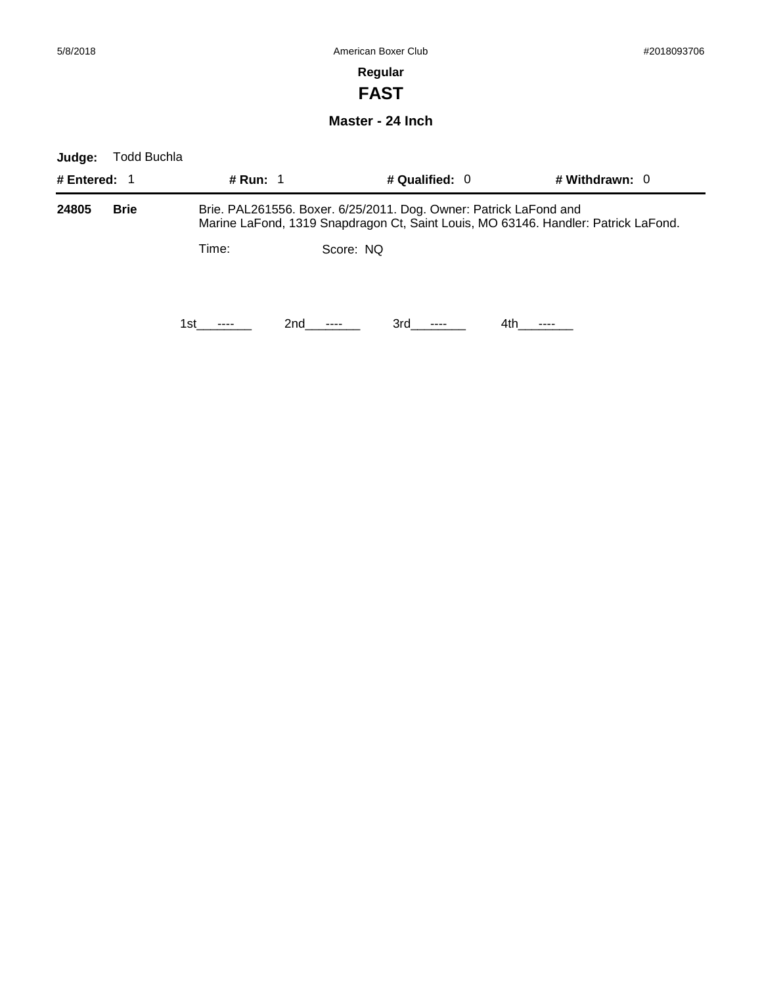# **Regular FAST**

### **Master - 24 Inch**

| Judge:         | Todd Buchla |            |           |                  |                                                                                                                                                         |
|----------------|-------------|------------|-----------|------------------|---------------------------------------------------------------------------------------------------------------------------------------------------------|
| # Entered: $1$ |             | # Run: $1$ |           | # Qualified: $0$ | # Withdrawn: $0$                                                                                                                                        |
| 24805          | <b>Brie</b> |            |           |                  | Brie. PAL261556. Boxer. 6/25/2011. Dog. Owner: Patrick LaFond and<br>Marine LaFond, 1319 Snapdragon Ct, Saint Louis, MO 63146. Handler: Patrick LaFond. |
|                |             | Time:      | Score: NQ |                  |                                                                                                                                                         |
|                |             | 1st        | 2nd       | 3rd              | 4th.                                                                                                                                                    |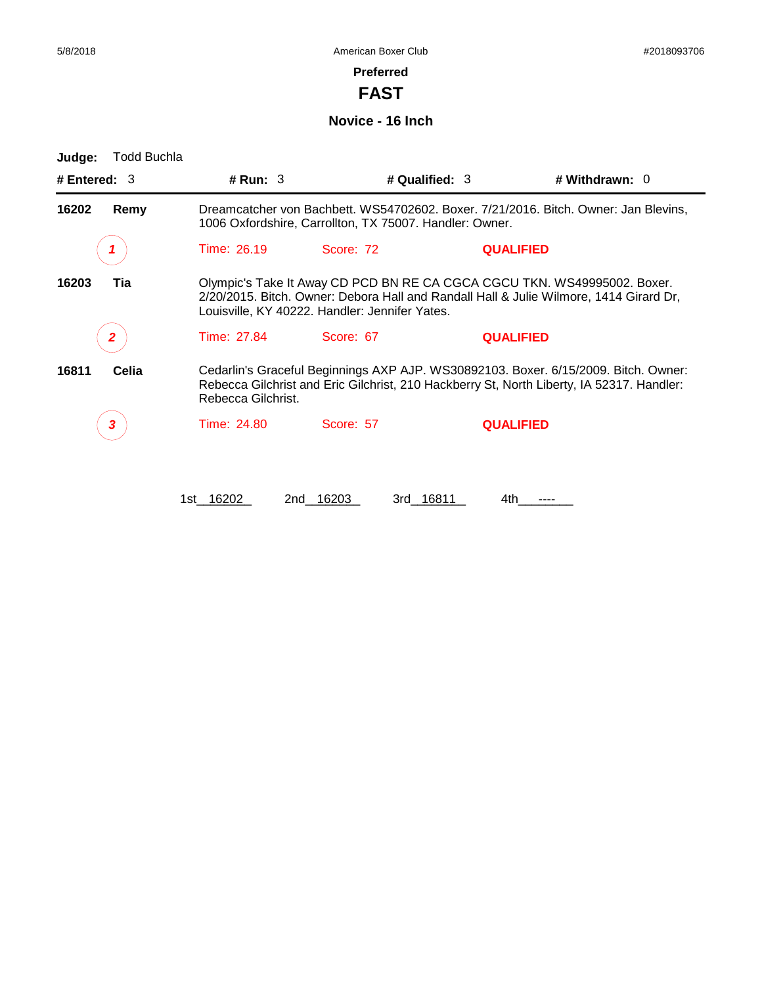-

#### **Preferred**

**FAST**

#### **Novice - 16 Inch**

| Judge:         | Todd Buchla |                                                                                                                                                                                                                      |                                                         |                                                                                                                                                                                  |  |  |
|----------------|-------------|----------------------------------------------------------------------------------------------------------------------------------------------------------------------------------------------------------------------|---------------------------------------------------------|----------------------------------------------------------------------------------------------------------------------------------------------------------------------------------|--|--|
| # Entered: $3$ |             | # Run: $3$                                                                                                                                                                                                           | # Qualified: 3                                          | # Withdrawn: $0$                                                                                                                                                                 |  |  |
| 16202          | Remy        |                                                                                                                                                                                                                      | 1006 Oxfordshire, Carrollton, TX 75007. Handler: Owner. | Dreamcatcher von Bachbett. WS54702602. Boxer. 7/21/2016. Bitch. Owner: Jan Blevins,                                                                                              |  |  |
|                |             | Time: 26.19                                                                                                                                                                                                          | Score: 72                                               | <b>QUALIFIED</b>                                                                                                                                                                 |  |  |
| 16203          | Tia         | Olympic's Take It Away CD PCD BN RE CA CGCA CGCU TKN. WS49995002. Boxer.<br>2/20/2015. Bitch. Owner: Debora Hall and Randall Hall & Julie Wilmore, 1414 Girard Dr,<br>Louisville, KY 40222. Handler: Jennifer Yates. |                                                         |                                                                                                                                                                                  |  |  |
|                |             | Time: 27.84                                                                                                                                                                                                          | Score: 67                                               | <b>QUALIFIED</b>                                                                                                                                                                 |  |  |
| 16811          | Celia       | Rebecca Gilchrist.                                                                                                                                                                                                   |                                                         | Cedarlin's Graceful Beginnings AXP AJP. WS30892103. Boxer. 6/15/2009. Bitch. Owner:<br>Rebecca Gilchrist and Eric Gilchrist, 210 Hackberry St, North Liberty, IA 52317. Handler: |  |  |
|                |             | Time: 24.80                                                                                                                                                                                                          | Score: 57                                               | <b>QUALIFIED</b>                                                                                                                                                                 |  |  |
|                |             | 1st 16202                                                                                                                                                                                                            | 3rd 16811<br>2nd 16203                                  | 4th                                                                                                                                                                              |  |  |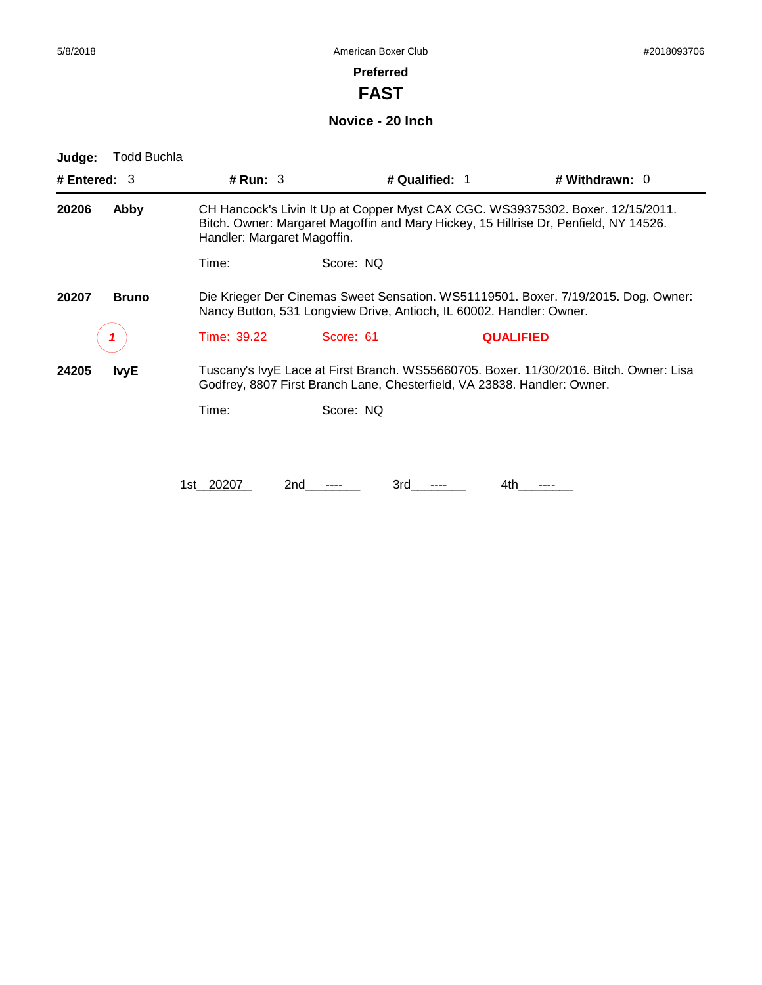**FAST**

**Novice - 20 Inch**

| Judge:         | <b>Todd Buchla</b> |                                                                                                                                                            |                                                                          |                |                  |                                                                                                                                                                         |
|----------------|--------------------|------------------------------------------------------------------------------------------------------------------------------------------------------------|--------------------------------------------------------------------------|----------------|------------------|-------------------------------------------------------------------------------------------------------------------------------------------------------------------------|
| # Entered: $3$ |                    | # Run: $3$                                                                                                                                                 |                                                                          | # Qualified: 1 |                  | # Withdrawn: 0                                                                                                                                                          |
| 20206          | Abby               | Handler: Margaret Magoffin.                                                                                                                                |                                                                          |                |                  | CH Hancock's Livin It Up at Copper Myst CAX CGC. WS39375302. Boxer. 12/15/2011.<br>Bitch. Owner: Margaret Magoffin and Mary Hickey, 15 Hillrise Dr, Penfield, NY 14526. |
|                |                    | Time:                                                                                                                                                      | Score: NQ                                                                |                |                  |                                                                                                                                                                         |
| 20207          | <b>Bruno</b>       | Die Krieger Der Cinemas Sweet Sensation. WS51119501. Boxer. 7/19/2015. Dog. Owner:<br>Nancy Button, 531 Longview Drive, Antioch, IL 60002. Handler: Owner. |                                                                          |                |                  |                                                                                                                                                                         |
|                |                    | Time: 39.22                                                                                                                                                | Score: 61                                                                |                | <b>QUALIFIED</b> |                                                                                                                                                                         |
| 24205          | <b>IvyE</b>        |                                                                                                                                                            | Godfrey, 8807 First Branch Lane, Chesterfield, VA 23838. Handler: Owner. |                |                  | Tuscany's IvyE Lace at First Branch. WS55660705. Boxer. 11/30/2016. Bitch. Owner: Lisa                                                                                  |
|                |                    | Time:                                                                                                                                                      | Score: NQ                                                                |                |                  |                                                                                                                                                                         |
|                |                    |                                                                                                                                                            |                                                                          |                |                  |                                                                                                                                                                         |
|                |                    | 1st 20207                                                                                                                                                  | 2nd                                                                      | 3rd            | 4th              |                                                                                                                                                                         |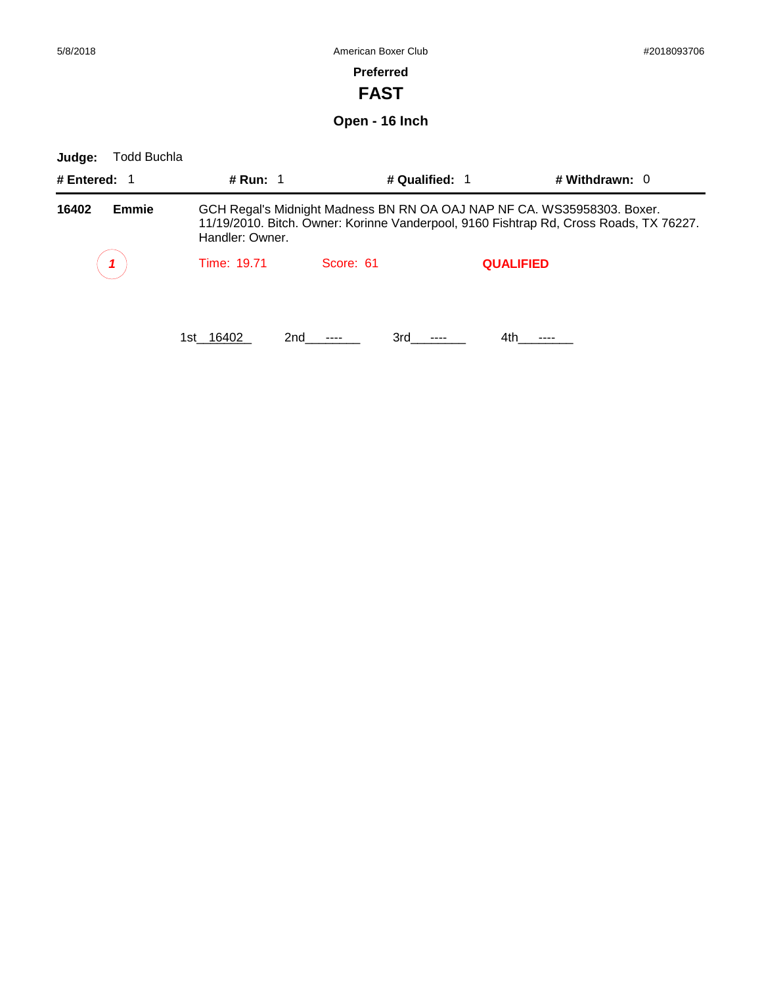# **Preferred**

**FAST**

**Open - 16 Inch**

| Judge:       | <b>Todd Buchla</b> |                 |            |                                                                                                                                                                   |                  |  |
|--------------|--------------------|-----------------|------------|-------------------------------------------------------------------------------------------------------------------------------------------------------------------|------------------|--|
| # Entered: 1 |                    | # Run: 1        |            | # Qualified: 1                                                                                                                                                    | # Withdrawn: $0$ |  |
| 16402        | <b>Emmie</b>       | Handler: Owner. |            | GCH Regal's Midnight Madness BN RN OA OAJ NAP NF CA. WS35958303. Boxer.<br>11/19/2010. Bitch. Owner: Korinne Vanderpool, 9160 Fishtrap Rd, Cross Roads, TX 76227. |                  |  |
|              |                    | Time: 19.71     | Score: 61  | <b>QUALIFIED</b>                                                                                                                                                  |                  |  |
|              |                    | 1st 16402       | 3rd<br>2nd | 4th.                                                                                                                                                              |                  |  |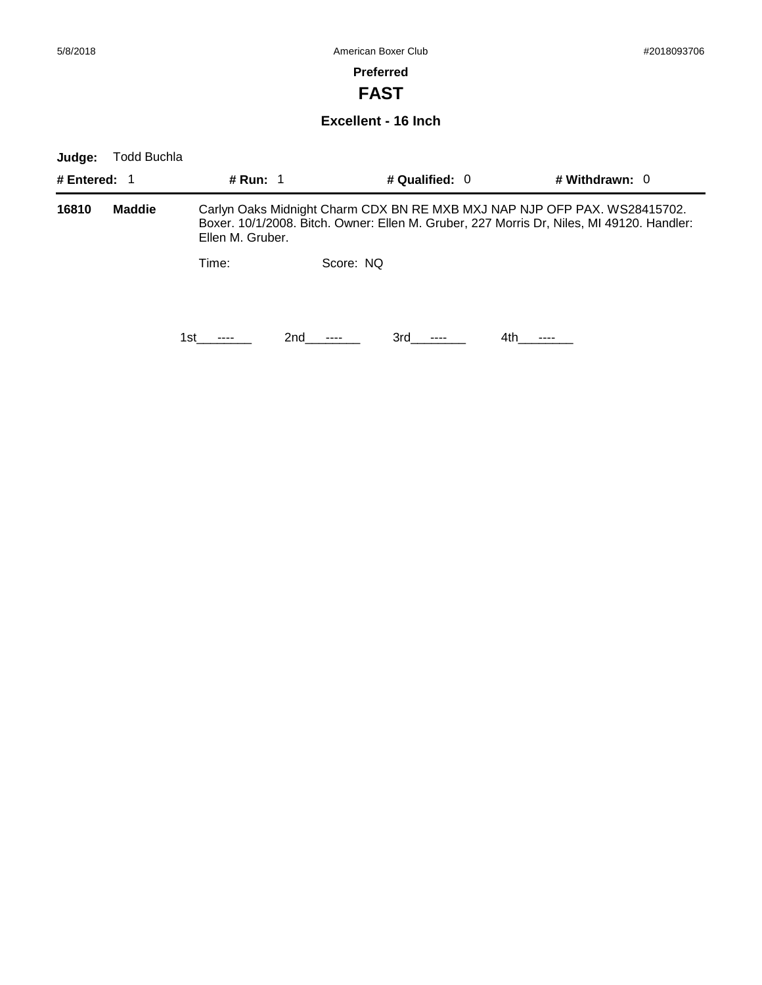**FAST**

#### **Excellent - 16 Inch**

| Judge:       | <b>Todd Buchla</b> |                                                                                                                                                                                            |           |                  |                  |  |  |
|--------------|--------------------|--------------------------------------------------------------------------------------------------------------------------------------------------------------------------------------------|-----------|------------------|------------------|--|--|
| # Entered: 1 |                    | <b># Run: 1</b>                                                                                                                                                                            |           | # Qualified: $0$ | # Withdrawn: $0$ |  |  |
| 16810        | <b>Maddie</b>      | Carlyn Oaks Midnight Charm CDX BN RE MXB MXJ NAP NJP OFP PAX. WS28415702.<br>Boxer. 10/1/2008. Bitch. Owner: Ellen M. Gruber, 227 Morris Dr, Niles, MI 49120. Handler:<br>Ellen M. Gruber. |           |                  |                  |  |  |
|              |                    | Time:                                                                                                                                                                                      | Score: NO |                  |                  |  |  |
|              |                    | 1st                                                                                                                                                                                        | 2nd       | 3rd              | 4th.             |  |  |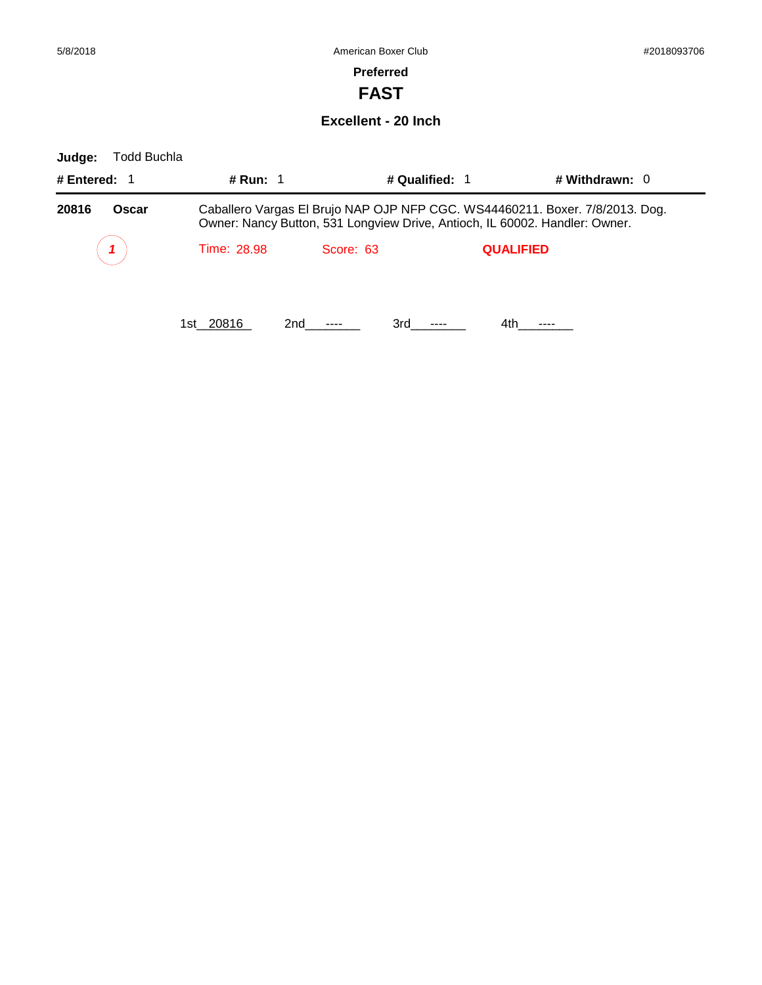**FAST**

#### **Excellent - 20 Inch**

| Todd Buchla<br>Judge: |                  |                                                                                                                                                             |                  |                  |
|-----------------------|------------------|-------------------------------------------------------------------------------------------------------------------------------------------------------------|------------------|------------------|
| # Entered: $1$        | # Run: $1$       | # Qualified: 1                                                                                                                                              |                  | # Withdrawn: $0$ |
| 20816<br>Oscar        |                  | Caballero Vargas El Brujo NAP OJP NFP CGC. WS44460211. Boxer. 7/8/2013. Dog.<br>Owner: Nancy Button, 531 Longview Drive, Antioch, IL 60002. Handler: Owner. |                  |                  |
|                       | Time: 28.98      | Score: 63                                                                                                                                                   | <b>QUALIFIED</b> |                  |
|                       | 1st 20816<br>2nd | 3rd                                                                                                                                                         | 4th              |                  |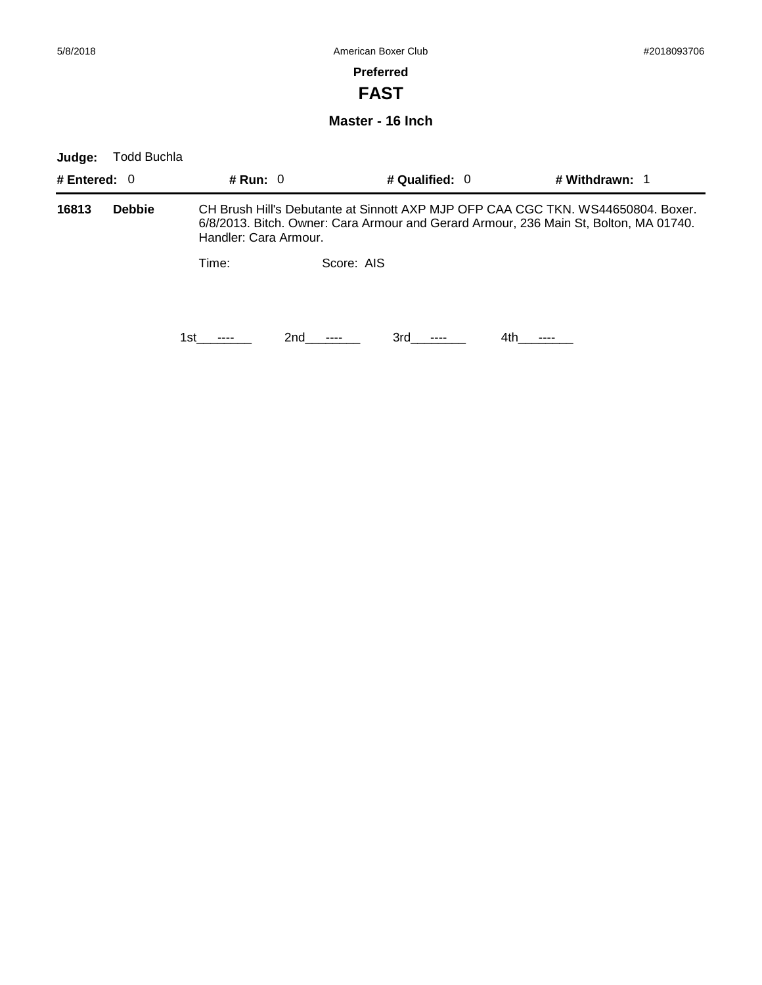**FAST**

**Master - 16 Inch**

| Judge:         | Todd Buchla   |                       |            |                  |                                                                                                                                                                           |
|----------------|---------------|-----------------------|------------|------------------|---------------------------------------------------------------------------------------------------------------------------------------------------------------------------|
| # Entered: $0$ |               | # Run: $0$            |            | # Qualified: $0$ | # Withdrawn: 1                                                                                                                                                            |
| 16813          | <b>Debbie</b> | Handler: Cara Armour. |            |                  | CH Brush Hill's Debutante at Sinnott AXP MJP OFP CAA CGC TKN, WS44650804, Boxer,<br>6/8/2013. Bitch. Owner: Cara Armour and Gerard Armour, 236 Main St, Bolton, MA 01740. |
|                |               | Time:                 | Score: AIS |                  |                                                                                                                                                                           |
|                |               | 1st                   | 2nd        | 3rd              | 4th.                                                                                                                                                                      |